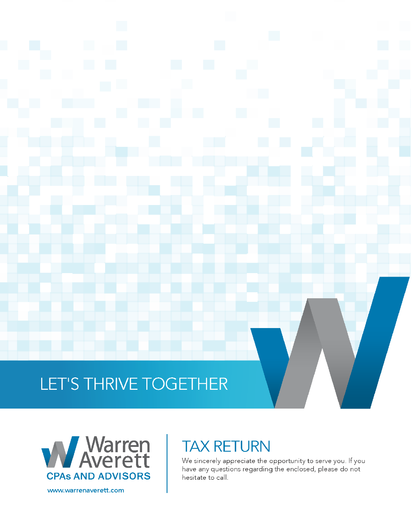# LET'S THRIVE TOGETHER



# **TAX RETURN**

We sincerely appreciate the opportunity to serve you. If you have any questions regarding the enclosed, please do not hesitate to call.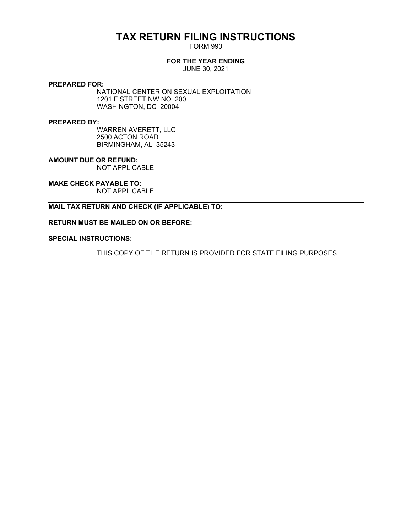# **TAX RETURN FILING INSTRUCTIONS**

FORM 990

### **FOR THE YEAR ENDING**

JUNE 30, 2021

**PREPARED FOR:**

NATIONAL CENTER ON SEXUAL EXPLOITATION 1201 F STREET NW NO. 200 WASHINGTON, DC 20004

**PREPARED BY:**

WARREN AVERETT, LLC 2500 ACTON ROAD BIRMINGHAM, AL 35243

**AMOUNT DUE OR REFUND:** NOT APPLICABLE

**MAKE CHECK PAYABLE TO:** NOT APPLICABLE

**MAIL TAX RETURN AND CHECK (IF APPLICABLE) TO:**

**RETURN MUST BE MAILED ON OR BEFORE:**

**SPECIAL INSTRUCTIONS:**

THIS COPY OF THE RETURN IS PROVIDED FOR STATE FILING PURPOSES.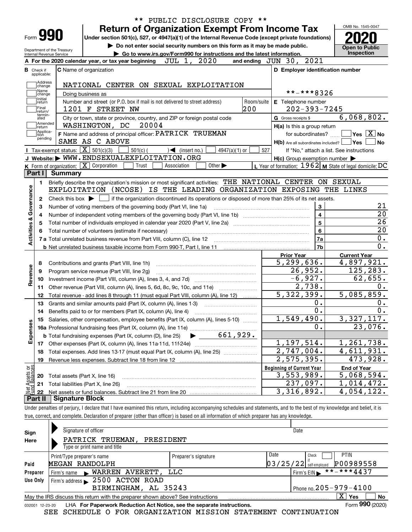|                                  |                                                   |                                                      | <b>Return of Organization Exempt From Income Tax</b>                                                                                         |             |                             |            |                                                     |                         | OMB No. 1545-0047                                         |
|----------------------------------|---------------------------------------------------|------------------------------------------------------|----------------------------------------------------------------------------------------------------------------------------------------------|-------------|-----------------------------|------------|-----------------------------------------------------|-------------------------|-----------------------------------------------------------|
| Form 990                         |                                                   |                                                      | Under section 501(c), 527, or 4947(a)(1) of the Internal Revenue Code (except private foundations)                                           |             |                             |            |                                                     |                         |                                                           |
|                                  |                                                   |                                                      | Do not enter social security numbers on this form as it may be made public.                                                                  |             |                             |            |                                                     |                         | <b>Open to Public</b>                                     |
| Internal Revenue Service         | Department of the Treasury                        |                                                      | Go to www.irs.gov/Form990 for instructions and the latest information.                                                                       |             |                             |            |                                                     |                         | Inspection                                                |
|                                  |                                                   | A For the 2020 calendar year, or tax year beginning  |                                                                                                                                              | JUL 1, 2020 |                             |            | and ending JUN 30, 2021                             |                         |                                                           |
| <b>B</b> Check if<br>applicable: |                                                   | C Name of organization                               |                                                                                                                                              |             |                             |            | D Employer identification number                    |                         |                                                           |
| Address                          |                                                   |                                                      |                                                                                                                                              |             |                             |            |                                                     |                         |                                                           |
| change<br>Name                   |                                                   |                                                      | NATIONAL CENTER ON SEXUAL EXPLOITATION                                                                                                       |             |                             |            |                                                     | **-***8326              |                                                           |
| change<br>Initial                |                                                   | Doing business as                                    |                                                                                                                                              |             |                             | Room/suite |                                                     |                         |                                                           |
| return<br>Final                  |                                                   | 1201 F STREET NW                                     | Number and street (or P.O. box if mail is not delivered to street address)                                                                   |             |                             | 200        | E Telephone number                                  | $202 - 393 - 7245$      |                                                           |
| return/<br>termin-<br>ated       |                                                   |                                                      | City or town, state or province, country, and ZIP or foreign postal code                                                                     |             |                             |            | G Gross receipts \$                                 |                         | 6,068,802.                                                |
| Amended<br>return                |                                                   | WASHINGTON, DC                                       | 20004                                                                                                                                        |             |                             |            | H(a) Is this a group return                         |                         |                                                           |
| Applica-<br>tion                 |                                                   |                                                      | F Name and address of principal officer: PATRICK TRUEMAN                                                                                     |             |                             |            |                                                     | for subordinates?       | $\sqrt{}$ Yes $\sqrt{}$ X $\sqrt{}$ No                    |
| pending                          |                                                   | SAME AS C ABOVE                                      |                                                                                                                                              |             |                             |            | $H(b)$ Are all subordinates included? $\Box$ Yes    |                         | No                                                        |
|                                  | Tax-exempt status: $\boxed{\mathbf{X}}$ 501(c)(3) |                                                      | $501(c)$ (<br>$\mathcal{A}$ (insert no.)                                                                                                     |             | 4947(a)(1) or               | 527        |                                                     |                         | If "No," attach a list. See instructions                  |
|                                  |                                                   |                                                      | J Website: WWW.ENDSEXUALEXPLOITATION.ORG                                                                                                     |             |                             |            | $H(c)$ Group exemption number $\blacktriangleright$ |                         |                                                           |
|                                  |                                                   | K Form of organization: X Corporation                | Trust<br>Association                                                                                                                         |             | Other $\blacktriangleright$ |            |                                                     |                         | L Year of formation: 1962   M State of legal domicile: DC |
| Part I                           | <b>Summary</b>                                    |                                                      |                                                                                                                                              |             |                             |            |                                                     |                         |                                                           |
| 1.                               |                                                   |                                                      | Briefly describe the organization's mission or most significant activities: THE NATIONAL CENTER ON SEXUAL                                    |             |                             |            |                                                     |                         |                                                           |
|                                  |                                                   |                                                      | EXPLOITATION (NCOSE) IS THE LEADING ORGANIZATION EXPOSING THE LINKS                                                                          |             |                             |            |                                                     |                         |                                                           |
|                                  |                                                   |                                                      |                                                                                                                                              |             |                             |            |                                                     |                         |                                                           |
|                                  |                                                   |                                                      |                                                                                                                                              |             |                             |            |                                                     |                         |                                                           |
| 2                                | Check this box $\blacktriangleright$ $\parallel$  |                                                      | if the organization discontinued its operations or disposed of more than 25% of its net assets.                                              |             |                             |            |                                                     |                         |                                                           |
| з                                |                                                   |                                                      | Number of voting members of the governing body (Part VI, line 1a)                                                                            |             |                             |            |                                                     | 3                       | 21                                                        |
| 4                                |                                                   |                                                      |                                                                                                                                              |             |                             |            |                                                     | $\overline{\mathbf{4}}$ | $\overline{20}$                                           |
| 5                                |                                                   |                                                      |                                                                                                                                              |             |                             |            |                                                     | $\overline{5}$          | $\overline{26}$                                           |
|                                  |                                                   |                                                      |                                                                                                                                              |             |                             |            |                                                     | $6\phantom{a}$          | $\overline{20}$                                           |
|                                  |                                                   |                                                      |                                                                                                                                              |             |                             |            |                                                     | 7a                      | 0.                                                        |
|                                  |                                                   |                                                      |                                                                                                                                              |             |                             |            |                                                     | 7b                      | 0.                                                        |
|                                  |                                                   |                                                      |                                                                                                                                              |             |                             |            | <b>Prior Year</b>                                   |                         | <b>Current Year</b>                                       |
| Activities & Governance<br>8     |                                                   | Contributions and grants (Part VIII, line 1h)        |                                                                                                                                              |             |                             |            | 5, 299, 636.                                        |                         | 4,897,921.                                                |
| 9                                |                                                   | Program service revenue (Part VIII, line 2g)         |                                                                                                                                              |             |                             |            | 26,952.                                             |                         | 125, 283.                                                 |
| 10                               |                                                   |                                                      |                                                                                                                                              |             |                             |            | $-6,927.$                                           |                         | 62,655.                                                   |
| Revenue<br>11                    |                                                   |                                                      | Other revenue (Part VIII, column (A), lines 5, 6d, 8c, 9c, 10c, and 11e)                                                                     |             |                             |            |                                                     | 2,738.                  | 0.                                                        |
| 12                               |                                                   |                                                      | Total revenue - add lines 8 through 11 (must equal Part VIII, column (A), line 12)                                                           |             |                             |            | 5,322,399.                                          |                         | 5,085,859.                                                |
| 13                               |                                                   |                                                      | Grants and similar amounts paid (Part IX, column (A), lines 1-3)                                                                             |             |                             |            |                                                     | 0.                      | 0.                                                        |
| 14                               |                                                   |                                                      | Benefits paid to or for members (Part IX, column (A), line 4)                                                                                |             |                             |            |                                                     | 0.                      | 0.                                                        |
| 15                               |                                                   |                                                      | Salaries, other compensation, employee benefits (Part IX, column (A), lines 5-10)                                                            |             |                             |            | 1,549,490.                                          |                         | 3, 327, 117.                                              |
|                                  |                                                   |                                                      |                                                                                                                                              |             |                             |            |                                                     | $\mathbf 0$ .           | 23,076.                                                   |
|                                  |                                                   |                                                      | 15 Salaties, other setting fees (Part IX, column (A), line 11e)<br>16a Professional fundraising fees (Part IX, column (D) line 25) 661, 929. |             |                             |            |                                                     |                         |                                                           |
| Expenses                         |                                                   |                                                      |                                                                                                                                              |             |                             |            | 1,197,514.                                          |                         | 1,261,738.                                                |
| 18                               |                                                   |                                                      | Total expenses. Add lines 13-17 (must equal Part IX, column (A), line 25) [11, 11, 1201, 1301, 1301, 1301, 130                               |             |                             |            | 2,747,004.                                          |                         | $\overline{4,611,931}$ .                                  |
| 19                               |                                                   | Revenue less expenses. Subtract line 18 from line 12 |                                                                                                                                              |             |                             |            | 2,575,395.                                          |                         | 473,928.                                                  |
|                                  |                                                   |                                                      |                                                                                                                                              |             |                             |            | <b>Beginning of Current Year</b>                    |                         | <b>End of Year</b>                                        |
| 20                               | Total assets (Part X, line 16)                    |                                                      |                                                                                                                                              |             |                             |            | 3,553,989.                                          |                         | 5,068,594.                                                |
| Net Assets or<br>21<br>22        |                                                   | Total liabilities (Part X, line 26)                  |                                                                                                                                              |             |                             |            | 237,097.<br>3,316,892.                              |                         | 1,014,472.<br>4,054,122.                                  |

true, correct, and complete. Declaration of preparer (other than officer) is based on all information of which preparer has any knowledge.

| Sign     | Signature of officer                                                                                         |                      | Date                     |                            |  |  |  |  |  |  |
|----------|--------------------------------------------------------------------------------------------------------------|----------------------|--------------------------|----------------------------|--|--|--|--|--|--|
| Here     | PATRICK TRUEMAN,<br>PRESIDENT                                                                                |                      |                          |                            |  |  |  |  |  |  |
|          | Type or print name and title                                                                                 |                      |                          |                            |  |  |  |  |  |  |
|          | Print/Type preparer's name                                                                                   | Preparer's signature | Date                     | <b>PTIN</b><br>Check       |  |  |  |  |  |  |
| Paid     | MEGAN RANDOLPH                                                                                               |                      | $03/25/22$ self-employed | P00989558                  |  |  |  |  |  |  |
| Preparer | Firm's name WARREN AVERETT,                                                                                  | LLC                  |                          | **-***4437<br>Firm's $EIN$ |  |  |  |  |  |  |
| Use Only | Firm's address 2500 ACTON ROAD                                                                               |                      |                          |                            |  |  |  |  |  |  |
|          | Phone no. 205 - 979 - 4100<br>BIRMINGHAM, AL 35243                                                           |                      |                          |                            |  |  |  |  |  |  |
|          | $\mathbf{x}$<br>No<br>Yes<br>May the IRS discuss this return with the preparer shown above? See instructions |                      |                          |                            |  |  |  |  |  |  |
|          | Form 990 (2020)<br>LHA For Paperwork Reduction Act Notice, see the separate instructions.<br>032001 12-23-20 |                      |                          |                            |  |  |  |  |  |  |

SEE SCHEDULE O FOR ORGANIZATION MISSION STATEMENT CONTINUATION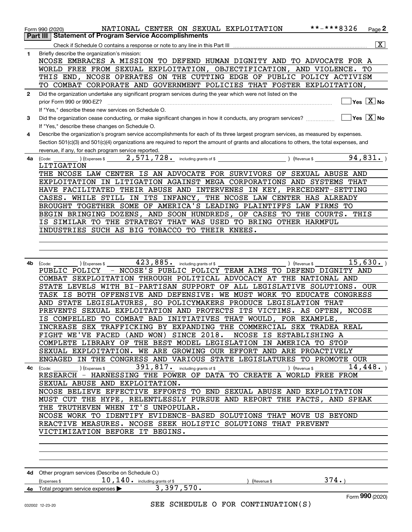|              | **-***8326<br>NATIONAL CENTER ON SEXUAL EXPLOITATION<br>Page $2$<br>Form 990 (2020)                                                                    |
|--------------|--------------------------------------------------------------------------------------------------------------------------------------------------------|
| Part III     | <b>Statement of Program Service Accomplishments</b>                                                                                                    |
|              | $\overline{\mathtt{x}}$                                                                                                                                |
| 1            | Briefly describe the organization's mission:                                                                                                           |
|              | NCOSE EMBRACES A MISSION TO DEFEND HUMAN DIGNITY AND TO ADVOCATE FOR A                                                                                 |
|              | WORLD FREE FROM SEXUAL EXPLOITATION, OBJECTIFICATION, AND VIOLENCE.<br>TО                                                                              |
|              | THIS END, NCOSE OPERATES ON THE CUTTING EDGE OF PUBLIC POLICY ACTIVISM                                                                                 |
|              | TO COMBAT CORPORATE AND GOVERNMENT POLICIES THAT FOSTER EXPLOITATION,                                                                                  |
|              |                                                                                                                                                        |
| $\mathbf{2}$ | Did the organization undertake any significant program services during the year which were not listed on the                                           |
|              | $Yes \quad X \quad No$<br>prior Form 990 or 990-EZ?                                                                                                    |
|              | If "Yes," describe these new services on Schedule O.                                                                                                   |
| 3            | $\sqrt{}$ Yes $\sqrt{}$ X $\sqrt{}$ No<br>Did the organization cease conducting, or make significant changes in how it conducts, any program services? |
|              | If "Yes," describe these changes on Schedule O.                                                                                                        |
| 4            | Describe the organization's program service accomplishments for each of its three largest program services, as measured by expenses.                   |
|              | Section 501(c)(3) and 501(c)(4) organizations are required to report the amount of grants and allocations to others, the total expenses, and           |
|              | revenue, if any, for each program service reported.                                                                                                    |
| 4a           | 2,571,728. including grants of \$<br>94,831.<br>$\left(\text{Code:}\right)$ $\left(\text{Expenses $}\right)$                                           |
|              | LITIGATION                                                                                                                                             |
|              | THE NCOSE LAW CENTER IS AN ADVOCATE FOR SURVIVORS OF SEXUAL ABUSE AND                                                                                  |
|              | EXPLOITATION IN LITIGATION AGAINST MEGA CORPORATIONS AND SYSTEMS THAT                                                                                  |
|              | HAVE FACILITATED THEIR ABUSE AND INTERVENES IN KEY, PRECEDENT-SETTING                                                                                  |
|              | CASES. WHILE STILL IN ITS INFANCY, THE NCOSE LAW CENTER HAS ALREADY                                                                                    |
|              | BROUGHT TOGETHER SOME OF AMERICA'S LEADING PLAINTIFFS LAW FIRMS TO                                                                                     |
|              | BEGIN BRINGING DOZENS, AND SOON HUNDREDS, OF CASES TO THE COURTS. THIS                                                                                 |
|              | IS SIMILAR TO THE STRATEGY THAT WAS USED TO BRING OTHER HARMFUL                                                                                        |
|              | INDUSTRIES SUCH AS BIG TOBACCO TO THEIR KNEES.                                                                                                         |
|              |                                                                                                                                                        |
|              |                                                                                                                                                        |
|              |                                                                                                                                                        |
| 4b           | 423,885. including grants of \$<br>15,630.<br>) (Expenses \$<br>) (Revenue \$<br>(Code:                                                                |
|              | PUBLIC POLICY - NCOSE'S PUBLIC POLICY TEAM AIMS TO DEFEND DIGNITY AND                                                                                  |
|              | COMBAT SEXPLOITATION THROUGH POLITICAL ADVOCACY AT THE NATIONAL AND                                                                                    |
|              | STATE LEVELS WITH BI-PARTISAN SUPPORT OF ALL LEGISLATIVE SOLUTIONS. OUR                                                                                |
|              | TASK IS BOTH OFFENSIVE AND DEFENSIVE: WE MUST WORK TO EDUCATE CONGRESS                                                                                 |
|              | AND STATE LEGISLATURES, SO POLICYMAKERS PRODUCE LEGISLATION THAT                                                                                       |
|              | PREVENTS SEXUAL EXPLOITATION AND PROTECTS ITS VICTIMS. AS OFTEN, NCOSE                                                                                 |
|              | IS COMPELLED TO COMBAT BAD INITIATIVES THAT WOULD, FOR EXAMPLE,                                                                                        |
|              | INCREASE SEX TRAFFICKING BY EXPANDING THE COMMERCIAL SEX TRADEA REAL                                                                                   |
|              | FIGHT WE'VE FACED (AND WON) SINCE 2018. NCOSE IS ESTABLISHING A                                                                                        |
|              | COMPLETE LIBRARY OF THE BEST MODEL LEGISLATION IN AMERICA TO STOP                                                                                      |
|              | SEXUAL EXPLOITATION. WE ARE GROWING OUR EFFORT AND ARE PROACTIVELY                                                                                     |
|              | ENGAGED IN THE CONGRESS AND VARIOUS STATE LEGISLATURES TO PROMOTE OUR                                                                                  |
|              | ) (Expenses \$ $391$ , $817$ $\cdot$ including grants of \$<br>14,448.<br>) (Revenue \$<br>4c (Code:                                                   |
|              | RESEARCH - HARNESSING THE POWER OF DATA TO CREATE A WORLD FREE FROM                                                                                    |
|              | SEXUAL ABUSE AND EXPLOITATION.                                                                                                                         |
|              | NCOSE BELIEVE EFFECTIVE EFFORTS TO END SEXUAL ABUSE AND EXPLOITATION                                                                                   |
|              | MUST CUT THE HYPE, RELENTLESSLY PURSUE AND REPORT THE FACTS, AND SPEAK                                                                                 |
|              | THE TRUTHEVEN WHEN IT'S UNPOPULAR.                                                                                                                     |
|              | NCOSE WORK TO IDENTIFY EVIDENCE-BASED SOLUTIONS THAT MOVE US BEYOND                                                                                    |
|              | REACTIVE MEASURES. NCOSE SEEK HOLISTIC SOLUTIONS THAT PREVENT                                                                                          |
|              | VICTIMIZATION BEFORE IT BEGINS.                                                                                                                        |
|              |                                                                                                                                                        |
|              |                                                                                                                                                        |
|              |                                                                                                                                                        |
|              |                                                                                                                                                        |
|              |                                                                                                                                                        |
|              | 4d Other program services (Describe on Schedule O.)                                                                                                    |
|              | $10, 140$ . including grants of \$<br>374.<br>(Expenses \$<br>(Revenue \$                                                                              |
|              | 3,397,570.<br>4e Total program service expenses >                                                                                                      |
|              | Form 990 (2020)                                                                                                                                        |
|              | SEE SCHEDULE O FOR CONTINUATION(S)<br>032002 12-23-20                                                                                                  |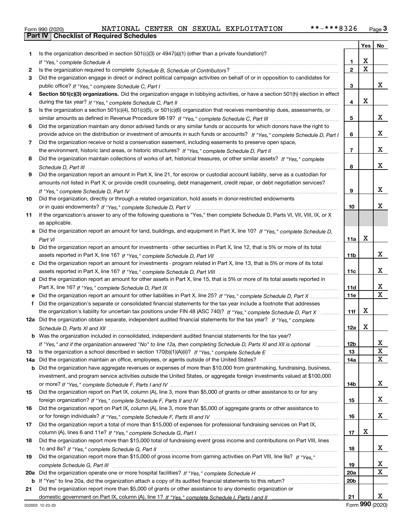|  | Form 990 (2020) |
|--|-----------------|

|     |                                                                                                                                                 |                 | Yes $ $                 | No                      |
|-----|-------------------------------------------------------------------------------------------------------------------------------------------------|-----------------|-------------------------|-------------------------|
| 1.  | Is the organization described in section $501(c)(3)$ or $4947(a)(1)$ (other than a private foundation)?                                         |                 |                         |                         |
|     |                                                                                                                                                 | 1               | Х                       |                         |
| 2   |                                                                                                                                                 | $\overline{2}$  | $\overline{\mathtt{x}}$ |                         |
| 3   | Did the organization engage in direct or indirect political campaign activities on behalf of or in opposition to candidates for                 |                 |                         |                         |
|     |                                                                                                                                                 | 3               |                         | x                       |
| 4   | Section 501(c)(3) organizations. Did the organization engage in lobbying activities, or have a section 501(h) election in effect                |                 |                         |                         |
|     |                                                                                                                                                 | 4               | X                       |                         |
| 5   | Is the organization a section 501(c)(4), 501(c)(5), or 501(c)(6) organization that receives membership dues, assessments, or                    |                 |                         |                         |
|     |                                                                                                                                                 | 5               |                         | x                       |
| 6   | Did the organization maintain any donor advised funds or any similar funds or accounts for which donors have the right to                       |                 |                         |                         |
|     | provide advice on the distribution or investment of amounts in such funds or accounts? If "Yes," complete Schedule D, Part I                    | 6               |                         | х                       |
| 7   | Did the organization receive or hold a conservation easement, including easements to preserve open space,                                       |                 |                         |                         |
|     |                                                                                                                                                 | 7               |                         | х                       |
| 8   | Did the organization maintain collections of works of art, historical treasures, or other similar assets? If "Yes," complete                    |                 |                         |                         |
|     |                                                                                                                                                 | 8               |                         | x                       |
| 9   | Did the organization report an amount in Part X, line 21, for escrow or custodial account liability, serve as a custodian for                   |                 |                         |                         |
|     | amounts not listed in Part X; or provide credit counseling, debt management, credit repair, or debt negotiation services?                       |                 |                         | х                       |
|     |                                                                                                                                                 | 9               |                         |                         |
| 10  | Did the organization, directly or through a related organization, hold assets in donor-restricted endowments                                    |                 |                         | х                       |
|     |                                                                                                                                                 | 10              |                         |                         |
| 11  | If the organization's answer to any of the following questions is "Yes," then complete Schedule D, Parts VI, VIII, VIII, IX, or X               |                 |                         |                         |
|     | as applicable.<br>a Did the organization report an amount for land, buildings, and equipment in Part X, line 10? If "Yes," complete Schedule D, |                 |                         |                         |
|     |                                                                                                                                                 | 11a             | X                       |                         |
|     | <b>b</b> Did the organization report an amount for investments - other securities in Part X, line 12, that is 5% or more of its total           |                 |                         |                         |
|     |                                                                                                                                                 | 11b             |                         | X                       |
|     | c Did the organization report an amount for investments - program related in Part X, line 13, that is 5% or more of its total                   |                 |                         |                         |
|     |                                                                                                                                                 | 11c             |                         | х                       |
|     | d Did the organization report an amount for other assets in Part X, line 15, that is 5% or more of its total assets reported in                 |                 |                         |                         |
|     |                                                                                                                                                 | 11d             |                         | x                       |
|     |                                                                                                                                                 | 11e             |                         | $\overline{\mathbf{x}}$ |
| f   | Did the organization's separate or consolidated financial statements for the tax year include a footnote that addresses                         |                 |                         |                         |
|     | the organization's liability for uncertain tax positions under FIN 48 (ASC 740)? If "Yes," complete Schedule D, Part X                          | 11f             | х                       |                         |
|     | 12a Did the organization obtain separate, independent audited financial statements for the tax year? If "Yes," complete                         |                 |                         |                         |
|     |                                                                                                                                                 | 12a             | х                       |                         |
|     | <b>b</b> Was the organization included in consolidated, independent audited financial statements for the tax year?                              |                 |                         |                         |
|     | If "Yes," and if the organization answered "No" to line 12a, then completing Schedule D, Parts XI and XII is optional metalliming               | 12 <sub>b</sub> |                         |                         |
| 13  | Is the organization a school described in section 170(b)(1)(A)(ii)? If "Yes," complete Schedule E                                               | 13              |                         | $\mathbf X$             |
| 14a | Did the organization maintain an office, employees, or agents outside of the United States?                                                     | 14a             |                         | $\mathbf X$             |
|     | <b>b</b> Did the organization have aggregate revenues or expenses of more than \$10,000 from grantmaking, fundraising, business,                |                 |                         |                         |
|     | investment, and program service activities outside the United States, or aggregate foreign investments valued at \$100,000                      |                 |                         |                         |
|     |                                                                                                                                                 | 14b             |                         | X                       |
| 15  | Did the organization report on Part IX, column (A), line 3, more than \$5,000 of grants or other assistance to or for any                       |                 |                         |                         |
|     |                                                                                                                                                 | 15              |                         | x                       |
| 16  | Did the organization report on Part IX, column (A), line 3, more than \$5,000 of aggregate grants or other assistance to                        |                 |                         |                         |
|     |                                                                                                                                                 | 16              |                         | x                       |
| 17  | Did the organization report a total of more than \$15,000 of expenses for professional fundraising services on Part IX,                         |                 |                         |                         |
|     |                                                                                                                                                 | 17              | X                       |                         |
| 18  | Did the organization report more than \$15,000 total of fundraising event gross income and contributions on Part VIII, lines                    |                 |                         |                         |
|     |                                                                                                                                                 | 18              |                         | X                       |
| 19  | Did the organization report more than \$15,000 of gross income from gaming activities on Part VIII, line 9a? If "Yes."                          |                 |                         |                         |
|     |                                                                                                                                                 | 19              |                         | x                       |
| 20a |                                                                                                                                                 | 20a             |                         | $\mathbf X$             |
|     | b If "Yes" to line 20a, did the organization attach a copy of its audited financial statements to this return?                                  | 20b             |                         |                         |
| 21  | Did the organization report more than \$5,000 of grants or other assistance to any domestic organization or                                     |                 |                         |                         |
|     |                                                                                                                                                 | 21              |                         | x                       |

Form (2020) **990**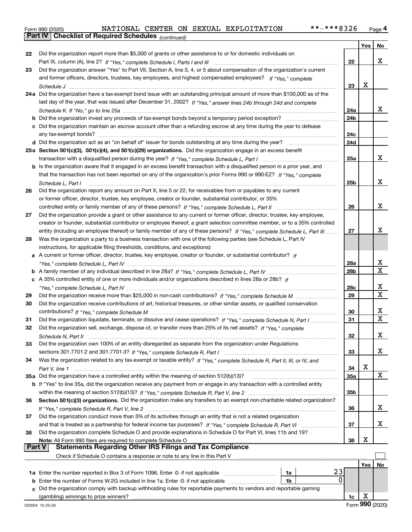|  | Form 990 (2020) |
|--|-----------------|
|  |                 |

*(continued)*

|               |                                                                                                                                                                                                                                                         |                 | Yes | No          |
|---------------|---------------------------------------------------------------------------------------------------------------------------------------------------------------------------------------------------------------------------------------------------------|-----------------|-----|-------------|
| 22            | Did the organization report more than \$5,000 of grants or other assistance to or for domestic individuals on                                                                                                                                           |                 |     |             |
|               |                                                                                                                                                                                                                                                         | 22              |     | х           |
| 23            | Did the organization answer "Yes" to Part VII, Section A, line 3, 4, or 5 about compensation of the organization's current                                                                                                                              |                 |     |             |
|               | and former officers, directors, trustees, key employees, and highest compensated employees? If "Yes," complete                                                                                                                                          |                 |     |             |
|               |                                                                                                                                                                                                                                                         | 23              | x   |             |
|               | 24a Did the organization have a tax-exempt bond issue with an outstanding principal amount of more than \$100,000 as of the                                                                                                                             |                 |     |             |
|               | last day of the year, that was issued after December 31, 2002? If "Yes," answer lines 24b through 24d and complete                                                                                                                                      |                 |     |             |
|               |                                                                                                                                                                                                                                                         | 24a             |     | х           |
|               | <b>b</b> Did the organization invest any proceeds of tax-exempt bonds beyond a temporary period exception?                                                                                                                                              | 24b             |     |             |
|               | c Did the organization maintain an escrow account other than a refunding escrow at any time during the year to defease                                                                                                                                  |                 |     |             |
|               |                                                                                                                                                                                                                                                         | 24c             |     |             |
|               |                                                                                                                                                                                                                                                         | 24d             |     |             |
|               | 25a Section 501(c)(3), 501(c)(4), and 501(c)(29) organizations. Did the organization engage in an excess benefit                                                                                                                                        |                 |     |             |
|               |                                                                                                                                                                                                                                                         | 25a             |     | х           |
|               | b Is the organization aware that it engaged in an excess benefit transaction with a disqualified person in a prior year, and                                                                                                                            |                 |     |             |
|               | that the transaction has not been reported on any of the organization's prior Forms 990 or 990-EZ? If "Yes," complete                                                                                                                                   |                 |     | х           |
|               | Schedule L, Part I                                                                                                                                                                                                                                      | 25b             |     |             |
| 26            | Did the organization report any amount on Part X, line 5 or 22, for receivables from or payables to any current                                                                                                                                         |                 |     |             |
|               | or former officer, director, trustee, key employee, creator or founder, substantial contributor, or 35%                                                                                                                                                 |                 |     | х           |
|               |                                                                                                                                                                                                                                                         | 26              |     |             |
| 27            | Did the organization provide a grant or other assistance to any current or former officer, director, trustee, key employee,                                                                                                                             |                 |     |             |
|               | creator or founder, substantial contributor or employee thereof, a grant selection committee member, or to a 35% controlled<br>entity (including an employee thereof) or family member of any of these persons? If "Yes," complete Schedule L, Part III | 27              |     | х           |
| 28            | Was the organization a party to a business transaction with one of the following parties (see Schedule L, Part IV                                                                                                                                       |                 |     |             |
|               | instructions, for applicable filing thresholds, conditions, and exceptions):                                                                                                                                                                            |                 |     |             |
|               | a A current or former officer, director, trustee, key employee, creator or founder, or substantial contributor? If                                                                                                                                      |                 |     |             |
|               |                                                                                                                                                                                                                                                         | 28a             |     | х           |
|               |                                                                                                                                                                                                                                                         | 28 <sub>b</sub> |     | $\mathbf x$ |
|               | c A 35% controlled entity of one or more individuals and/or organizations described in lines 28a or 28b? If                                                                                                                                             |                 |     |             |
|               |                                                                                                                                                                                                                                                         | 28c             |     | х           |
| 29            |                                                                                                                                                                                                                                                         | 29              |     | $\mathbf X$ |
| 30            | Did the organization receive contributions of art, historical treasures, or other similar assets, or qualified conservation                                                                                                                             |                 |     |             |
|               |                                                                                                                                                                                                                                                         | 30              |     | х           |
| 31            | Did the organization liquidate, terminate, or dissolve and cease operations? If "Yes," complete Schedule N, Part I                                                                                                                                      | 31              |     | X           |
| 32            | Did the organization sell, exchange, dispose of, or transfer more than 25% of its net assets? If "Yes," complete                                                                                                                                        |                 |     |             |
|               |                                                                                                                                                                                                                                                         | 32              |     | х           |
| 33            | Did the organization own 100% of an entity disregarded as separate from the organization under Regulations                                                                                                                                              |                 |     |             |
|               |                                                                                                                                                                                                                                                         | 33              |     | х           |
| 34            | Was the organization related to any tax-exempt or taxable entity? If "Yes," complete Schedule R, Part II, III, or IV, and                                                                                                                               |                 |     |             |
|               |                                                                                                                                                                                                                                                         | 34              | X   |             |
|               | 35a Did the organization have a controlled entity within the meaning of section 512(b)(13)?                                                                                                                                                             | <b>35a</b>      |     | X           |
|               | <b>b</b> If "Yes" to line 35a, did the organization receive any payment from or engage in any transaction with a controlled entity                                                                                                                      |                 |     |             |
|               |                                                                                                                                                                                                                                                         | 35b             |     |             |
| 36            | Section 501(c)(3) organizations. Did the organization make any transfers to an exempt non-charitable related organization?                                                                                                                              |                 |     |             |
|               |                                                                                                                                                                                                                                                         | 36              |     | X           |
| 37            | Did the organization conduct more than 5% of its activities through an entity that is not a related organization                                                                                                                                        |                 |     |             |
|               |                                                                                                                                                                                                                                                         | 37              |     | x           |
| 38            | Did the organization complete Schedule O and provide explanations in Schedule O for Part VI, lines 11b and 19?                                                                                                                                          |                 |     |             |
|               | Note: All Form 990 filers are required to complete Schedule O                                                                                                                                                                                           | 38              | х   |             |
| <b>Part V</b> | <b>Statements Regarding Other IRS Filings and Tax Compliance</b>                                                                                                                                                                                        |                 |     |             |
|               | Check if Schedule O contains a response or note to any line in this Part V                                                                                                                                                                              |                 |     |             |
|               | 23                                                                                                                                                                                                                                                      |                 | Yes | No          |
|               | 1a Enter the number reported in Box 3 of Form 1096. Enter -0- if not applicable<br>1a<br>0                                                                                                                                                              |                 |     |             |
| b             | Enter the number of Forms W-2G included in line 1a. Enter -0- if not applicable<br>1b<br>Did the organization comply with backup withholding rules for reportable payments to vendors and reportable gaming                                             |                 |     |             |
|               |                                                                                                                                                                                                                                                         | 1c              | х   |             |
|               |                                                                                                                                                                                                                                                         |                 |     |             |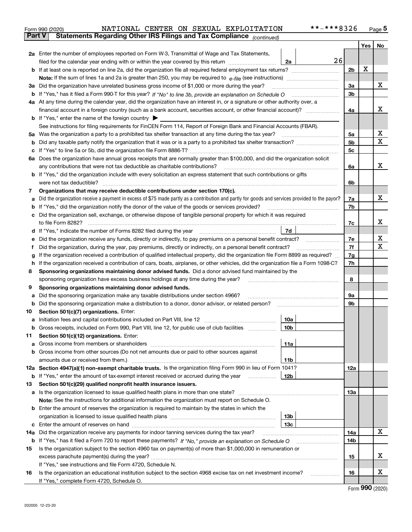|               | **-***8326<br>NATIONAL CENTER ON SEXUAL EXPLOITATION<br>Form 990 (2020)                                                                         |                |     | $_{\text{Page}}$ 5 |  |  |  |  |  |
|---------------|-------------------------------------------------------------------------------------------------------------------------------------------------|----------------|-----|--------------------|--|--|--|--|--|
| <b>Part V</b> | Statements Regarding Other IRS Filings and Tax Compliance (continued)                                                                           |                |     |                    |  |  |  |  |  |
|               |                                                                                                                                                 |                | Yes | No                 |  |  |  |  |  |
|               | 2a Enter the number of employees reported on Form W-3, Transmittal of Wage and Tax Statements,                                                  |                |     |                    |  |  |  |  |  |
|               | 26<br>filed for the calendar year ending with or within the year covered by this return<br>2a                                                   |                |     |                    |  |  |  |  |  |
|               |                                                                                                                                                 | 2b             | х   |                    |  |  |  |  |  |
|               |                                                                                                                                                 |                |     |                    |  |  |  |  |  |
| За            | Did the organization have unrelated business gross income of \$1,000 or more during the year?                                                   | 3a             |     | x                  |  |  |  |  |  |
|               |                                                                                                                                                 | 3b             |     |                    |  |  |  |  |  |
|               | 4a At any time during the calendar year, did the organization have an interest in, or a signature or other authority over, a                    |                |     |                    |  |  |  |  |  |
|               |                                                                                                                                                 | 4a             |     | х                  |  |  |  |  |  |
|               | <b>b</b> If "Yes," enter the name of the foreign country $\blacktriangleright$                                                                  |                |     |                    |  |  |  |  |  |
|               | See instructions for filing requirements for FinCEN Form 114, Report of Foreign Bank and Financial Accounts (FBAR).                             |                |     |                    |  |  |  |  |  |
| 5a            | Was the organization a party to a prohibited tax shelter transaction at any time during the tax year?                                           | 5a             |     | х                  |  |  |  |  |  |
| b             |                                                                                                                                                 | 5 <sub>b</sub> |     | X                  |  |  |  |  |  |
| с             |                                                                                                                                                 | 5c             |     |                    |  |  |  |  |  |
|               | 6a Does the organization have annual gross receipts that are normally greater than \$100,000, and did the organization solicit                  |                |     |                    |  |  |  |  |  |
|               | any contributions that were not tax deductible as charitable contributions?                                                                     | 6a             |     | x                  |  |  |  |  |  |
|               | <b>b</b> If "Yes," did the organization include with every solicitation an express statement that such contributions or gifts                   |                |     |                    |  |  |  |  |  |
|               | were not tax deductible?                                                                                                                        | 6b             |     |                    |  |  |  |  |  |
| 7             | Organizations that may receive deductible contributions under section 170(c).                                                                   |                |     |                    |  |  |  |  |  |
| а             | Did the organization receive a payment in excess of \$75 made partly as a contribution and partly for goods and services provided to the payor? | 7a             |     | x                  |  |  |  |  |  |
| b             | If "Yes," did the organization notify the donor of the value of the goods or services provided?                                                 | 7b             |     |                    |  |  |  |  |  |
| с             | Did the organization sell, exchange, or otherwise dispose of tangible personal property for which it was required                               |                |     |                    |  |  |  |  |  |
|               |                                                                                                                                                 | 7c             |     | х                  |  |  |  |  |  |
|               | 7d                                                                                                                                              |                |     |                    |  |  |  |  |  |
| е             | Did the organization receive any funds, directly or indirectly, to pay premiums on a personal benefit contract?                                 | 7e             |     | х<br>X             |  |  |  |  |  |
| f             | Did the organization, during the year, pay premiums, directly or indirectly, on a personal benefit contract?                                    | 7f             |     |                    |  |  |  |  |  |
| g             | If the organization received a contribution of qualified intellectual property, did the organization file Form 8899 as required?                | 7g             |     |                    |  |  |  |  |  |
| h             | If the organization received a contribution of cars, boats, airplanes, or other vehicles, did the organization file a Form 1098-C?              | 7h             |     |                    |  |  |  |  |  |
| 8             | Sponsoring organizations maintaining donor advised funds. Did a donor advised fund maintained by the                                            |                |     |                    |  |  |  |  |  |
|               | sponsoring organization have excess business holdings at any time during the year?                                                              | 8              |     |                    |  |  |  |  |  |
| 9             | Sponsoring organizations maintaining donor advised funds.<br>Did the sponsoring organization make any taxable distributions under section 4966? | 9а             |     |                    |  |  |  |  |  |
| а<br>b        | Did the sponsoring organization make a distribution to a donor, donor advisor, or related person?                                               | 9b             |     |                    |  |  |  |  |  |
| 10            | Section 501(c)(7) organizations. Enter:                                                                                                         |                |     |                    |  |  |  |  |  |
|               | 10a                                                                                                                                             |                |     |                    |  |  |  |  |  |
|               | 10 <sub>b</sub><br>Gross receipts, included on Form 990, Part VIII, line 12, for public use of club facilities                                  |                |     |                    |  |  |  |  |  |
| 11            | Section 501(c)(12) organizations. Enter:                                                                                                        |                |     |                    |  |  |  |  |  |
| a             | Gross income from members or shareholders<br>11a                                                                                                |                |     |                    |  |  |  |  |  |
| b             | Gross income from other sources (Do not net amounts due or paid to other sources against                                                        |                |     |                    |  |  |  |  |  |
|               | 11b                                                                                                                                             |                |     |                    |  |  |  |  |  |
|               | 12a Section 4947(a)(1) non-exempt charitable trusts. Is the organization filing Form 990 in lieu of Form 1041?                                  | 12a            |     |                    |  |  |  |  |  |
|               | 12 <sub>b</sub><br><b>b</b> If "Yes," enter the amount of tax-exempt interest received or accrued during the year                               |                |     |                    |  |  |  |  |  |
| 13            | Section 501(c)(29) qualified nonprofit health insurance issuers.                                                                                |                |     |                    |  |  |  |  |  |
| a             | Is the organization licensed to issue qualified health plans in more than one state?                                                            | 13a            |     |                    |  |  |  |  |  |
|               | Note: See the instructions for additional information the organization must report on Schedule O.                                               |                |     |                    |  |  |  |  |  |
| b             | Enter the amount of reserves the organization is required to maintain by the states in which the                                                |                |     |                    |  |  |  |  |  |
|               | 13 <sub>b</sub>                                                                                                                                 |                |     |                    |  |  |  |  |  |
|               | 13c                                                                                                                                             |                |     |                    |  |  |  |  |  |
| 14a           | Did the organization receive any payments for indoor tanning services during the tax year?                                                      | 14a            |     | x                  |  |  |  |  |  |
|               | <b>b</b> If "Yes," has it filed a Form 720 to report these payments? If "No," provide an explanation on Schedule O                              | 14b            |     |                    |  |  |  |  |  |
| 15            | Is the organization subject to the section 4960 tax on payment(s) of more than \$1,000,000 in remuneration or                                   |                |     |                    |  |  |  |  |  |
|               |                                                                                                                                                 | 15             |     | х                  |  |  |  |  |  |
|               | If "Yes," see instructions and file Form 4720, Schedule N.                                                                                      |                |     |                    |  |  |  |  |  |
| 16            | Is the organization an educational institution subject to the section 4968 excise tax on net investment income?                                 | 16             |     | х                  |  |  |  |  |  |
|               | If "Yes," complete Form 4720, Schedule O.                                                                                                       |                |     |                    |  |  |  |  |  |

Form (2020) **990**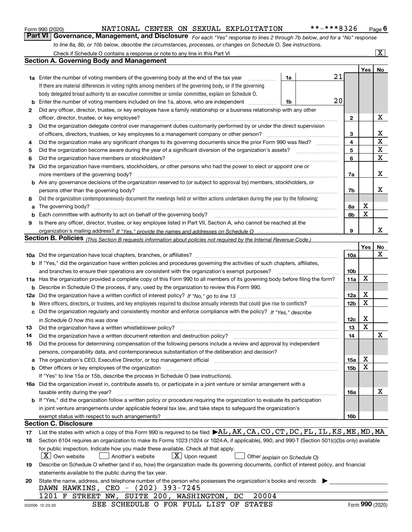|  | Form 990 (2020) |
|--|-----------------|
|  |                 |

*For each "Yes" response to lines 2 through 7b below, and for a "No" response to line 8a, 8b, or 10b below, describe the circumstances, processes, or changes on Schedule O. See instructions.* Form 990 (2020) **1990 COVER 1999 12: Page 6 Page 6 Page 6 Page 6 Page 6 Page 6 Page 6 Page 6 Page 6 Page 6 Page 6 Page 6 Page 6 Page 6 Page 6 Page 6 Page 6 Page 6 Page 6 Page 6 Page 6 Page 6 Page 6 Page 6 Page 6 Page 7 Pag** 

|     | Check if Schedule O contains a response or note to any line in this Part VI                                                                                                                                                             |                 |                 |     | X           |
|-----|-----------------------------------------------------------------------------------------------------------------------------------------------------------------------------------------------------------------------------------------|-----------------|-----------------|-----|-------------|
|     | <b>Section A. Governing Body and Management</b>                                                                                                                                                                                         |                 |                 |     |             |
|     |                                                                                                                                                                                                                                         |                 |                 | Yes | No          |
|     | 1a Enter the number of voting members of the governing body at the end of the tax year<br>1a                                                                                                                                            | 21              |                 |     |             |
|     | If there are material differences in voting rights among members of the governing body, or if the governing                                                                                                                             |                 |                 |     |             |
|     | body delegated broad authority to an executive committee or similar committee, explain on Schedule O.                                                                                                                                   |                 |                 |     |             |
| b   | Enter the number of voting members included on line 1a, above, who are independent<br>1b                                                                                                                                                | 20              |                 |     |             |
| 2   | Did any officer, director, trustee, or key employee have a family relationship or a business relationship with any other                                                                                                                |                 |                 |     |             |
|     | officer, director, trustee, or key employee?<br>.                                                                                                                                                                                       | $\mathbf{2}$    |                 |     | х           |
| 3   | Did the organization delegate control over management duties customarily performed by or under the direct supervision                                                                                                                   |                 |                 |     |             |
|     | of officers, directors, trustees, or key employees to a management company or other person?                                                                                                                                             | 3               |                 |     | х           |
| 4   | Did the organization make any significant changes to its governing documents since the prior Form 990 was filed?                                                                                                                        | 4               |                 |     | $\mathbf X$ |
| 5   |                                                                                                                                                                                                                                         | 5               |                 |     | $\mathbf X$ |
| 6   | Did the organization have members or stockholders?                                                                                                                                                                                      | 6               |                 |     | X           |
| 7a  | Did the organization have members, stockholders, or other persons who had the power to elect or appoint one or                                                                                                                          |                 |                 |     |             |
|     | more members of the governing body?                                                                                                                                                                                                     | 7a              |                 |     | х           |
|     | <b>b</b> Are any governance decisions of the organization reserved to (or subject to approval by) members, stockholders, or                                                                                                             |                 |                 |     |             |
|     | persons other than the governing body?                                                                                                                                                                                                  | 7b              |                 |     | х           |
| 8   | Did the organization contemporaneously document the meetings held or written actions undertaken during the year by the following:                                                                                                       |                 |                 |     |             |
| a   |                                                                                                                                                                                                                                         | 8а              | х               |     |             |
| b   |                                                                                                                                                                                                                                         | 8b              | X               |     |             |
| 9   | Is there any officer, director, trustee, or key employee listed in Part VII, Section A, who cannot be reached at the                                                                                                                    |                 |                 |     |             |
|     |                                                                                                                                                                                                                                         | 9               |                 |     | x           |
|     | <b>Section B. Policies</b> (This Section B requests information about policies not required by the Internal Revenue Code.)                                                                                                              |                 |                 |     |             |
|     |                                                                                                                                                                                                                                         |                 |                 | Yes | No          |
|     |                                                                                                                                                                                                                                         | 10a             |                 |     | х           |
|     | <b>b</b> If "Yes," did the organization have written policies and procedures governing the activities of such chapters, affiliates,                                                                                                     |                 |                 |     |             |
|     | and branches to ensure their operations are consistent with the organization's exempt purposes?                                                                                                                                         | 10 <sub>b</sub> |                 |     |             |
|     | 11a Has the organization provided a complete copy of this Form 990 to all members of its governing body before filing the form?                                                                                                         | 11a             | X               |     |             |
|     | <b>b</b> Describe in Schedule O the process, if any, used by the organization to review this Form 990.                                                                                                                                  |                 |                 |     |             |
| 12a |                                                                                                                                                                                                                                         | 12a             | х               |     |             |
| b   |                                                                                                                                                                                                                                         | 12 <sub>b</sub> | X               |     |             |
| с   | Did the organization regularly and consistently monitor and enforce compliance with the policy? If "Yes." describe                                                                                                                      |                 |                 |     |             |
|     | in Schedule O how this was done measured and contained a state of the state of the state of the state of the s                                                                                                                          | 12 <sub>c</sub> | х               |     |             |
| 13  | Did the organization have a written whistleblower policy?                                                                                                                                                                               | 13              | Х               |     |             |
| 14  | Did the organization have a written document retention and destruction policy?                                                                                                                                                          | 14              |                 |     | X           |
| 15  | Did the process for determining compensation of the following persons include a review and approval by independent                                                                                                                      |                 |                 |     |             |
|     | persons, comparability data, and contemporaneous substantiation of the deliberation and decision?                                                                                                                                       |                 |                 |     |             |
| а   | The organization's CEO, Executive Director, or top management official manufactured content content of the organization's CEO, Executive Director, or top management official manufactured content of the organization's                | 15a             | х               |     |             |
|     |                                                                                                                                                                                                                                         | 15b             | х               |     |             |
|     | If "Yes" to line 15a or 15b, describe the process in Schedule O (see instructions).                                                                                                                                                     |                 |                 |     |             |
|     | 16a Did the organization invest in, contribute assets to, or participate in a joint venture or similar arrangement with a                                                                                                               |                 |                 |     |             |
|     | taxable entity during the year?                                                                                                                                                                                                         | 16a             |                 |     | х           |
|     | b If "Yes," did the organization follow a written policy or procedure requiring the organization to evaluate its participation                                                                                                          |                 |                 |     |             |
|     | in joint venture arrangements under applicable federal tax law, and take steps to safequard the organization's                                                                                                                          |                 |                 |     |             |
|     | exempt status with respect to such arrangements?<br><b>Section C. Disclosure</b>                                                                                                                                                        | 16b             |                 |     |             |
|     | List the states with which a copy of this Form 990 is required to be filed $\blacktriangleright$ AL, AK, CA, CO, CT, DC, FL, IL, KS, ME, MD, MA                                                                                         |                 |                 |     |             |
| 17  |                                                                                                                                                                                                                                         |                 |                 |     |             |
| 18  | Section 6104 requires an organization to make its Forms 1023 (1024 or 1024-A, if applicable), 990, and 990-T (Section 501(c)(3)s only) available<br>for public inspection. Indicate how you made these available. Check all that apply. |                 |                 |     |             |
|     | $\lfloor X \rfloor$ Own website<br>$X$ Upon request<br>Another's website                                                                                                                                                                |                 |                 |     |             |
| 19  | Other (explain on Schedule O)<br>Describe on Schedule O whether (and if so, how) the organization made its governing documents, conflict of interest policy, and financial                                                              |                 |                 |     |             |
|     | statements available to the public during the tax year.                                                                                                                                                                                 |                 |                 |     |             |
| 20  | State the name, address, and telephone number of the person who possesses the organization's books and records                                                                                                                          |                 |                 |     |             |
|     | DAWN HAWKINS, CEO - (202) 393-7245                                                                                                                                                                                                      |                 |                 |     |             |
|     | 20004<br>1201 F STREET NW, SUITE 200, WASHINGTON, DC                                                                                                                                                                                    |                 |                 |     |             |
|     | SEE SCHEDULE O FOR FULL LIST OF STATES<br>032006 12-23-20                                                                                                                                                                               |                 | Form 990 (2020) |     |             |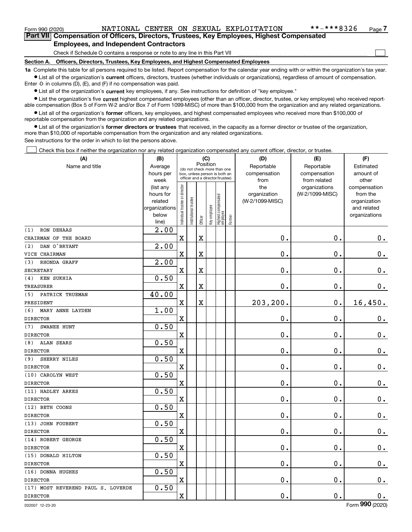$\mathcal{L}^{\text{max}}$ 

| Form 990 (2020) |                                                                                            |  | NATIONAL CENTER ON SEXUAL EXPLOITATION | **-***8326 | Page 7 |
|-----------------|--------------------------------------------------------------------------------------------|--|----------------------------------------|------------|--------|
|                 | Part VII Compensation of Officers, Directors, Trustees, Key Employees, Highest Compensated |  |                                        |            |        |
|                 | <b>Employees, and Independent Contractors</b>                                              |  |                                        |            |        |

Check if Schedule O contains a response or note to any line in this Part VII

**Section A. Officers, Directors, Trustees, Key Employees, and Highest Compensated Employees**

**1a**  Complete this table for all persons required to be listed. Report compensation for the calendar year ending with or within the organization's tax year. **•** List all of the organization's current officers, directors, trustees (whether individuals or organizations), regardless of amount of compensation.

Enter -0- in columns (D), (E), and (F) if no compensation was paid.

 $\bullet$  List all of the organization's  $\,$ current key employees, if any. See instructions for definition of "key employee."

**•** List the organization's five current highest compensated employees (other than an officer, director, trustee, or key employee) who received reportable compensation (Box 5 of Form W-2 and/or Box 7 of Form 1099-MISC) of more than \$100,000 from the organization and any related organizations.

**•** List all of the organization's former officers, key employees, and highest compensated employees who received more than \$100,000 of reportable compensation from the organization and any related organizations.

**former directors or trustees**  ¥ List all of the organization's that received, in the capacity as a former director or trustee of the organization, more than \$10,000 of reportable compensation from the organization and any related organizations.

See instructions for the order in which to list the persons above.

Check this box if neither the organization nor any related organization compensated any current officer, director, or trustee.  $\mathcal{L}^{\text{max}}$ 

| Name and title<br>Reportable<br>Reportable<br>Average<br>Estimated<br>(do not check more than one<br>compensation<br>hours per<br>compensation<br>amount of<br>box, unless person is both an<br>officer and a director/trustee)<br>from related<br>other<br>week<br>from<br>ndividual trustee or director<br>the<br>organizations<br>(list any<br>compensation<br>(W-2/1099-MISC)<br>hours for<br>organization<br>from the<br>  Highest compensated<br>  employee<br>nstitutional trustee<br>(W-2/1099-MISC)<br>related<br>organization<br>key employee<br>organizations<br>and related<br>below<br>organizations<br>Former<br>Officer<br>line)<br>$\overline{2.00}$<br><b>RON DEHAAS</b><br>(1)<br>$\mathbf X$<br>X<br>$\mathbf 0$ .<br>$\mathbf 0$ .<br>$\mathbf 0$ .<br>CHAIRMAN OF THE BOARD<br>2.00<br>DAN O'BRYANT<br>(2)<br>$\mathbf 0$ .<br>0.<br>$\mathbf 0$ .<br>$\mathbf X$<br>X<br>VICE CHAIRMAN<br>2.00<br>RHONDA GRAFF<br>(3)<br>$\overline{\text{X}}$<br>0.<br>$\mathbf 0$ .<br>$0_{.}$<br>$\mathbf x$<br><b>SECRETARY</b><br>0.50<br>KEN SUKHIA<br>(4)<br>$\mathbf 0$ .<br>$\mathbf x$<br>X<br>$\mathbf 0$ .<br>0.<br><b>TREASURER</b><br>40.00<br>PATRICK TRUEMAN<br>(5)<br>$\mathbf X$<br>X<br>203,200.<br>$\mathbf 0$ .<br>16,450.<br>PRESIDENT<br>1.00<br>(6)<br>MARY ANNE LAYDEN<br>$\mathbf x$<br>$\mathbf 0$ .<br>$\mathbf 0$ .<br>$0_{.}$<br><b>DIRECTOR</b><br>0.50<br>SWANEE HUNT<br>(7)<br>$\mathbf X$<br>$\mathbf 0$ .<br>0.<br>$0_{.}$<br><b>DIRECTOR</b><br>0.50<br><b>ALAN SEARS</b><br>(8)<br>$\mathbf x$<br>$\mathbf 0$ .<br>$\mathbf 0$ .<br>$\mathbf 0$ .<br><b>DIRECTOR</b><br>0.50<br>SHERRY NILES<br>(9)<br>$\mathbf X$<br>$\mathbf 0$ .<br>$\mathbf 0$ .<br>$0_{.}$<br><b>DIRECTOR</b><br>0.50<br>(10) CAROLYN WEST<br>$\mathbf{0}$ .<br>$\mathbf 0$ .<br>$\mathbf 0$ .<br>$\mathbf X$<br><b>DIRECTOR</b><br>0.50<br>(11) HADLEY ARKES<br>$\mathbf 0$ .<br>$0_{.}$<br>$\mathbf X$<br>$\mathbf 0$ .<br><b>DIRECTOR</b><br>0.50<br>(12) BETH COONS<br>$\mathbf x$<br>$\mathbf 0$ .<br>$\mathbf 0$ .<br>$0_{.}$<br><b>DIRECTOR</b><br>0.50<br>(13) JOHN FOUBERT<br>$\mathbf 0$ .<br>$\mathbf 0$ .<br>$\mathbf 0$ .<br>$\mathbf X$<br><b>DIRECTOR</b><br>0.50<br>(14) ROBERT GEORGE<br>$\mathbf 0$ .<br>$\mathbf 0$ .<br>$0$ .<br>$\mathbf X$<br><b>DIRECTOR</b><br>0.50<br>(15) DONALD HILTON<br>0.<br>$\mathbf 0$ .<br>$\mathbf X$<br>$\mathbf 0$ .<br><b>DIRECTOR</b><br>0.50<br>(16) DONNA HUGHES<br>$\mathbf 0$ .<br>0.<br>$0$ .<br>$\mathbf X$<br><b>DIRECTOR</b><br>0.50<br>(17) MOST REVEREND PAUL S. LOVERDE<br>$\mathbf 0$ .<br>0.<br>$\mathbf X$<br>0.<br><b>DIRECTOR</b><br>$\overline{\phantom{a}}$ | (A) | (B) | (C)      |  |  |  |  | (D) | (E) | (F) |
|-----------------------------------------------------------------------------------------------------------------------------------------------------------------------------------------------------------------------------------------------------------------------------------------------------------------------------------------------------------------------------------------------------------------------------------------------------------------------------------------------------------------------------------------------------------------------------------------------------------------------------------------------------------------------------------------------------------------------------------------------------------------------------------------------------------------------------------------------------------------------------------------------------------------------------------------------------------------------------------------------------------------------------------------------------------------------------------------------------------------------------------------------------------------------------------------------------------------------------------------------------------------------------------------------------------------------------------------------------------------------------------------------------------------------------------------------------------------------------------------------------------------------------------------------------------------------------------------------------------------------------------------------------------------------------------------------------------------------------------------------------------------------------------------------------------------------------------------------------------------------------------------------------------------------------------------------------------------------------------------------------------------------------------------------------------------------------------------------------------------------------------------------------------------------------------------------------------------------------------------------------------------------------------------------------------------------------------------------------------------------------------------------------------------------------------------------------------------------------------------------------------------------------------------------------------------------------------------------------------------------------------------------------|-----|-----|----------|--|--|--|--|-----|-----|-----|
|                                                                                                                                                                                                                                                                                                                                                                                                                                                                                                                                                                                                                                                                                                                                                                                                                                                                                                                                                                                                                                                                                                                                                                                                                                                                                                                                                                                                                                                                                                                                                                                                                                                                                                                                                                                                                                                                                                                                                                                                                                                                                                                                                                                                                                                                                                                                                                                                                                                                                                                                                                                                                                                     |     |     | Position |  |  |  |  |     |     |     |
|                                                                                                                                                                                                                                                                                                                                                                                                                                                                                                                                                                                                                                                                                                                                                                                                                                                                                                                                                                                                                                                                                                                                                                                                                                                                                                                                                                                                                                                                                                                                                                                                                                                                                                                                                                                                                                                                                                                                                                                                                                                                                                                                                                                                                                                                                                                                                                                                                                                                                                                                                                                                                                                     |     |     |          |  |  |  |  |     |     |     |
|                                                                                                                                                                                                                                                                                                                                                                                                                                                                                                                                                                                                                                                                                                                                                                                                                                                                                                                                                                                                                                                                                                                                                                                                                                                                                                                                                                                                                                                                                                                                                                                                                                                                                                                                                                                                                                                                                                                                                                                                                                                                                                                                                                                                                                                                                                                                                                                                                                                                                                                                                                                                                                                     |     |     |          |  |  |  |  |     |     |     |
|                                                                                                                                                                                                                                                                                                                                                                                                                                                                                                                                                                                                                                                                                                                                                                                                                                                                                                                                                                                                                                                                                                                                                                                                                                                                                                                                                                                                                                                                                                                                                                                                                                                                                                                                                                                                                                                                                                                                                                                                                                                                                                                                                                                                                                                                                                                                                                                                                                                                                                                                                                                                                                                     |     |     |          |  |  |  |  |     |     |     |
|                                                                                                                                                                                                                                                                                                                                                                                                                                                                                                                                                                                                                                                                                                                                                                                                                                                                                                                                                                                                                                                                                                                                                                                                                                                                                                                                                                                                                                                                                                                                                                                                                                                                                                                                                                                                                                                                                                                                                                                                                                                                                                                                                                                                                                                                                                                                                                                                                                                                                                                                                                                                                                                     |     |     |          |  |  |  |  |     |     |     |
|                                                                                                                                                                                                                                                                                                                                                                                                                                                                                                                                                                                                                                                                                                                                                                                                                                                                                                                                                                                                                                                                                                                                                                                                                                                                                                                                                                                                                                                                                                                                                                                                                                                                                                                                                                                                                                                                                                                                                                                                                                                                                                                                                                                                                                                                                                                                                                                                                                                                                                                                                                                                                                                     |     |     |          |  |  |  |  |     |     |     |
|                                                                                                                                                                                                                                                                                                                                                                                                                                                                                                                                                                                                                                                                                                                                                                                                                                                                                                                                                                                                                                                                                                                                                                                                                                                                                                                                                                                                                                                                                                                                                                                                                                                                                                                                                                                                                                                                                                                                                                                                                                                                                                                                                                                                                                                                                                                                                                                                                                                                                                                                                                                                                                                     |     |     |          |  |  |  |  |     |     |     |
|                                                                                                                                                                                                                                                                                                                                                                                                                                                                                                                                                                                                                                                                                                                                                                                                                                                                                                                                                                                                                                                                                                                                                                                                                                                                                                                                                                                                                                                                                                                                                                                                                                                                                                                                                                                                                                                                                                                                                                                                                                                                                                                                                                                                                                                                                                                                                                                                                                                                                                                                                                                                                                                     |     |     |          |  |  |  |  |     |     |     |
|                                                                                                                                                                                                                                                                                                                                                                                                                                                                                                                                                                                                                                                                                                                                                                                                                                                                                                                                                                                                                                                                                                                                                                                                                                                                                                                                                                                                                                                                                                                                                                                                                                                                                                                                                                                                                                                                                                                                                                                                                                                                                                                                                                                                                                                                                                                                                                                                                                                                                                                                                                                                                                                     |     |     |          |  |  |  |  |     |     |     |
|                                                                                                                                                                                                                                                                                                                                                                                                                                                                                                                                                                                                                                                                                                                                                                                                                                                                                                                                                                                                                                                                                                                                                                                                                                                                                                                                                                                                                                                                                                                                                                                                                                                                                                                                                                                                                                                                                                                                                                                                                                                                                                                                                                                                                                                                                                                                                                                                                                                                                                                                                                                                                                                     |     |     |          |  |  |  |  |     |     |     |
|                                                                                                                                                                                                                                                                                                                                                                                                                                                                                                                                                                                                                                                                                                                                                                                                                                                                                                                                                                                                                                                                                                                                                                                                                                                                                                                                                                                                                                                                                                                                                                                                                                                                                                                                                                                                                                                                                                                                                                                                                                                                                                                                                                                                                                                                                                                                                                                                                                                                                                                                                                                                                                                     |     |     |          |  |  |  |  |     |     |     |
|                                                                                                                                                                                                                                                                                                                                                                                                                                                                                                                                                                                                                                                                                                                                                                                                                                                                                                                                                                                                                                                                                                                                                                                                                                                                                                                                                                                                                                                                                                                                                                                                                                                                                                                                                                                                                                                                                                                                                                                                                                                                                                                                                                                                                                                                                                                                                                                                                                                                                                                                                                                                                                                     |     |     |          |  |  |  |  |     |     |     |
|                                                                                                                                                                                                                                                                                                                                                                                                                                                                                                                                                                                                                                                                                                                                                                                                                                                                                                                                                                                                                                                                                                                                                                                                                                                                                                                                                                                                                                                                                                                                                                                                                                                                                                                                                                                                                                                                                                                                                                                                                                                                                                                                                                                                                                                                                                                                                                                                                                                                                                                                                                                                                                                     |     |     |          |  |  |  |  |     |     |     |
|                                                                                                                                                                                                                                                                                                                                                                                                                                                                                                                                                                                                                                                                                                                                                                                                                                                                                                                                                                                                                                                                                                                                                                                                                                                                                                                                                                                                                                                                                                                                                                                                                                                                                                                                                                                                                                                                                                                                                                                                                                                                                                                                                                                                                                                                                                                                                                                                                                                                                                                                                                                                                                                     |     |     |          |  |  |  |  |     |     |     |
|                                                                                                                                                                                                                                                                                                                                                                                                                                                                                                                                                                                                                                                                                                                                                                                                                                                                                                                                                                                                                                                                                                                                                                                                                                                                                                                                                                                                                                                                                                                                                                                                                                                                                                                                                                                                                                                                                                                                                                                                                                                                                                                                                                                                                                                                                                                                                                                                                                                                                                                                                                                                                                                     |     |     |          |  |  |  |  |     |     |     |
|                                                                                                                                                                                                                                                                                                                                                                                                                                                                                                                                                                                                                                                                                                                                                                                                                                                                                                                                                                                                                                                                                                                                                                                                                                                                                                                                                                                                                                                                                                                                                                                                                                                                                                                                                                                                                                                                                                                                                                                                                                                                                                                                                                                                                                                                                                                                                                                                                                                                                                                                                                                                                                                     |     |     |          |  |  |  |  |     |     |     |
|                                                                                                                                                                                                                                                                                                                                                                                                                                                                                                                                                                                                                                                                                                                                                                                                                                                                                                                                                                                                                                                                                                                                                                                                                                                                                                                                                                                                                                                                                                                                                                                                                                                                                                                                                                                                                                                                                                                                                                                                                                                                                                                                                                                                                                                                                                                                                                                                                                                                                                                                                                                                                                                     |     |     |          |  |  |  |  |     |     |     |
|                                                                                                                                                                                                                                                                                                                                                                                                                                                                                                                                                                                                                                                                                                                                                                                                                                                                                                                                                                                                                                                                                                                                                                                                                                                                                                                                                                                                                                                                                                                                                                                                                                                                                                                                                                                                                                                                                                                                                                                                                                                                                                                                                                                                                                                                                                                                                                                                                                                                                                                                                                                                                                                     |     |     |          |  |  |  |  |     |     |     |
|                                                                                                                                                                                                                                                                                                                                                                                                                                                                                                                                                                                                                                                                                                                                                                                                                                                                                                                                                                                                                                                                                                                                                                                                                                                                                                                                                                                                                                                                                                                                                                                                                                                                                                                                                                                                                                                                                                                                                                                                                                                                                                                                                                                                                                                                                                                                                                                                                                                                                                                                                                                                                                                     |     |     |          |  |  |  |  |     |     |     |
|                                                                                                                                                                                                                                                                                                                                                                                                                                                                                                                                                                                                                                                                                                                                                                                                                                                                                                                                                                                                                                                                                                                                                                                                                                                                                                                                                                                                                                                                                                                                                                                                                                                                                                                                                                                                                                                                                                                                                                                                                                                                                                                                                                                                                                                                                                                                                                                                                                                                                                                                                                                                                                                     |     |     |          |  |  |  |  |     |     |     |
|                                                                                                                                                                                                                                                                                                                                                                                                                                                                                                                                                                                                                                                                                                                                                                                                                                                                                                                                                                                                                                                                                                                                                                                                                                                                                                                                                                                                                                                                                                                                                                                                                                                                                                                                                                                                                                                                                                                                                                                                                                                                                                                                                                                                                                                                                                                                                                                                                                                                                                                                                                                                                                                     |     |     |          |  |  |  |  |     |     |     |
|                                                                                                                                                                                                                                                                                                                                                                                                                                                                                                                                                                                                                                                                                                                                                                                                                                                                                                                                                                                                                                                                                                                                                                                                                                                                                                                                                                                                                                                                                                                                                                                                                                                                                                                                                                                                                                                                                                                                                                                                                                                                                                                                                                                                                                                                                                                                                                                                                                                                                                                                                                                                                                                     |     |     |          |  |  |  |  |     |     |     |
|                                                                                                                                                                                                                                                                                                                                                                                                                                                                                                                                                                                                                                                                                                                                                                                                                                                                                                                                                                                                                                                                                                                                                                                                                                                                                                                                                                                                                                                                                                                                                                                                                                                                                                                                                                                                                                                                                                                                                                                                                                                                                                                                                                                                                                                                                                                                                                                                                                                                                                                                                                                                                                                     |     |     |          |  |  |  |  |     |     |     |
|                                                                                                                                                                                                                                                                                                                                                                                                                                                                                                                                                                                                                                                                                                                                                                                                                                                                                                                                                                                                                                                                                                                                                                                                                                                                                                                                                                                                                                                                                                                                                                                                                                                                                                                                                                                                                                                                                                                                                                                                                                                                                                                                                                                                                                                                                                                                                                                                                                                                                                                                                                                                                                                     |     |     |          |  |  |  |  |     |     |     |
|                                                                                                                                                                                                                                                                                                                                                                                                                                                                                                                                                                                                                                                                                                                                                                                                                                                                                                                                                                                                                                                                                                                                                                                                                                                                                                                                                                                                                                                                                                                                                                                                                                                                                                                                                                                                                                                                                                                                                                                                                                                                                                                                                                                                                                                                                                                                                                                                                                                                                                                                                                                                                                                     |     |     |          |  |  |  |  |     |     |     |
|                                                                                                                                                                                                                                                                                                                                                                                                                                                                                                                                                                                                                                                                                                                                                                                                                                                                                                                                                                                                                                                                                                                                                                                                                                                                                                                                                                                                                                                                                                                                                                                                                                                                                                                                                                                                                                                                                                                                                                                                                                                                                                                                                                                                                                                                                                                                                                                                                                                                                                                                                                                                                                                     |     |     |          |  |  |  |  |     |     |     |
|                                                                                                                                                                                                                                                                                                                                                                                                                                                                                                                                                                                                                                                                                                                                                                                                                                                                                                                                                                                                                                                                                                                                                                                                                                                                                                                                                                                                                                                                                                                                                                                                                                                                                                                                                                                                                                                                                                                                                                                                                                                                                                                                                                                                                                                                                                                                                                                                                                                                                                                                                                                                                                                     |     |     |          |  |  |  |  |     |     |     |
|                                                                                                                                                                                                                                                                                                                                                                                                                                                                                                                                                                                                                                                                                                                                                                                                                                                                                                                                                                                                                                                                                                                                                                                                                                                                                                                                                                                                                                                                                                                                                                                                                                                                                                                                                                                                                                                                                                                                                                                                                                                                                                                                                                                                                                                                                                                                                                                                                                                                                                                                                                                                                                                     |     |     |          |  |  |  |  |     |     |     |
|                                                                                                                                                                                                                                                                                                                                                                                                                                                                                                                                                                                                                                                                                                                                                                                                                                                                                                                                                                                                                                                                                                                                                                                                                                                                                                                                                                                                                                                                                                                                                                                                                                                                                                                                                                                                                                                                                                                                                                                                                                                                                                                                                                                                                                                                                                                                                                                                                                                                                                                                                                                                                                                     |     |     |          |  |  |  |  |     |     |     |
|                                                                                                                                                                                                                                                                                                                                                                                                                                                                                                                                                                                                                                                                                                                                                                                                                                                                                                                                                                                                                                                                                                                                                                                                                                                                                                                                                                                                                                                                                                                                                                                                                                                                                                                                                                                                                                                                                                                                                                                                                                                                                                                                                                                                                                                                                                                                                                                                                                                                                                                                                                                                                                                     |     |     |          |  |  |  |  |     |     |     |
|                                                                                                                                                                                                                                                                                                                                                                                                                                                                                                                                                                                                                                                                                                                                                                                                                                                                                                                                                                                                                                                                                                                                                                                                                                                                                                                                                                                                                                                                                                                                                                                                                                                                                                                                                                                                                                                                                                                                                                                                                                                                                                                                                                                                                                                                                                                                                                                                                                                                                                                                                                                                                                                     |     |     |          |  |  |  |  |     |     |     |
|                                                                                                                                                                                                                                                                                                                                                                                                                                                                                                                                                                                                                                                                                                                                                                                                                                                                                                                                                                                                                                                                                                                                                                                                                                                                                                                                                                                                                                                                                                                                                                                                                                                                                                                                                                                                                                                                                                                                                                                                                                                                                                                                                                                                                                                                                                                                                                                                                                                                                                                                                                                                                                                     |     |     |          |  |  |  |  |     |     |     |
|                                                                                                                                                                                                                                                                                                                                                                                                                                                                                                                                                                                                                                                                                                                                                                                                                                                                                                                                                                                                                                                                                                                                                                                                                                                                                                                                                                                                                                                                                                                                                                                                                                                                                                                                                                                                                                                                                                                                                                                                                                                                                                                                                                                                                                                                                                                                                                                                                                                                                                                                                                                                                                                     |     |     |          |  |  |  |  |     |     |     |
|                                                                                                                                                                                                                                                                                                                                                                                                                                                                                                                                                                                                                                                                                                                                                                                                                                                                                                                                                                                                                                                                                                                                                                                                                                                                                                                                                                                                                                                                                                                                                                                                                                                                                                                                                                                                                                                                                                                                                                                                                                                                                                                                                                                                                                                                                                                                                                                                                                                                                                                                                                                                                                                     |     |     |          |  |  |  |  |     |     |     |
|                                                                                                                                                                                                                                                                                                                                                                                                                                                                                                                                                                                                                                                                                                                                                                                                                                                                                                                                                                                                                                                                                                                                                                                                                                                                                                                                                                                                                                                                                                                                                                                                                                                                                                                                                                                                                                                                                                                                                                                                                                                                                                                                                                                                                                                                                                                                                                                                                                                                                                                                                                                                                                                     |     |     |          |  |  |  |  |     |     |     |
|                                                                                                                                                                                                                                                                                                                                                                                                                                                                                                                                                                                                                                                                                                                                                                                                                                                                                                                                                                                                                                                                                                                                                                                                                                                                                                                                                                                                                                                                                                                                                                                                                                                                                                                                                                                                                                                                                                                                                                                                                                                                                                                                                                                                                                                                                                                                                                                                                                                                                                                                                                                                                                                     |     |     |          |  |  |  |  |     |     |     |
|                                                                                                                                                                                                                                                                                                                                                                                                                                                                                                                                                                                                                                                                                                                                                                                                                                                                                                                                                                                                                                                                                                                                                                                                                                                                                                                                                                                                                                                                                                                                                                                                                                                                                                                                                                                                                                                                                                                                                                                                                                                                                                                                                                                                                                                                                                                                                                                                                                                                                                                                                                                                                                                     |     |     |          |  |  |  |  |     |     |     |
|                                                                                                                                                                                                                                                                                                                                                                                                                                                                                                                                                                                                                                                                                                                                                                                                                                                                                                                                                                                                                                                                                                                                                                                                                                                                                                                                                                                                                                                                                                                                                                                                                                                                                                                                                                                                                                                                                                                                                                                                                                                                                                                                                                                                                                                                                                                                                                                                                                                                                                                                                                                                                                                     |     |     |          |  |  |  |  |     |     |     |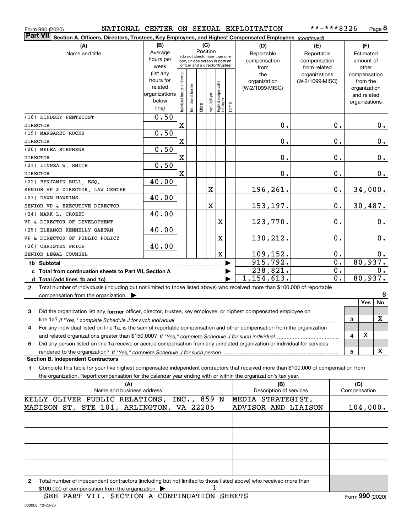| Form 990 (2020) |
|-----------------|
|-----------------|

#### Form 990 (2020) NATIONAL CENTER ON SEXUAL EXPLOITATION \*\*-\*\*\*8326 Page

| **-***8326 | Page 8 |
|------------|--------|
|------------|--------|

| Part VII Section A. Officers, Directors, Trustees, Key Employees, and Highest Compensated Employees (continued)                              |                        |                                |                                 |          |              |                                   |        |                                 |                                  |                          |
|----------------------------------------------------------------------------------------------------------------------------------------------|------------------------|--------------------------------|---------------------------------|----------|--------------|-----------------------------------|--------|---------------------------------|----------------------------------|--------------------------|
| (A)                                                                                                                                          | (B)                    |                                |                                 | (C)      |              |                                   |        | (D)                             | (E)                              | (F)                      |
| Name and title                                                                                                                               | Average                |                                | (do not check more than one     | Position |              |                                   |        | Reportable                      | Reportable                       | Estimated                |
|                                                                                                                                              | hours per              |                                | box, unless person is both an   |          |              |                                   |        | compensation                    | compensation                     | amount of                |
|                                                                                                                                              | week                   |                                | officer and a director/trustee) |          |              |                                   |        | from                            | from related                     | other                    |
|                                                                                                                                              | (list any<br>hours for | Individual trustee or director |                                 |          |              |                                   |        | the                             | organizations<br>(W-2/1099-MISC) | compensation             |
|                                                                                                                                              | related                |                                |                                 |          |              |                                   |        | organization<br>(W-2/1099-MISC) |                                  | from the<br>organization |
|                                                                                                                                              | organizations          |                                | Institutional trustee           |          |              |                                   |        |                                 |                                  | and related              |
|                                                                                                                                              | below                  |                                |                                 |          | Key employee |                                   |        |                                 |                                  | organizations            |
|                                                                                                                                              | line)                  |                                |                                 | Officer  |              | Highest compensated<br>  employee | Former |                                 |                                  |                          |
| (18) KINDSEY PENTECOST                                                                                                                       | 0.50                   |                                |                                 |          |              |                                   |        |                                 |                                  |                          |
| <b>DIRECTOR</b>                                                                                                                              |                        | $\mathbf X$                    |                                 |          |              |                                   |        | $\mathbf 0$ .                   | $0$ .                            | 0.                       |
| (19) MARGARET RUCKS                                                                                                                          | 0.50                   |                                |                                 |          |              |                                   |        |                                 |                                  |                          |
| <b>DIRECTOR</b>                                                                                                                              |                        | X                              |                                 |          |              |                                   |        | $\mathbf 0$ .                   | $0$ .                            | 0.                       |
| (20) MELEA STEPHENS                                                                                                                          | 0.50                   |                                |                                 |          |              |                                   |        |                                 |                                  |                          |
| <b>DIRECTOR</b>                                                                                                                              |                        | X                              |                                 |          |              |                                   |        | $\mathbf 0$ .                   | $0$ .                            | 0.                       |
| (21) LINNEA W. SMITH                                                                                                                         | 0.50                   |                                |                                 |          |              |                                   |        |                                 |                                  |                          |
| <b>DIRECTOR</b>                                                                                                                              |                        | $\mathbf X$                    |                                 |          |              |                                   |        | 0.                              | $0$ .                            | 0.                       |
| (22) BENJAMIN BULL, ESQ.                                                                                                                     | 40.00                  |                                |                                 |          |              |                                   |        |                                 |                                  |                          |
| SENIOR VP & DIRECTOR, LAW CENTER                                                                                                             |                        |                                |                                 |          | X            |                                   |        | 196,261.                        | $\mathbf 0$ .                    | 34,000.                  |
| (23) DAWN HAWKINS                                                                                                                            | 40.00                  |                                |                                 |          |              |                                   |        |                                 |                                  |                          |
| SENIOR VP & EXECUTIVE DIRECTOR                                                                                                               |                        |                                |                                 |          | X            |                                   |        | 153,197.                        | 0.                               | 30,487.                  |
| (24) MARK L. CROZET                                                                                                                          | 40.00                  |                                |                                 |          |              |                                   |        |                                 |                                  |                          |
| VP & DIRECTOR OF DEVELOPMENT                                                                                                                 |                        |                                |                                 |          |              | X                                 |        | 123,770.                        | 0.                               | 0.                       |
| (25) ELEANOR KENNELLY GAETAN                                                                                                                 | 40.00                  |                                |                                 |          |              |                                   |        |                                 |                                  |                          |
| VP & DIRECTOR OF PUBLIC POLICY                                                                                                               |                        |                                |                                 |          |              | X                                 |        | 130,212.                        | 0.                               | 0.                       |
| (26) CHRISTEN PRICE                                                                                                                          | 40.00                  |                                |                                 |          |              |                                   |        |                                 |                                  |                          |
| SENIOR LEGAL COUNSEL                                                                                                                         |                        |                                |                                 |          |              | $\mathbf X$                       |        | 109,152.                        | 0.                               | $0$ .                    |
| 1b Subtotal                                                                                                                                  |                        |                                |                                 |          |              |                                   |        | 915, 792.                       | 0.                               | 80,937.                  |
| c Total from continuation sheets to Part VII, Section A [111] [12] Total from continuation sheets to Part VII, Section A                     |                        |                                |                                 |          |              |                                   |        | 238,821.                        | 0.                               | 0.                       |
|                                                                                                                                              |                        |                                |                                 |          |              |                                   |        | 1, 154, 613.                    | 0.                               | 80,937.                  |
| Total number of individuals (including but not limited to those listed above) who received more than \$100,000 of reportable<br>$\mathbf{2}$ |                        |                                |                                 |          |              |                                   |        |                                 |                                  |                          |
| compensation from the organization $\blacktriangleright$                                                                                     |                        |                                |                                 |          |              |                                   |        |                                 |                                  | 8                        |
|                                                                                                                                              |                        |                                |                                 |          |              |                                   |        |                                 |                                  | No<br><b>Yes</b>         |
| 3<br>Did the organization list any former officer, director, trustee, key employee, or highest compensated employee on                       |                        |                                |                                 |          |              |                                   |        |                                 |                                  |                          |
|                                                                                                                                              |                        |                                |                                 |          |              |                                   |        |                                 |                                  | х<br>3                   |
| For any individual listed on line 1a, is the sum of reportable compensation and other compensation from the organization                     |                        |                                |                                 |          |              |                                   |        |                                 |                                  |                          |
|                                                                                                                                              |                        |                                |                                 |          |              |                                   |        |                                 |                                  | X<br>4                   |
| Did any person listed on line 1a receive or accrue compensation from any unrelated organization or individual for services<br>5              |                        |                                |                                 |          |              |                                   |        |                                 |                                  |                          |
| rendered to the organization? If "Yes." complete Schedule J for such person.                                                                 |                        |                                |                                 |          |              |                                   |        |                                 |                                  | x<br>5                   |
| <b>Section B. Independent Contractors</b>                                                                                                    |                        |                                |                                 |          |              |                                   |        |                                 |                                  |                          |
| Complete this table for your five highest compensated independent contractors that received more than \$100,000 of compensation from<br>1    |                        |                                |                                 |          |              |                                   |        |                                 |                                  |                          |
| the organization. Report compensation for the calendar year ending with or within the organization's tax year.                               |                        |                                |                                 |          |              |                                   |        |                                 |                                  |                          |
| (A)<br>Name and business address                                                                                                             |                        |                                |                                 |          |              |                                   |        | (B)<br>Description of services  |                                  | (C)<br>Compensation      |
| KELLY OLIVER PUBLIC RELATIONS, INC., 859 N                                                                                                   |                        |                                |                                 |          |              |                                   |        | MEDIA STRATEGIST,               |                                  |                          |
| MADISON ST, STE 101, ARLINGTON, VA 22205                                                                                                     |                        |                                |                                 |          |              |                                   |        | ADVISOR AND LIAISON             |                                  | 104,000.                 |
|                                                                                                                                              |                        |                                |                                 |          |              |                                   |        |                                 |                                  |                          |
|                                                                                                                                              |                        |                                |                                 |          |              |                                   |        |                                 |                                  |                          |
|                                                                                                                                              |                        |                                |                                 |          |              |                                   |        |                                 |                                  |                          |
|                                                                                                                                              |                        |                                |                                 |          |              |                                   |        |                                 |                                  |                          |
|                                                                                                                                              |                        |                                |                                 |          |              |                                   |        |                                 |                                  |                          |
|                                                                                                                                              |                        |                                |                                 |          |              |                                   |        |                                 |                                  |                          |
|                                                                                                                                              |                        |                                |                                 |          |              |                                   |        |                                 |                                  |                          |

**2**Total number of independent contractors (including but not limited to those listed above) who received more than \$100,000 of compensation from the organization 1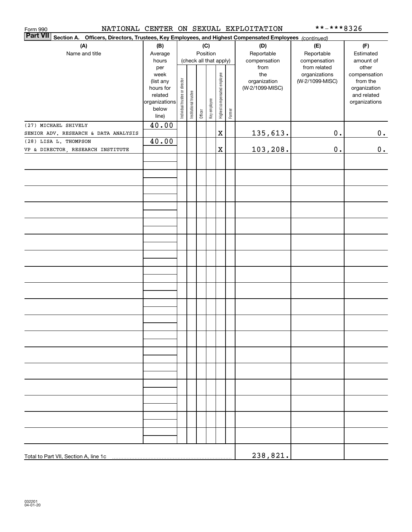| Form 990<br><b>Part VII</b> |                                                                                                        |                |                                |                       |         |              |                              |        | NATIONAL CENTER ON SEXUAL EXPLOITATION | **-***8326                    |                       |
|-----------------------------|--------------------------------------------------------------------------------------------------------|----------------|--------------------------------|-----------------------|---------|--------------|------------------------------|--------|----------------------------------------|-------------------------------|-----------------------|
|                             | Section A. Officers, Directors, Trustees, Key Employees, and Highest Compensated Employees (continued) |                |                                |                       |         |              |                              |        |                                        |                               |                       |
|                             | (A)                                                                                                    | (B)            |                                |                       |         | (C)          |                              |        | (D)                                    | (E)                           | (F)                   |
|                             | Name and title                                                                                         | Average        |                                |                       |         | Position     |                              |        | Reportable                             | Reportable                    | Estimated             |
|                             |                                                                                                        | hours          |                                |                       |         |              | (check all that apply)       |        | compensation                           | compensation                  | amount of             |
|                             |                                                                                                        | per<br>week    |                                |                       |         |              |                              |        | from<br>the                            | from related<br>organizations | other<br>compensation |
|                             |                                                                                                        | (list any      |                                |                       |         |              |                              |        | organization                           | (W-2/1099-MISC)               | from the              |
|                             |                                                                                                        | hours for      |                                |                       |         |              |                              |        | (W-2/1099-MISC)                        |                               | organization          |
|                             |                                                                                                        | related        |                                |                       |         |              |                              |        |                                        |                               | and related           |
|                             |                                                                                                        | organizations  |                                |                       |         |              |                              |        |                                        |                               | organizations         |
|                             |                                                                                                        | below<br>line) | Individual trustee or director | Institutional trustee | Officer | Key employee | Highest compensated employee | Former |                                        |                               |                       |
|                             | (27) MICHAEL SHIVELY                                                                                   | 40.00          |                                |                       |         |              |                              |        |                                        |                               |                       |
|                             | SENIOR ADV. RESEARCH & DATA ANALYSIS                                                                   |                |                                |                       |         |              | $\mathbf X$                  |        | 135,613.                               | $0$ .                         | 0.                    |
|                             | (28) LISA L. THOMPSON                                                                                  | 40.00          |                                |                       |         |              |                              |        |                                        |                               |                       |
|                             | VP & DIRECTOR, RESEARCH INSTITUTE                                                                      |                |                                |                       |         |              | X                            |        | 103,208.                               | $\mathbf 0$ .                 | 0.                    |
|                             |                                                                                                        |                |                                |                       |         |              |                              |        |                                        |                               |                       |
|                             |                                                                                                        |                |                                |                       |         |              |                              |        |                                        |                               |                       |
|                             |                                                                                                        |                |                                |                       |         |              |                              |        |                                        |                               |                       |
|                             |                                                                                                        |                |                                |                       |         |              |                              |        |                                        |                               |                       |
|                             |                                                                                                        |                |                                |                       |         |              |                              |        |                                        |                               |                       |
|                             |                                                                                                        |                |                                |                       |         |              |                              |        |                                        |                               |                       |
|                             |                                                                                                        |                |                                |                       |         |              |                              |        |                                        |                               |                       |
|                             |                                                                                                        |                |                                |                       |         |              |                              |        |                                        |                               |                       |
|                             |                                                                                                        |                |                                |                       |         |              |                              |        |                                        |                               |                       |
|                             |                                                                                                        |                |                                |                       |         |              |                              |        |                                        |                               |                       |
|                             |                                                                                                        |                |                                |                       |         |              |                              |        |                                        |                               |                       |
|                             |                                                                                                        |                |                                |                       |         |              |                              |        |                                        |                               |                       |
|                             |                                                                                                        |                |                                |                       |         |              |                              |        |                                        |                               |                       |
|                             |                                                                                                        |                |                                |                       |         |              |                              |        |                                        |                               |                       |
|                             |                                                                                                        |                |                                |                       |         |              |                              |        |                                        |                               |                       |
|                             |                                                                                                        |                |                                |                       |         |              |                              |        |                                        |                               |                       |
|                             |                                                                                                        |                |                                |                       |         |              |                              |        |                                        |                               |                       |
|                             |                                                                                                        |                |                                |                       |         |              |                              |        |                                        |                               |                       |
|                             |                                                                                                        |                |                                |                       |         |              |                              |        |                                        |                               |                       |
|                             |                                                                                                        |                |                                |                       |         |              |                              |        |                                        |                               |                       |
|                             |                                                                                                        |                |                                |                       |         |              |                              |        |                                        |                               |                       |
|                             |                                                                                                        |                |                                |                       |         |              |                              |        |                                        |                               |                       |
|                             |                                                                                                        |                |                                |                       |         |              |                              |        |                                        |                               |                       |
|                             |                                                                                                        |                |                                |                       |         |              |                              |        |                                        |                               |                       |
|                             |                                                                                                        |                |                                |                       |         |              |                              |        |                                        |                               |                       |
|                             |                                                                                                        |                |                                |                       |         |              |                              |        |                                        |                               |                       |
|                             |                                                                                                        |                |                                |                       |         |              |                              |        |                                        |                               |                       |
|                             |                                                                                                        |                |                                |                       |         |              |                              |        |                                        |                               |                       |
|                             |                                                                                                        |                |                                |                       |         |              |                              |        |                                        |                               |                       |
|                             |                                                                                                        |                |                                |                       |         |              |                              |        |                                        |                               |                       |
|                             |                                                                                                        |                |                                |                       |         |              |                              |        |                                        |                               |                       |
|                             |                                                                                                        |                |                                |                       |         |              |                              |        |                                        |                               |                       |
|                             |                                                                                                        |                |                                |                       |         |              |                              |        |                                        |                               |                       |
|                             |                                                                                                        |                |                                |                       |         |              |                              |        |                                        |                               |                       |
|                             |                                                                                                        |                |                                |                       |         |              |                              |        |                                        |                               |                       |
|                             |                                                                                                        |                |                                |                       |         |              |                              |        | 238,821.                               |                               |                       |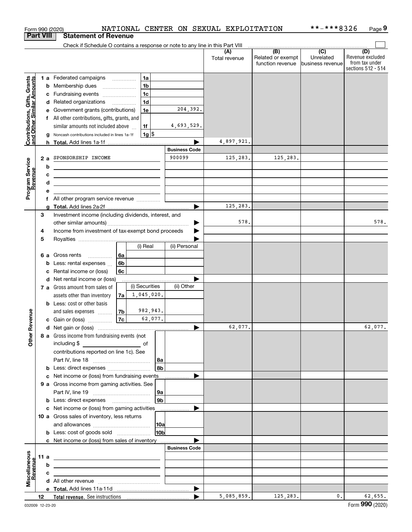|                                                           |                  |   | Form 990 (2020)                                                                                                                                                                                                                                                                                                    |    |                          |                |                 |                       | NATIONAL CENTER ON SEXUAL EXPLOITATION |                                       | **-***8326                    | Page 9                                                          |
|-----------------------------------------------------------|------------------|---|--------------------------------------------------------------------------------------------------------------------------------------------------------------------------------------------------------------------------------------------------------------------------------------------------------------------|----|--------------------------|----------------|-----------------|-----------------------|----------------------------------------|---------------------------------------|-------------------------------|-----------------------------------------------------------------|
| <b>Part VIII</b>                                          |                  |   | <b>Statement of Revenue</b>                                                                                                                                                                                                                                                                                        |    |                          |                |                 |                       |                                        |                                       |                               |                                                                 |
|                                                           |                  |   | Check if Schedule O contains a response or note to any line in this Part VIII                                                                                                                                                                                                                                      |    |                          |                |                 |                       |                                        |                                       |                               |                                                                 |
|                                                           |                  |   |                                                                                                                                                                                                                                                                                                                    |    |                          |                |                 |                       | (A)<br>Total revenue                   | Related or exempt<br>function revenue | Unrelated<br>business revenue | (D)<br>Revenue excluded<br>from tax under<br>sections 512 - 514 |
|                                                           |                  |   | 1 a Federated campaigns                                                                                                                                                                                                                                                                                            |    |                          | 1a             |                 |                       |                                        |                                       |                               |                                                                 |
|                                                           |                  | b | Membership dues                                                                                                                                                                                                                                                                                                    |    | $\overline{\phantom{a}}$ | 1 <sub>b</sub> |                 |                       |                                        |                                       |                               |                                                                 |
|                                                           |                  |   | c Fundraising events                                                                                                                                                                                                                                                                                               |    |                          | 1 <sub>c</sub> |                 |                       |                                        |                                       |                               |                                                                 |
|                                                           |                  |   | d Related organizations                                                                                                                                                                                                                                                                                            |    |                          | 1 <sub>d</sub> |                 |                       |                                        |                                       |                               |                                                                 |
|                                                           |                  | е | Government grants (contributions)                                                                                                                                                                                                                                                                                  |    |                          | 1e             |                 | 204,392.              |                                        |                                       |                               |                                                                 |
| Contributions, Gifts, Grants<br>and Other Similar Amounts |                  |   | f All other contributions, gifts, grants, and                                                                                                                                                                                                                                                                      |    |                          |                |                 |                       |                                        |                                       |                               |                                                                 |
|                                                           |                  |   | similar amounts not included above                                                                                                                                                                                                                                                                                 |    |                          | 1f             |                 | 4,693,529.            |                                        |                                       |                               |                                                                 |
|                                                           |                  | a | Noncash contributions included in lines 1a-1f                                                                                                                                                                                                                                                                      |    |                          | $1g$ \$        |                 |                       |                                        |                                       |                               |                                                                 |
|                                                           |                  | h |                                                                                                                                                                                                                                                                                                                    |    |                          |                |                 | <b>Business Code</b>  | 4,897,921.                             |                                       |                               |                                                                 |
|                                                           | 2a               |   | SPONSORSHIP INCOME                                                                                                                                                                                                                                                                                                 |    |                          |                |                 | 900099                | 125,283.                               | 125,283.                              |                               |                                                                 |
|                                                           |                  | b |                                                                                                                                                                                                                                                                                                                    |    |                          |                |                 |                       |                                        |                                       |                               |                                                                 |
|                                                           |                  | с | the contract of the contract of the contract of the contract of the contract of                                                                                                                                                                                                                                    |    |                          |                |                 |                       |                                        |                                       |                               |                                                                 |
|                                                           |                  | d | <u>and the state of the state of the state of the state of the state of the state of the state of the state of the state of the state of the state of the state of the state of the state of the state of the state of the state</u><br>the control of the control of the control of the control of the control of |    |                          |                |                 |                       |                                        |                                       |                               |                                                                 |
| Program Service<br>Revenue                                |                  | е |                                                                                                                                                                                                                                                                                                                    |    |                          |                |                 |                       |                                        |                                       |                               |                                                                 |
|                                                           |                  |   | f All other program service revenue                                                                                                                                                                                                                                                                                |    |                          |                |                 |                       |                                        |                                       |                               |                                                                 |
|                                                           |                  | g |                                                                                                                                                                                                                                                                                                                    |    |                          |                |                 |                       | 125,283.                               |                                       |                               |                                                                 |
|                                                           | 3                |   | Investment income (including dividends, interest, and                                                                                                                                                                                                                                                              |    |                          |                |                 |                       |                                        |                                       |                               |                                                                 |
|                                                           |                  |   |                                                                                                                                                                                                                                                                                                                    |    |                          |                |                 | ▶                     | 578.                                   |                                       |                               | 578.                                                            |
|                                                           | 4                |   | Income from investment of tax-exempt bond proceeds                                                                                                                                                                                                                                                                 |    |                          |                |                 |                       |                                        |                                       |                               |                                                                 |
|                                                           | 5                |   |                                                                                                                                                                                                                                                                                                                    |    |                          |                |                 |                       |                                        |                                       |                               |                                                                 |
|                                                           |                  |   |                                                                                                                                                                                                                                                                                                                    |    |                          | (i) Real       |                 | (ii) Personal         |                                        |                                       |                               |                                                                 |
|                                                           |                  |   | 6 a Gross rents                                                                                                                                                                                                                                                                                                    | 6а |                          |                |                 |                       |                                        |                                       |                               |                                                                 |
|                                                           |                  | b | Less: rental expenses                                                                                                                                                                                                                                                                                              | 6b |                          |                |                 |                       |                                        |                                       |                               |                                                                 |
|                                                           |                  | c | Rental income or (loss)                                                                                                                                                                                                                                                                                            | 6с |                          |                |                 |                       |                                        |                                       |                               |                                                                 |
|                                                           |                  |   | d Net rental income or (loss)                                                                                                                                                                                                                                                                                      |    |                          | (i) Securities |                 | (ii) Other            |                                        |                                       |                               |                                                                 |
|                                                           |                  |   | 7 a Gross amount from sales of                                                                                                                                                                                                                                                                                     |    |                          | 1,045,020.     |                 |                       |                                        |                                       |                               |                                                                 |
|                                                           |                  |   | assets other than inventory<br><b>b</b> Less: cost or other basis                                                                                                                                                                                                                                                  | 7a |                          |                |                 |                       |                                        |                                       |                               |                                                                 |
|                                                           |                  |   | and sales expenses                                                                                                                                                                                                                                                                                                 | 7b |                          | 982,943.       |                 |                       |                                        |                                       |                               |                                                                 |
| evenue                                                    |                  |   | c Gain or (loss)                                                                                                                                                                                                                                                                                                   | 7c |                          | 62,077.        |                 |                       |                                        |                                       |                               |                                                                 |
|                                                           |                  |   |                                                                                                                                                                                                                                                                                                                    |    |                          |                |                 |                       | 62,077.                                |                                       |                               | 62,077.                                                         |
| Œ                                                         |                  |   | 8 a Gross income from fundraising events (not                                                                                                                                                                                                                                                                      |    |                          |                |                 |                       |                                        |                                       |                               |                                                                 |
| <b>Other</b>                                              |                  |   | including \$<br><u>of</u> of                                                                                                                                                                                                                                                                                       |    |                          |                |                 |                       |                                        |                                       |                               |                                                                 |
|                                                           |                  |   | contributions reported on line 1c). See                                                                                                                                                                                                                                                                            |    |                          |                |                 |                       |                                        |                                       |                               |                                                                 |
|                                                           |                  |   |                                                                                                                                                                                                                                                                                                                    |    |                          |                | 8a              |                       |                                        |                                       |                               |                                                                 |
|                                                           |                  |   | b Less: direct expenses                                                                                                                                                                                                                                                                                            |    |                          |                | 8b              |                       |                                        |                                       |                               |                                                                 |
|                                                           |                  |   | c Net income or (loss) from fundraising events                                                                                                                                                                                                                                                                     |    |                          |                |                 |                       |                                        |                                       |                               |                                                                 |
|                                                           |                  |   | 9 a Gross income from gaming activities. See                                                                                                                                                                                                                                                                       |    |                          |                |                 |                       |                                        |                                       |                               |                                                                 |
|                                                           |                  |   |                                                                                                                                                                                                                                                                                                                    |    |                          |                | 9a              |                       |                                        |                                       |                               |                                                                 |
|                                                           |                  |   | <b>b</b> Less: direct expenses <b>manually</b>                                                                                                                                                                                                                                                                     |    |                          |                | 9 <sub>b</sub>  |                       |                                        |                                       |                               |                                                                 |
|                                                           |                  |   | c Net income or (loss) from gaming activities                                                                                                                                                                                                                                                                      |    |                          |                |                 |                       |                                        |                                       |                               |                                                                 |
|                                                           |                  |   | 10 a Gross sales of inventory, less returns                                                                                                                                                                                                                                                                        |    |                          |                |                 |                       |                                        |                                       |                               |                                                                 |
|                                                           |                  |   |                                                                                                                                                                                                                                                                                                                    |    |                          |                | 10a             |                       |                                        |                                       |                               |                                                                 |
|                                                           |                  |   | <b>b</b> Less: cost of goods sold                                                                                                                                                                                                                                                                                  |    |                          |                | 10 <sub>b</sub> |                       |                                        |                                       |                               |                                                                 |
|                                                           |                  |   | c Net income or (loss) from sales of inventory                                                                                                                                                                                                                                                                     |    |                          |                |                 | <b>Business Code</b>  |                                        |                                       |                               |                                                                 |
|                                                           | 11 a             |   |                                                                                                                                                                                                                                                                                                                    |    |                          |                |                 |                       |                                        |                                       |                               |                                                                 |
| Miscellaneous                                             |                  | b | <u> 1989 - Johann Barn, mars eta bainar eta bainar eta baina eta baina eta baina eta baina eta baina eta baina e</u><br>the contract of the contract of the contract of the contract of the contract of                                                                                                            |    |                          |                |                 |                       |                                        |                                       |                               |                                                                 |
| evenue                                                    |                  | с | the control of the control of the control of the control of the control of                                                                                                                                                                                                                                         |    |                          |                |                 |                       |                                        |                                       |                               |                                                                 |
|                                                           |                  |   |                                                                                                                                                                                                                                                                                                                    |    |                          |                |                 |                       |                                        |                                       |                               |                                                                 |
|                                                           |                  |   |                                                                                                                                                                                                                                                                                                                    |    |                          |                |                 | $\blacktriangleright$ |                                        |                                       |                               |                                                                 |
|                                                           | 12 <sup>12</sup> |   |                                                                                                                                                                                                                                                                                                                    |    |                          |                |                 |                       | 5,085,859.                             | 125,283.                              | 0.                            | 62,655.                                                         |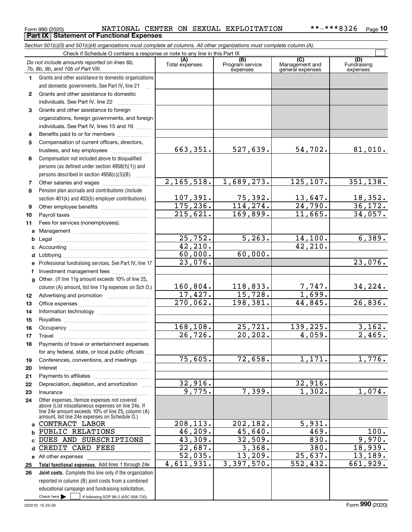#### Form 990 (2020) Page **Part IX Statement of Functional Expenses** NATIONAL CENTER ON SEXUAL EXPLOITATION \*\*-\*\*\*8326

*Section 501(c)(3) and 501(c)(4) organizations must complete all columns. All other organizations must complete column (A).*

|              | Do not include amounts reported on lines 6b,<br>7b, 8b, 9b, and 10b of Part VIII.                    | (A)<br>Total expenses | $\overline{(B)}$<br>Program service<br>expenses | $\overline{C}$<br>Management and<br>general expenses | (D)<br>Fundraising<br>expenses |
|--------------|------------------------------------------------------------------------------------------------------|-----------------------|-------------------------------------------------|------------------------------------------------------|--------------------------------|
| 1.           | Grants and other assistance to domestic organizations                                                |                       |                                                 |                                                      |                                |
|              | and domestic governments. See Part IV, line 21                                                       |                       |                                                 |                                                      |                                |
| $\mathbf{2}$ | Grants and other assistance to domestic                                                              |                       |                                                 |                                                      |                                |
|              | individuals. See Part IV, line 22                                                                    |                       |                                                 |                                                      |                                |
| 3            | Grants and other assistance to foreign                                                               |                       |                                                 |                                                      |                                |
|              | organizations, foreign governments, and foreign                                                      |                       |                                                 |                                                      |                                |
|              | individuals. See Part IV, lines 15 and 16                                                            |                       |                                                 |                                                      |                                |
| 4            | Benefits paid to or for members                                                                      |                       |                                                 |                                                      |                                |
| 5            | Compensation of current officers, directors,                                                         |                       |                                                 |                                                      |                                |
|              | trustees, and key employees                                                                          | 663,351.              | 527,639.                                        | 54,702.                                              | 81,010.                        |
| 6            | Compensation not included above to disqualified                                                      |                       |                                                 |                                                      |                                |
|              | persons (as defined under section 4958(f)(1)) and                                                    |                       |                                                 |                                                      |                                |
|              | persons described in section 4958(c)(3)(B)                                                           |                       |                                                 |                                                      |                                |
| 7            | Other salaries and wages                                                                             | 2,165,518.            | 1,689,273.                                      | 125,107.                                             | 351, 138.                      |
| 8            | Pension plan accruals and contributions (include                                                     |                       |                                                 |                                                      |                                |
|              | section 401(k) and 403(b) employer contributions)                                                    | 107,391.              | 75,392.                                         | 13,647.                                              | 18,352.                        |
| 9            |                                                                                                      | 175, 236.             | 114, 274.                                       | 24,790.                                              | 36,172.                        |
| 10           |                                                                                                      | 215,621.              | 169,899.                                        | 11,665.                                              | 34,057.                        |
| 11           | Fees for services (nonemployees):                                                                    |                       |                                                 |                                                      |                                |
| a            |                                                                                                      |                       |                                                 |                                                      |                                |
| b            |                                                                                                      | 25,752.               | 5, 263.                                         | 14,100.                                              | 6,389.                         |
| c            |                                                                                                      | 42,210.               |                                                 | 42, 210.                                             |                                |
| d            |                                                                                                      | 60,000.               | 60,000.                                         |                                                      |                                |
| е            | Professional fundraising services. See Part IV, line 17                                              | 23,076.               |                                                 |                                                      | 23,076.                        |
| f            | Investment management fees                                                                           |                       |                                                 |                                                      |                                |
| $\mathbf{q}$ | Other. (If line 11g amount exceeds 10% of line 25,                                                   |                       |                                                 |                                                      |                                |
|              | column (A) amount, list line 11g expenses on Sch O.)                                                 | 160,804.              | 118,833.                                        | $\frac{7,747.}{1,699.}$                              | 34,224.                        |
| 12           |                                                                                                      | 17,427.               | 15,728.                                         |                                                      |                                |
| 13           |                                                                                                      | 270,062.              | 198,381.                                        | 44,845.                                              | 26,836.                        |
| 14           |                                                                                                      |                       |                                                 |                                                      |                                |
| 15           |                                                                                                      |                       |                                                 |                                                      |                                |
| 16           |                                                                                                      | 168,108.              | 25,721.                                         | 139,225.                                             | 3,162.                         |
| 17           | Travel                                                                                               | 26, 726.              | 20, 202.                                        | 4,059.                                               | $\overline{2,465}$ .           |
| 18           | Payments of travel or entertainment expenses                                                         |                       |                                                 |                                                      |                                |
|              | for any federal, state, or local public officials                                                    | 75,605.               |                                                 |                                                      |                                |
| 19           | Conferences, conventions, and meetings                                                               |                       | 72,658.                                         | 1,171.                                               | 1,776.                         |
| 20           | Interest                                                                                             |                       |                                                 |                                                      |                                |
| 21           | Depreciation, depletion, and amortization                                                            | 32,916.               |                                                 | 32,916.                                              |                                |
| 22           |                                                                                                      | 9,775.                | 7,399.                                          | 1,302.                                               | 1,074.                         |
| 23<br>24     | Insurance<br>Other expenses. Itemize expenses not covered                                            |                       |                                                 |                                                      |                                |
|              | above (List miscellaneous expenses on line 24e. If                                                   |                       |                                                 |                                                      |                                |
|              | line 24e amount exceeds 10% of line 25, column (A)<br>amount, list line 24e expenses on Schedule O.) |                       |                                                 |                                                      |                                |
| a            | CONTRACT LABOR                                                                                       | 208, 113.             | 202,182.                                        | 5,931.                                               |                                |
| b            | PUBLIC RELATIONS                                                                                     | 46, 209.              | 45,640.                                         | 469.                                                 | 100.                           |
| C.           | DUES AND SUBSCRIPTIONS                                                                               | 43,309.               | 32,509.                                         | 830.                                                 | 9,970.                         |
| d            | CREDIT CARD FEES                                                                                     | 22,687.               | 3,368.                                          | 380.                                                 | 18,939.                        |
|              | e All other expenses                                                                                 | 52,035.               | 13,209.                                         | 25,637.                                              | 13, 189.                       |
| 25           | Total functional expenses. Add lines 1 through 24e                                                   | 4,611,931.            | 3,397,570.                                      | $\overline{552, 432}$ .                              | 661,929.                       |
| 26           | Joint costs. Complete this line only if the organization                                             |                       |                                                 |                                                      |                                |
|              | reported in column (B) joint costs from a combined                                                   |                       |                                                 |                                                      |                                |
|              | educational campaign and fundraising solicitation.                                                   |                       |                                                 |                                                      |                                |
|              | Check here $\blacktriangleright$<br>if following SOP 98-2 (ASC 958-720)                              |                       |                                                 |                                                      |                                |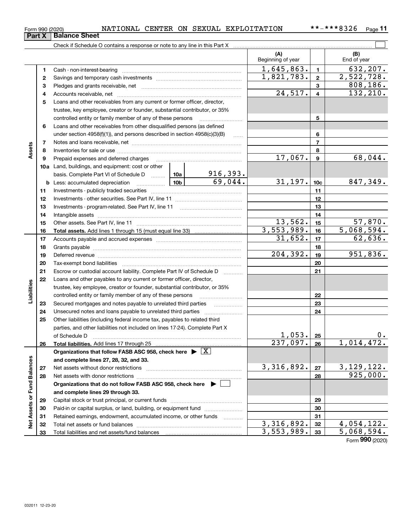| LOUIL SSA ICACAL |                               |  |
|------------------|-------------------------------|--|
|                  | <b>Part X   Balance Sheet</b> |  |

 $\overline{a}$ 

|                             |              | Check if Schedule O contains a response or note to any line in this Part X         |                          |                          |                 |                             |
|-----------------------------|--------------|------------------------------------------------------------------------------------|--------------------------|--------------------------|-----------------|-----------------------------|
|                             |              |                                                                                    |                          | (A)<br>Beginning of year |                 | (B)<br>End of year          |
|                             | 1            | Cash - non-interest-bearing                                                        |                          | 1,645,863.               | $\mathbf{1}$    | 632,207.                    |
|                             | $\mathbf{2}$ |                                                                                    |                          | 1,821,783.               | $\mathbf{2}$    | 2,522,728.                  |
|                             | з            |                                                                                    |                          |                          | $\overline{3}$  | 808,186.                    |
|                             | 4            |                                                                                    |                          | 24,517.                  | $\overline{4}$  | 132, 210.                   |
|                             | 5            | Loans and other receivables from any current or former officer, director,          |                          |                          |                 |                             |
|                             |              | trustee, key employee, creator or founder, substantial contributor, or 35%         |                          |                          |                 |                             |
|                             |              | controlled entity or family member of any of these persons                         |                          |                          | 5               |                             |
|                             | 6            | Loans and other receivables from other disqualified persons (as defined            |                          |                          |                 |                             |
|                             |              | under section $4958(f)(1)$ , and persons described in section $4958(c)(3)(B)$      | $\ldots$                 |                          | 6               |                             |
|                             | 7            |                                                                                    |                          |                          | $\overline{7}$  |                             |
| Assets                      | 8            |                                                                                    |                          |                          | 8               |                             |
|                             | 9            |                                                                                    |                          | 17,067.                  | $\mathbf{9}$    | 68,044.                     |
|                             |              | 10a Land, buildings, and equipment: cost or other                                  |                          |                          |                 |                             |
|                             |              | basis. Complete Part VI of Schedule D  10a                                         | 916,393.                 |                          |                 |                             |
|                             |              | <u>  10b</u>  <br><b>b</b> Less: accumulated depreciation                          | 69,044.                  | 31, 197.                 | 10 <sub>c</sub> | 847, 349.                   |
|                             | 11           |                                                                                    |                          |                          | 11              |                             |
|                             | 12           |                                                                                    |                          |                          | 12              |                             |
|                             | 13           |                                                                                    |                          |                          | 13              |                             |
|                             | 14           |                                                                                    |                          |                          | 14              |                             |
|                             | 15           |                                                                                    |                          | 13,562.                  | 15              | $\frac{57,870}{5,068,594.}$ |
|                             | 16           |                                                                                    |                          | 3,553,989.               | 16              |                             |
|                             | 17           |                                                                                    |                          | 31,652.                  | 17              | 62,636.                     |
|                             | 18           |                                                                                    |                          |                          | 18              |                             |
|                             | 19           |                                                                                    |                          | 204, 392.                | 19              | 951,836.                    |
|                             | 20           |                                                                                    |                          |                          | 20              |                             |
|                             | 21           | Escrow or custodial account liability. Complete Part IV of Schedule D              | 1.1.1.1.1.1.1.1.1.1      |                          | 21              |                             |
|                             | 22           | Loans and other payables to any current or former officer, director,               |                          |                          |                 |                             |
| Liabilities                 |              | trustee, key employee, creator or founder, substantial contributor, or 35%         |                          |                          |                 |                             |
|                             |              | controlled entity or family member of any of these persons                         |                          |                          | 22              |                             |
|                             | 23           | Secured mortgages and notes payable to unrelated third parties                     |                          |                          | 23              |                             |
|                             | 24           | Unsecured notes and loans payable to unrelated third parties                       |                          |                          | 24              |                             |
|                             | 25           | Other liabilities (including federal income tax, payables to related third         |                          |                          |                 |                             |
|                             |              | parties, and other liabilities not included on lines 17-24). Complete Part X       |                          |                          |                 |                             |
|                             |              | of Schedule D                                                                      |                          | 1,053.                   | 25              | 0.                          |
|                             | 26           | Total liabilities. Add lines 17 through 25                                         |                          | 237,097.                 | 26              | 1,014,472.                  |
|                             |              | Organizations that follow FASB ASC 958, check here $\blacktriangleright \boxed{X}$ |                          |                          |                 |                             |
|                             |              | and complete lines 27, 28, 32, and 33.                                             |                          |                          |                 |                             |
|                             | 27           | Net assets without donor restrictions                                              |                          | 3,316,892.               | 27              | 3,129,122.                  |
|                             | 28           | Net assets with donor restrictions                                                 |                          |                          | 28              | 925,000.                    |
|                             |              | Organizations that do not follow FASB ASC 958, check here $\blacktriangleright$    |                          |                          |                 |                             |
| Net Assets or Fund Balances |              | and complete lines 29 through 33.                                                  |                          |                          |                 |                             |
|                             | 29           |                                                                                    |                          |                          | 29              |                             |
|                             | 30           | Paid-in or capital surplus, or land, building, or equipment fund                   |                          |                          | 30              |                             |
|                             | 31           | Retained earnings, endowment, accumulated income, or other funds                   | $\overline{\phantom{a}}$ |                          | 31              |                             |
|                             | 32           | Total net assets or fund balances                                                  |                          | 3,316,892.               | 32              | 4,054,122.                  |
|                             | 33           | Total liabilities and net assets/fund balances                                     |                          | 3,553,989.               | 33              | 5,068,594.                  |

Form (2020) **990**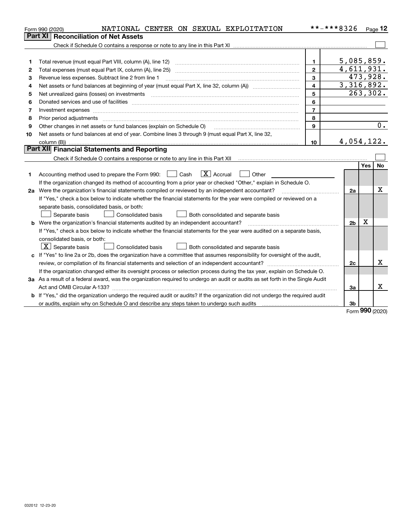|    | NATIONAL CENTER ON SEXUAL EXPLOITATION<br>Form 990 (2020)                                                                                                                                                                      |                | **-***8326     |            | Page 12   |
|----|--------------------------------------------------------------------------------------------------------------------------------------------------------------------------------------------------------------------------------|----------------|----------------|------------|-----------|
|    | Part XI<br><b>Reconciliation of Net Assets</b>                                                                                                                                                                                 |                |                |            |           |
|    |                                                                                                                                                                                                                                |                |                |            |           |
|    |                                                                                                                                                                                                                                |                |                |            |           |
| 1  |                                                                                                                                                                                                                                | 1              | 5,085,859.     |            |           |
| 2  | Total expenses (must equal Part IX, column (A), line 25)                                                                                                                                                                       | $\overline{2}$ | 4,611,931.     |            |           |
| 3  | Revenue less expenses. Subtract line 2 from line 1                                                                                                                                                                             | 3              |                | 473,928.   |           |
| 4  |                                                                                                                                                                                                                                | $\overline{4}$ | 3, 316, 892.   |            |           |
| 5  | Net unrealized gains (losses) on investments [11] matter contracts and the state of the state of the state of the state of the state of the state of the state of the state of the state of the state of the state of the stat | 5              |                |            | 263,302.  |
| 6  |                                                                                                                                                                                                                                | 6              |                |            |           |
| 7  |                                                                                                                                                                                                                                | $\overline{7}$ |                |            |           |
| 8  | Prior period adjustments material contents and content of the content of the content of the content of the content of the content of the content of the content of the content of the content of the content of the content of | 8              |                |            |           |
| 9  | Other changes in net assets or fund balances (explain on Schedule O)                                                                                                                                                           | 9              |                |            | 0.        |
| 10 | Net assets or fund balances at end of year. Combine lines 3 through 9 (must equal Part X, line 32,                                                                                                                             |                |                |            |           |
|    |                                                                                                                                                                                                                                | 10             | 4,054,122.     |            |           |
|    | Part XII Financial Statements and Reporting                                                                                                                                                                                    |                |                |            |           |
|    |                                                                                                                                                                                                                                |                |                |            |           |
|    |                                                                                                                                                                                                                                |                |                | <b>Yes</b> | <b>No</b> |
| 1  | $\mathbf{X}$ Accrual<br>Accounting method used to prepare the Form 990: <u>I</u> Cash<br>Other<br>$\pm$ $\pm$                                                                                                                  |                |                |            |           |
|    | If the organization changed its method of accounting from a prior year or checked "Other," explain in Schedule O.                                                                                                              |                |                |            |           |
|    | 2a Were the organization's financial statements compiled or reviewed by an independent accountant?                                                                                                                             |                | 2a             |            | х         |
|    | If "Yes," check a box below to indicate whether the financial statements for the year were compiled or reviewed on a                                                                                                           |                |                |            |           |
|    | separate basis, consolidated basis, or both:                                                                                                                                                                                   |                |                |            |           |
|    | <b>Consolidated basis</b><br>Both consolidated and separate basis<br>Separate basis                                                                                                                                            |                |                |            |           |
|    | <b>b</b> Were the organization's financial statements audited by an independent accountant?                                                                                                                                    |                | 2 <sub>b</sub> | Х          |           |
|    | If "Yes," check a box below to indicate whether the financial statements for the year were audited on a separate basis,                                                                                                        |                |                |            |           |
|    | consolidated basis, or both:                                                                                                                                                                                                   |                |                |            |           |
|    | $ \mathbf{X} $ Separate basis<br>Consolidated basis<br>Both consolidated and separate basis                                                                                                                                    |                |                |            |           |
|    | c If "Yes" to line 2a or 2b, does the organization have a committee that assumes responsibility for oversight of the audit,                                                                                                    |                |                |            |           |
|    |                                                                                                                                                                                                                                |                | 2c             |            | x         |
|    | If the organization changed either its oversight process or selection process during the tax year, explain on Schedule O.                                                                                                      |                |                |            |           |
|    | 3a As a result of a federal award, was the organization required to undergo an audit or audits as set forth in the Single Audit                                                                                                |                |                |            |           |
|    |                                                                                                                                                                                                                                |                | За             |            | х         |
|    | b If "Yes," did the organization undergo the required audit or audits? If the organization did not undergo the required audit                                                                                                  |                |                |            |           |
|    |                                                                                                                                                                                                                                |                | 3 <sub>b</sub> |            |           |

Form (2020) **990**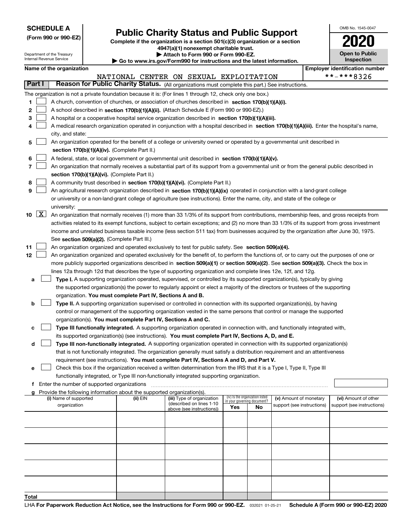| <b>SCHEDULE A</b> |  |
|-------------------|--|
|-------------------|--|

Department of the Treasury Internal Revenue Service

**Total**

| (Form 990 or 990-EZ) |  |  |  |  |
|----------------------|--|--|--|--|
|----------------------|--|--|--|--|

# **Public Charity Status and Public Support**

**Complete if the organization is a section 501(c)(3) organization or a section 4947(a)(1) nonexempt charitable trust. | Attach to Form 990 or Form 990-EZ.** 

| Go to www.irs.gov/Form990 for instructions and the latest information. |
|------------------------------------------------------------------------|
|------------------------------------------------------------------------|

| OMB No. 1545-0047     |
|-----------------------|
| 2020                  |
| <b>Open to Public</b> |

| <b>Inspection</b>         |
|---------------------------|
| avar idantifiaatian numbe |

|                      | Name of the organization                                                                                                                     |          |                                        |                                                                |    |                            | <b>Employer identification number</b> |
|----------------------|----------------------------------------------------------------------------------------------------------------------------------------------|----------|----------------------------------------|----------------------------------------------------------------|----|----------------------------|---------------------------------------|
|                      |                                                                                                                                              |          | NATIONAL CENTER ON SEXUAL EXPLOITATION |                                                                |    |                            | **-***8326                            |
| Part I               | Reason for Public Charity Status. (All organizations must complete this part.) See instructions.                                             |          |                                        |                                                                |    |                            |                                       |
|                      | The organization is not a private foundation because it is: (For lines 1 through 12, check only one box.)                                    |          |                                        |                                                                |    |                            |                                       |
| 1.                   | A church, convention of churches, or association of churches described in section 170(b)(1)(A)(i).                                           |          |                                        |                                                                |    |                            |                                       |
| 2                    | A school described in section 170(b)(1)(A)(ii). (Attach Schedule E (Form 990 or 990-EZ).)                                                    |          |                                        |                                                                |    |                            |                                       |
| 3                    | A hospital or a cooperative hospital service organization described in section $170(b)(1)(A)(iii)$ .                                         |          |                                        |                                                                |    |                            |                                       |
| 4                    | A medical research organization operated in conjunction with a hospital described in section 170(b)(1)(A)(iii). Enter the hospital's name,   |          |                                        |                                                                |    |                            |                                       |
|                      | city, and state:                                                                                                                             |          |                                        |                                                                |    |                            |                                       |
| 5                    | An organization operated for the benefit of a college or university owned or operated by a governmental unit described in                    |          |                                        |                                                                |    |                            |                                       |
|                      | section 170(b)(1)(A)(iv). (Complete Part II.)                                                                                                |          |                                        |                                                                |    |                            |                                       |
|                      |                                                                                                                                              |          |                                        |                                                                |    |                            |                                       |
| 6                    | A federal, state, or local government or governmental unit described in section 170(b)(1)(A)(v).                                             |          |                                        |                                                                |    |                            |                                       |
| 7                    | An organization that normally receives a substantial part of its support from a governmental unit or from the general public described in    |          |                                        |                                                                |    |                            |                                       |
|                      | section 170(b)(1)(A)(vi). (Complete Part II.)                                                                                                |          |                                        |                                                                |    |                            |                                       |
| 8                    | A community trust described in section 170(b)(1)(A)(vi). (Complete Part II.)                                                                 |          |                                        |                                                                |    |                            |                                       |
| 9                    | An agricultural research organization described in section 170(b)(1)(A)(ix) operated in conjunction with a land-grant college                |          |                                        |                                                                |    |                            |                                       |
|                      | or university or a non-land-grant college of agriculture (see instructions). Enter the name, city, and state of the college or               |          |                                        |                                                                |    |                            |                                       |
|                      | university:                                                                                                                                  |          |                                        |                                                                |    |                            |                                       |
| $10 \quad \boxed{X}$ | An organization that normally receives (1) more than 33 1/3% of its support from contributions, membership fees, and gross receipts from     |          |                                        |                                                                |    |                            |                                       |
|                      | activities related to its exempt functions, subject to certain exceptions; and (2) no more than 33 1/3% of its support from gross investment |          |                                        |                                                                |    |                            |                                       |
|                      | income and unrelated business taxable income (less section 511 tax) from businesses acquired by the organization after June 30, 1975.        |          |                                        |                                                                |    |                            |                                       |
|                      | See section 509(a)(2). (Complete Part III.)                                                                                                  |          |                                        |                                                                |    |                            |                                       |
| 11                   | An organization organized and operated exclusively to test for public safety. See section 509(a)(4).                                         |          |                                        |                                                                |    |                            |                                       |
| 12                   | An organization organized and operated exclusively for the benefit of, to perform the functions of, or to carry out the purposes of one or   |          |                                        |                                                                |    |                            |                                       |
|                      | more publicly supported organizations described in section 509(a)(1) or section 509(a)(2). See section 509(a)(3). Check the box in           |          |                                        |                                                                |    |                            |                                       |
|                      | lines 12a through 12d that describes the type of supporting organization and complete lines 12e, 12f, and 12g.                               |          |                                        |                                                                |    |                            |                                       |
| а                    | Type I. A supporting organization operated, supervised, or controlled by its supported organization(s), typically by giving                  |          |                                        |                                                                |    |                            |                                       |
|                      | the supported organization(s) the power to regularly appoint or elect a majority of the directors or trustees of the supporting              |          |                                        |                                                                |    |                            |                                       |
|                      | organization. You must complete Part IV, Sections A and B.                                                                                   |          |                                        |                                                                |    |                            |                                       |
| b                    | Type II. A supporting organization supervised or controlled in connection with its supported organization(s), by having                      |          |                                        |                                                                |    |                            |                                       |
|                      | control or management of the supporting organization vested in the same persons that control or manage the supported                         |          |                                        |                                                                |    |                            |                                       |
|                      | organization(s). You must complete Part IV, Sections A and C.                                                                                |          |                                        |                                                                |    |                            |                                       |
| с                    | Type III functionally integrated. A supporting organization operated in connection with, and functionally integrated with,                   |          |                                        |                                                                |    |                            |                                       |
|                      | its supported organization(s) (see instructions). You must complete Part IV, Sections A, D, and E.                                           |          |                                        |                                                                |    |                            |                                       |
| d                    | Type III non-functionally integrated. A supporting organization operated in connection with its supported organization(s)                    |          |                                        |                                                                |    |                            |                                       |
|                      | that is not functionally integrated. The organization generally must satisfy a distribution requirement and an attentiveness                 |          |                                        |                                                                |    |                            |                                       |
|                      | requirement (see instructions). You must complete Part IV, Sections A and D, and Part V.                                                     |          |                                        |                                                                |    |                            |                                       |
|                      | Check this box if the organization received a written determination from the IRS that it is a Type I, Type II, Type III                      |          |                                        |                                                                |    |                            |                                       |
|                      | functionally integrated, or Type III non-functionally integrated supporting organization.                                                    |          |                                        |                                                                |    |                            |                                       |
|                      | f Enter the number of supported organizations                                                                                                |          |                                        |                                                                |    |                            |                                       |
|                      | g Provide the following information about the supported organization(s).                                                                     |          |                                        |                                                                |    |                            |                                       |
|                      | (i) Name of supported                                                                                                                        | (ii) EIN | (iii) Type of organization             | (iv) Is the organization listed<br>in your governing document? |    | (v) Amount of monetary     | (vi) Amount of other                  |
|                      | organization                                                                                                                                 |          | (described on lines 1-10               | Yes                                                            | No | support (see instructions) | support (see instructions)            |
|                      |                                                                                                                                              |          | above (see instructions))              |                                                                |    |                            |                                       |
|                      |                                                                                                                                              |          |                                        |                                                                |    |                            |                                       |
|                      |                                                                                                                                              |          |                                        |                                                                |    |                            |                                       |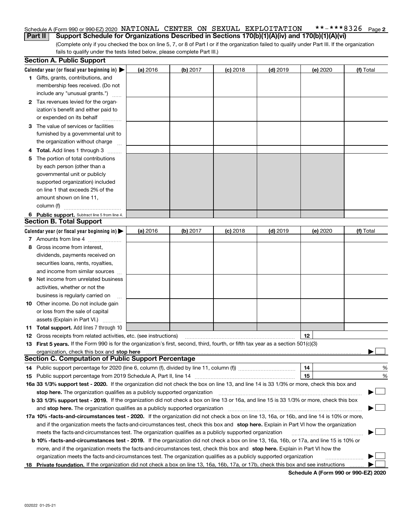#### **2** Schedule A (Form 990 or 990-EZ) 2020 <code>NATIONAL CENTER ON SEXUAL EXPLOITATION \*\*-\*\*\*8326 Page</code> **Part II Support Schedule for Organizations Described in Sections 170(b)(1)(A)(iv) and 170(b)(1)(A)(vi)**

(Complete only if you checked the box on line 5, 7, or 8 of Part I or if the organization failed to qualify under Part III. If the organization fails to qualify under the tests listed below, please complete Part III.)

|    | <b>Section A. Public Support</b>                                                                                                                                                                                               |          |          |            |            |          |           |
|----|--------------------------------------------------------------------------------------------------------------------------------------------------------------------------------------------------------------------------------|----------|----------|------------|------------|----------|-----------|
|    | Calendar year (or fiscal year beginning in) $\blacktriangleright$                                                                                                                                                              | (a) 2016 | (b) 2017 | $(c)$ 2018 | $(d)$ 2019 | (e) 2020 | (f) Total |
|    | 1 Gifts, grants, contributions, and                                                                                                                                                                                            |          |          |            |            |          |           |
|    | membership fees received. (Do not                                                                                                                                                                                              |          |          |            |            |          |           |
|    | include any "unusual grants.")                                                                                                                                                                                                 |          |          |            |            |          |           |
|    | 2 Tax revenues levied for the organ-                                                                                                                                                                                           |          |          |            |            |          |           |
|    | ization's benefit and either paid to                                                                                                                                                                                           |          |          |            |            |          |           |
|    | or expended on its behalf                                                                                                                                                                                                      |          |          |            |            |          |           |
|    | 3 The value of services or facilities                                                                                                                                                                                          |          |          |            |            |          |           |
|    | furnished by a governmental unit to                                                                                                                                                                                            |          |          |            |            |          |           |
|    | the organization without charge                                                                                                                                                                                                |          |          |            |            |          |           |
|    | 4 Total. Add lines 1 through 3                                                                                                                                                                                                 |          |          |            |            |          |           |
| 5. | The portion of total contributions                                                                                                                                                                                             |          |          |            |            |          |           |
|    | by each person (other than a                                                                                                                                                                                                   |          |          |            |            |          |           |
|    | governmental unit or publicly                                                                                                                                                                                                  |          |          |            |            |          |           |
|    | supported organization) included                                                                                                                                                                                               |          |          |            |            |          |           |
|    | on line 1 that exceeds 2% of the                                                                                                                                                                                               |          |          |            |            |          |           |
|    | amount shown on line 11,                                                                                                                                                                                                       |          |          |            |            |          |           |
|    | column (f)                                                                                                                                                                                                                     |          |          |            |            |          |           |
|    | 6 Public support. Subtract line 5 from line 4.                                                                                                                                                                                 |          |          |            |            |          |           |
|    | <b>Section B. Total Support</b>                                                                                                                                                                                                |          |          |            |            |          |           |
|    | Calendar year (or fiscal year beginning in) $\blacktriangleright$                                                                                                                                                              | (a) 2016 | (b) 2017 | $(c)$ 2018 | $(d)$ 2019 | (e) 2020 | (f) Total |
|    | 7 Amounts from line 4                                                                                                                                                                                                          |          |          |            |            |          |           |
| 8  | Gross income from interest,                                                                                                                                                                                                    |          |          |            |            |          |           |
|    | dividends, payments received on                                                                                                                                                                                                |          |          |            |            |          |           |
|    | securities loans, rents, royalties,                                                                                                                                                                                            |          |          |            |            |          |           |
|    | and income from similar sources                                                                                                                                                                                                |          |          |            |            |          |           |
| 9. | Net income from unrelated business                                                                                                                                                                                             |          |          |            |            |          |           |
|    | activities, whether or not the                                                                                                                                                                                                 |          |          |            |            |          |           |
|    | business is regularly carried on                                                                                                                                                                                               |          |          |            |            |          |           |
|    | <b>10</b> Other income. Do not include gain                                                                                                                                                                                    |          |          |            |            |          |           |
|    | or loss from the sale of capital                                                                                                                                                                                               |          |          |            |            |          |           |
|    | assets (Explain in Part VI.)                                                                                                                                                                                                   |          |          |            |            |          |           |
|    | <b>11 Total support.</b> Add lines 7 through 10                                                                                                                                                                                |          |          |            |            |          |           |
|    | <b>12</b> Gross receipts from related activities, etc. (see instructions)                                                                                                                                                      |          |          |            |            | 12       |           |
|    | 13 First 5 years. If the Form 990 is for the organization's first, second, third, fourth, or fifth tax year as a section 501(c)(3)                                                                                             |          |          |            |            |          |           |
|    | organization, check this box and stop here manufactured and the content of the state of the content of the content of the content of the content of the content of the content of the content of the content of the content of |          |          |            |            |          |           |
|    | <b>Section C. Computation of Public Support Percentage</b>                                                                                                                                                                     |          |          |            |            |          |           |
|    |                                                                                                                                                                                                                                |          |          |            |            | 14       | %         |
|    |                                                                                                                                                                                                                                |          |          |            |            | 15       | %         |
|    | 16a 33 1/3% support test - 2020. If the organization did not check the box on line 13, and line 14 is 33 1/3% or more, check this box and                                                                                      |          |          |            |            |          |           |
|    | stop here. The organization qualifies as a publicly supported organization                                                                                                                                                     |          |          |            |            |          | $\sim$    |
|    | b 33 1/3% support test - 2019. If the organization did not check a box on line 13 or 16a, and line 15 is 33 1/3% or more, check this box                                                                                       |          |          |            |            |          |           |
|    | and stop here. The organization qualifies as a publicly supported organization                                                                                                                                                 |          |          |            |            |          |           |
|    | 17a 10% -facts-and-circumstances test - 2020. If the organization did not check a box on line 13, 16a, or 16b, and line 14 is 10% or more,                                                                                     |          |          |            |            |          |           |
|    | and if the organization meets the facts and circumstances test, check this box and stop here. Explain in Part VI how the organization                                                                                          |          |          |            |            |          |           |
|    | meets the facts-and-circumstances test. The organization qualifies as a publicly supported organization                                                                                                                        |          |          |            |            |          |           |
|    | <b>b 10% -facts-and-circumstances test - 2019.</b> If the organization did not check a box on line 13, 16a, 16b, or 17a, and line 15 is 10% or                                                                                 |          |          |            |            |          |           |
|    | more, and if the organization meets the facts-and-circumstances test, check this box and stop here. Explain in Part VI how the                                                                                                 |          |          |            |            |          |           |
|    | organization meets the facts-and-circumstances test. The organization qualifies as a publicly supported organization                                                                                                           |          |          |            |            |          |           |
|    | 18 Private foundation. If the organization did not check a box on line 13, 16a, 16b, 17a, or 17b, check this box and see instructions                                                                                          |          |          |            |            |          |           |
|    |                                                                                                                                                                                                                                |          |          |            |            |          |           |

**Schedule A (Form 990 or 990-EZ) 2020**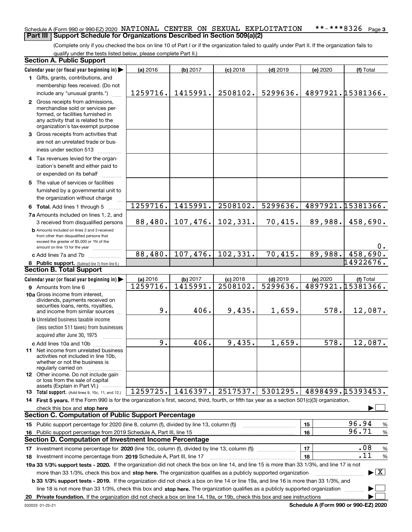#### **3** Schedule A (Form 990 or 990-EZ) 2020 <code>NATIONAL CENTER ON SEXUAL EXPLOITATION \*\*-\*\*\*8326 Page</code> **Part III Support Schedule for Organizations Described in Section 509(a)(2)**

(Complete only if you checked the box on line 10 of Part I or if the organization failed to qualify under Part II. If the organization fails to qualify under the tests listed below, please complete Part II.)

| <b>Section A. Public Support</b>                                                                                                                                                                                                                                 |          |          |            |            |          |                                          |  |
|------------------------------------------------------------------------------------------------------------------------------------------------------------------------------------------------------------------------------------------------------------------|----------|----------|------------|------------|----------|------------------------------------------|--|
| Calendar year (or fiscal year beginning in)                                                                                                                                                                                                                      | (a) 2016 | (b) 2017 | $(c)$ 2018 | $(d)$ 2019 | (e) 2020 | (f) Total                                |  |
| 1 Gifts, grants, contributions, and                                                                                                                                                                                                                              |          |          |            |            |          |                                          |  |
| membership fees received. (Do not                                                                                                                                                                                                                                |          |          |            |            |          |                                          |  |
| include any "unusual grants.")                                                                                                                                                                                                                                   | 1259716. | 1415991. | 2508102.   | 5299636.   |          | 4897921. 15381366.                       |  |
| 2 Gross receipts from admissions,                                                                                                                                                                                                                                |          |          |            |            |          |                                          |  |
| merchandise sold or services per-                                                                                                                                                                                                                                |          |          |            |            |          |                                          |  |
| formed, or facilities furnished in<br>any activity that is related to the                                                                                                                                                                                        |          |          |            |            |          |                                          |  |
| organization's tax-exempt purpose                                                                                                                                                                                                                                |          |          |            |            |          |                                          |  |
| 3 Gross receipts from activities that                                                                                                                                                                                                                            |          |          |            |            |          |                                          |  |
| are not an unrelated trade or bus-                                                                                                                                                                                                                               |          |          |            |            |          |                                          |  |
| iness under section 513                                                                                                                                                                                                                                          |          |          |            |            |          |                                          |  |
| 4 Tax revenues levied for the organ-                                                                                                                                                                                                                             |          |          |            |            |          |                                          |  |
| ization's benefit and either paid to                                                                                                                                                                                                                             |          |          |            |            |          |                                          |  |
| or expended on its behalf                                                                                                                                                                                                                                        |          |          |            |            |          |                                          |  |
| 5 The value of services or facilities                                                                                                                                                                                                                            |          |          |            |            |          |                                          |  |
| furnished by a governmental unit to                                                                                                                                                                                                                              |          |          |            |            |          |                                          |  |
| the organization without charge                                                                                                                                                                                                                                  |          |          |            |            |          |                                          |  |
| 6 Total. Add lines 1 through 5                                                                                                                                                                                                                                   | 1259716. | 1415991. | 2508102.   | 5299636.   |          | 4897921.15381366.                        |  |
| 7a Amounts included on lines 1, 2, and                                                                                                                                                                                                                           |          |          |            |            |          |                                          |  |
| 3 received from disqualified persons                                                                                                                                                                                                                             | 88,480.  | 107,476. | 102,331.   | 70,415.    | 89,988.  | 458,690.                                 |  |
| <b>b</b> Amounts included on lines 2 and 3 received                                                                                                                                                                                                              |          |          |            |            |          |                                          |  |
| from other than disqualified persons that                                                                                                                                                                                                                        |          |          |            |            |          |                                          |  |
| exceed the greater of \$5,000 or 1% of the<br>amount on line 13 for the year                                                                                                                                                                                     |          |          |            |            |          | 0.                                       |  |
| c Add lines 7a and 7b                                                                                                                                                                                                                                            | 88,480.  | 107,476. | 102, 331.  | 70,415.    | 89,988.  | 458,690.                                 |  |
| 8 Public support. (Subtract line 7c from line 6.)                                                                                                                                                                                                                |          |          |            |            |          | 14922676.                                |  |
| <b>Section B. Total Support</b>                                                                                                                                                                                                                                  |          |          |            |            |          |                                          |  |
| Calendar year (or fiscal year beginning in)                                                                                                                                                                                                                      | (a) 2016 | (b) 2017 | $(c)$ 2018 | $(d)$ 2019 | (e) 2020 | (f) Total                                |  |
| 9 Amounts from line 6                                                                                                                                                                                                                                            | 1259716. | 1415991. | 2508102.   | 5299636.   |          | 4897921.15381366.                        |  |
| 10a Gross income from interest,                                                                                                                                                                                                                                  |          |          |            |            |          |                                          |  |
| dividends, payments received on                                                                                                                                                                                                                                  |          |          |            |            |          |                                          |  |
| securities loans, rents, royalties,<br>and income from similar sources                                                                                                                                                                                           | 9.       | 406.     | 9,435.     | 1,659.     | 578.     | 12,087.                                  |  |
| <b>b</b> Unrelated business taxable income                                                                                                                                                                                                                       |          |          |            |            |          |                                          |  |
| (less section 511 taxes) from businesses                                                                                                                                                                                                                         |          |          |            |            |          |                                          |  |
| acquired after June 30, 1975                                                                                                                                                                                                                                     |          |          |            |            |          |                                          |  |
| c Add lines 10a and 10b                                                                                                                                                                                                                                          | 9.       | 406.     | 9,435.     | 1,659.     | 578.     | 12,087.                                  |  |
| 11 Net income from unrelated business                                                                                                                                                                                                                            |          |          |            |            |          |                                          |  |
| activities not included in line 10b.                                                                                                                                                                                                                             |          |          |            |            |          |                                          |  |
| whether or not the business is<br>regularly carried on                                                                                                                                                                                                           |          |          |            |            |          |                                          |  |
| 12 Other income. Do not include gain                                                                                                                                                                                                                             |          |          |            |            |          |                                          |  |
| or loss from the sale of capital                                                                                                                                                                                                                                 |          |          |            |            |          |                                          |  |
| assets (Explain in Part VI.)<br>13 Total support. (Add lines 9, 10c, 11, and 12.)                                                                                                                                                                                | 1259725. | 1416397. | 2517537.   | 5301295.   |          | 4898499.15393453.                        |  |
| 14 First 5 years. If the Form 990 is for the organization's first, second, third, fourth, or fifth tax year as a section 501(c)(3) organization,                                                                                                                 |          |          |            |            |          |                                          |  |
| check this box and stop here                                                                                                                                                                                                                                     |          |          |            |            |          |                                          |  |
| <b>Section C. Computation of Public Support Percentage</b>                                                                                                                                                                                                       |          |          |            |            |          |                                          |  |
| 15 Public support percentage for 2020 (line 8, column (f), divided by line 13, column (f))                                                                                                                                                                       |          |          |            |            | 15       | 96.94<br>%                               |  |
| 16 Public support percentage from 2019 Schedule A, Part III, line 15                                                                                                                                                                                             |          |          |            |            | 16       | 96.71<br>$\%$                            |  |
| <b>Section D. Computation of Investment Income Percentage</b>                                                                                                                                                                                                    |          |          |            |            |          |                                          |  |
| 17 Investment income percentage for 2020 (line 10c, column (f), divided by line 13, column (f))                                                                                                                                                                  |          |          |            |            | 17       | .08<br>$\%$                              |  |
| 18 Investment income percentage from 2019 Schedule A, Part III, line 17                                                                                                                                                                                          |          |          |            |            | 18       | .11<br>%                                 |  |
| 19a 33 1/3% support tests - 2020. If the organization did not check the box on line 14, and line 15 is more than 33 1/3%, and line 17 is not                                                                                                                     |          |          |            |            |          |                                          |  |
|                                                                                                                                                                                                                                                                  |          |          |            |            |          | $\blacktriangleright$ $\boxed{\text{X}}$ |  |
| more than 33 1/3%, check this box and stop here. The organization qualifies as a publicly supported organization<br><b>b 33 1/3% support tests - 2019.</b> If the organization did not check a box on line 14 or line 19a, and line 16 is more than 33 1/3%, and |          |          |            |            |          |                                          |  |
| line 18 is not more than 33 1/3%, check this box and stop here. The organization qualifies as a publicly supported organization                                                                                                                                  |          |          |            |            |          |                                          |  |
| 20 Private foundation. If the organization did not check a box on line 14, 19a, or 19b, check this box and see instructions                                                                                                                                      |          |          |            |            |          |                                          |  |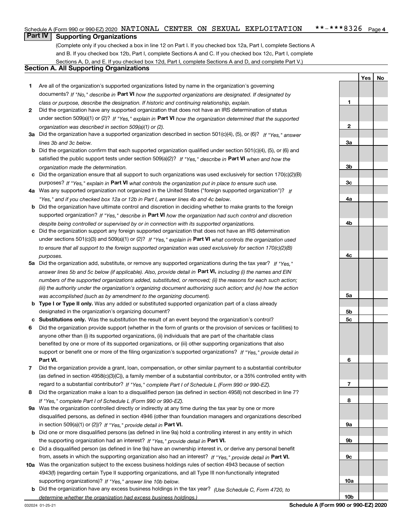#### $***$   $***$  8326 Page 4 Schedule A (Form 990 or 990-EZ) 2020 <code>NATIONAL CENTER ON SEXUAL EXPLOITATION \*\*-\*\*\*8326 Page</code>

# **Part IV Supporting Organizations**

(Complete only if you checked a box in line 12 on Part I. If you checked box 12a, Part I, complete Sections A and B. If you checked box 12b, Part I, complete Sections A and C. If you checked box 12c, Part I, complete Sections A, D, and E. If you checked box 12d, Part I, complete Sections A and D, and complete Part V.)

### **Section A. All Supporting Organizations**

- **1** Are all of the organization's supported organizations listed by name in the organization's governing documents? If "No," describe in **Part VI** how the supported organizations are designated. If designated by *class or purpose, describe the designation. If historic and continuing relationship, explain.*
- **2** Did the organization have any supported organization that does not have an IRS determination of status under section 509(a)(1) or (2)? If "Yes," explain in Part VI how the organization determined that the supported *organization was described in section 509(a)(1) or (2).*
- **3a** Did the organization have a supported organization described in section 501(c)(4), (5), or (6)? If "Yes," answer *lines 3b and 3c below.*
- **b** Did the organization confirm that each supported organization qualified under section 501(c)(4), (5), or (6) and satisfied the public support tests under section 509(a)(2)? If "Yes," describe in **Part VI** when and how the *organization made the determination.*
- **c**Did the organization ensure that all support to such organizations was used exclusively for section 170(c)(2)(B) purposes? If "Yes," explain in **Part VI** what controls the organization put in place to ensure such use.
- **4a***If* Was any supported organization not organized in the United States ("foreign supported organization")? *"Yes," and if you checked box 12a or 12b in Part I, answer lines 4b and 4c below.*
- **b** Did the organization have ultimate control and discretion in deciding whether to make grants to the foreign supported organization? If "Yes," describe in **Part VI** how the organization had such control and discretion *despite being controlled or supervised by or in connection with its supported organizations.*
- **c** Did the organization support any foreign supported organization that does not have an IRS determination under sections 501(c)(3) and 509(a)(1) or (2)? If "Yes," explain in **Part VI** what controls the organization used *to ensure that all support to the foreign supported organization was used exclusively for section 170(c)(2)(B) purposes.*
- **5a***If "Yes,"* Did the organization add, substitute, or remove any supported organizations during the tax year? answer lines 5b and 5c below (if applicable). Also, provide detail in **Part VI,** including (i) the names and EIN *numbers of the supported organizations added, substituted, or removed; (ii) the reasons for each such action; (iii) the authority under the organization's organizing document authorizing such action; and (iv) how the action was accomplished (such as by amendment to the organizing document).*
- **b** Type I or Type II only. Was any added or substituted supported organization part of a class already designated in the organization's organizing document?
- **cSubstitutions only.**  Was the substitution the result of an event beyond the organization's control?
- **6** Did the organization provide support (whether in the form of grants or the provision of services or facilities) to **Part VI.** *If "Yes," provide detail in* support or benefit one or more of the filing organization's supported organizations? anyone other than (i) its supported organizations, (ii) individuals that are part of the charitable class benefited by one or more of its supported organizations, or (iii) other supporting organizations that also
- **7**Did the organization provide a grant, loan, compensation, or other similar payment to a substantial contributor *If "Yes," complete Part I of Schedule L (Form 990 or 990-EZ).* regard to a substantial contributor? (as defined in section 4958(c)(3)(C)), a family member of a substantial contributor, or a 35% controlled entity with
- **8** Did the organization make a loan to a disqualified person (as defined in section 4958) not described in line 7? *If "Yes," complete Part I of Schedule L (Form 990 or 990-EZ).*
- **9a** Was the organization controlled directly or indirectly at any time during the tax year by one or more in section 509(a)(1) or (2))? If "Yes," *provide detail in* <code>Part VI.</code> disqualified persons, as defined in section 4946 (other than foundation managers and organizations described
- **b** Did one or more disqualified persons (as defined in line 9a) hold a controlling interest in any entity in which the supporting organization had an interest? If "Yes," provide detail in P**art VI**.
- **c**Did a disqualified person (as defined in line 9a) have an ownership interest in, or derive any personal benefit from, assets in which the supporting organization also had an interest? If "Yes," provide detail in P**art VI.**
- **10a** Was the organization subject to the excess business holdings rules of section 4943 because of section supporting organizations)? If "Yes," answer line 10b below. 4943(f) (regarding certain Type II supporting organizations, and all Type III non-functionally integrated
- **b** Did the organization have any excess business holdings in the tax year? (Use Schedule C, Form 4720, to *determine whether the organization had excess business holdings.)*

**YesNo**

**1**

**10b**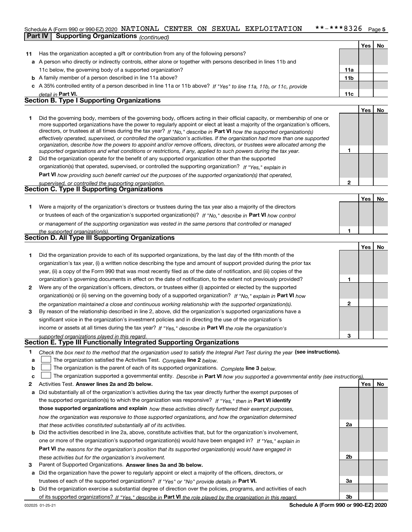#### $***$  \* \* \* 8326 Page 5 Schedule A (Form 990 or 990-EZ) 2020 <code>NATIONAL CENTER ON SEXUAL EXPLOITATION \*\*-\*\*\*8326 Page</code> **Part IV Supporting Organizations** *(continued)*

|    |                                                                                                                                                                                                                                                                                                                                                                                                                                                                                                                          |                 | Yes | No.       |
|----|--------------------------------------------------------------------------------------------------------------------------------------------------------------------------------------------------------------------------------------------------------------------------------------------------------------------------------------------------------------------------------------------------------------------------------------------------------------------------------------------------------------------------|-----------------|-----|-----------|
| 11 | Has the organization accepted a gift or contribution from any of the following persons?                                                                                                                                                                                                                                                                                                                                                                                                                                  |                 |     |           |
|    | a A person who directly or indirectly controls, either alone or together with persons described in lines 11b and                                                                                                                                                                                                                                                                                                                                                                                                         |                 |     |           |
|    | 11c below, the governing body of a supported organization?                                                                                                                                                                                                                                                                                                                                                                                                                                                               | 11a             |     |           |
|    | <b>b</b> A family member of a person described in line 11a above?                                                                                                                                                                                                                                                                                                                                                                                                                                                        | 11 <sub>b</sub> |     |           |
|    | c A 35% controlled entity of a person described in line 11a or 11b above? If "Yes" to line 11a, 11b, or 11c, provide                                                                                                                                                                                                                                                                                                                                                                                                     |                 |     |           |
|    | detail in Part VI.                                                                                                                                                                                                                                                                                                                                                                                                                                                                                                       | 11c             |     |           |
|    | <b>Section B. Type I Supporting Organizations</b>                                                                                                                                                                                                                                                                                                                                                                                                                                                                        |                 |     |           |
|    |                                                                                                                                                                                                                                                                                                                                                                                                                                                                                                                          |                 | Yes | <b>No</b> |
|    | Did the governing body, members of the governing body, officers acting in their official capacity, or membership of one or<br>more supported organizations have the power to regularly appoint or elect at least a majority of the organization's officers,<br>directors, or trustees at all times during the tax year? If "No," describe in Part VI how the supported organization(s)<br>effectively operated, supervised, or controlled the organization's activities. If the organization had more than one supported |                 |     |           |

|  | 2 Did the organization operate for the benefit of any supported organization other than the supported<br>organization(s) that operated, supervised, or controlled the supporting organization? If "Yes," explain in |  |  |  |  |  |  |
|--|---------------------------------------------------------------------------------------------------------------------------------------------------------------------------------------------------------------------|--|--|--|--|--|--|
|  |                                                                                                                                                                                                                     |  |  |  |  |  |  |
|  | $D = 10$                                                                                                                                                                                                            |  |  |  |  |  |  |

**Part VI**  *how providing such benefit carried out the purposes of the supported organization(s) that operated,*

| supervised, or controlled the supporting organization. |  |
|--------------------------------------------------------|--|
| Section C. Type II Supporting Organizations            |  |
|                                                        |  |

**Yes No 1**or trustees of each of the organization's supported organization(s)? If "No," describe in **Part VI** how control **1***or management of the supporting organization was vested in the same persons that controlled or managed the supported organization(s).* Were a majority of the organization's directors or trustees during the tax year also a majority of the directors

| Section D. All Type III Supporting Organizations                                                                       |  |  |  |  |  |  |  |
|------------------------------------------------------------------------------------------------------------------------|--|--|--|--|--|--|--|
|                                                                                                                        |  |  |  |  |  |  |  |
| Did the organization provide to each of its supported organizations, by the last day of the fifth month of the         |  |  |  |  |  |  |  |
| organization's tax year, (i) a written notice describing the type and amount of support provided during the prior tax  |  |  |  |  |  |  |  |
| year, (ii) a copy of the Form 990 that was most recently filed as of the date of notification, and (iii) copies of the |  |  |  |  |  |  |  |
| organization's governing documents in effect on the date of notification, to the extent not previously provided?       |  |  |  |  |  |  |  |
| Were any of the organization's officers, directors, or trustees either (i) appointed or elected by the supported       |  |  |  |  |  |  |  |

**3** By reason of the relationship described in line 2, above, did the organization's supported organizations have a organization(s) or (ii) serving on the governing body of a supported organization? If "No," explain in **Part VI** how *the organization maintained a close and continuous working relationship with the supported organization(s).* Were any of the organization's officers, directors, or trustees either (i) appointed or elected by the supported significant voice in the organization's investment policies and in directing the use of the organization's

income or assets at all times during the tax year? If "Yes," describe in **Part VI** the role the organization's *supported organizations played in this regard.*

### **Section E. Type III Functionally Integrated Supporting Organizations**

- **1**Check the box next to the method that the organization used to satisfy the Integral Part Test during the year (see instructions).
- **alinupy** The organization satisfied the Activities Test. Complete line 2 below.
- **b**The organization is the parent of each of its supported organizations. *Complete* line 3 *below.*  $\mathcal{L}^{\text{max}}$

|  |  | c $\Box$ The organization supported a governmental entity. Describe in Part VI how you supported a governmental entity (see instructions). |  |  |  |  |
|--|--|--------------------------------------------------------------------------------------------------------------------------------------------|--|--|--|--|
|--|--|--------------------------------------------------------------------------------------------------------------------------------------------|--|--|--|--|

- **2Answer lines 2a and 2b below. Yes No** Activities Test.
- **a** Did substantially all of the organization's activities during the tax year directly further the exempt purposes of the supported organization(s) to which the organization was responsive? If "Yes," then in **Part VI identify those supported organizations and explain**  *how these activities directly furthered their exempt purposes, how the organization was responsive to those supported organizations, and how the organization determined that these activities constituted substantially all of its activities.*
- **b** Did the activities described in line 2a, above, constitute activities that, but for the organization's involvement, **Part VI**  *the reasons for the organization's position that its supported organization(s) would have engaged in* one or more of the organization's supported organization(s) would have been engaged in? If "Yes," e*xplain in these activities but for the organization's involvement.*
- **3** Parent of Supported Organizations. Answer lines 3a and 3b below.
- **a** Did the organization have the power to regularly appoint or elect a majority of the officers, directors, or trustees of each of the supported organizations? If "Yes" or "No" provide details in **Part VI.**
- **b** Did the organization exercise a substantial degree of direction over the policies, programs, and activities of each of its supported organizations? If "Yes," describe in Part VI the role played by the organization in this regard.

**1**

**2**

**1**

**2**

**3**

**2a**

**2b**

**3a**

**3b**

**YesNo**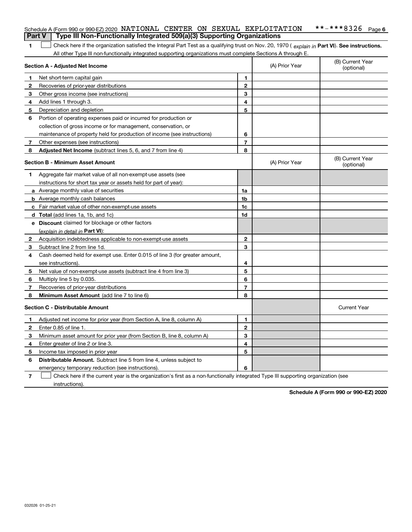|        | Schedule A (Form 990 or 990-EZ) 2020 NATIONAL CENTER ON SEXUAL EXPLOITATION                                                                    |                |                | **-***8326<br>Page 6           |
|--------|------------------------------------------------------------------------------------------------------------------------------------------------|----------------|----------------|--------------------------------|
| Part V | Type III Non-Functionally Integrated 509(a)(3) Supporting Organizations                                                                        |                |                |                                |
| 1      | Check here if the organization satisfied the Integral Part Test as a qualifying trust on Nov. 20, 1970 (explain in Part VI). See instructions. |                |                |                                |
|        | All other Type III non-functionally integrated supporting organizations must complete Sections A through E.                                    |                |                |                                |
|        | Section A - Adjusted Net Income                                                                                                                |                | (A) Prior Year | (B) Current Year<br>(optional) |
| 1      | Net short-term capital gain                                                                                                                    | 1              |                |                                |
| 2      | Recoveries of prior-year distributions                                                                                                         | $\mathbf{2}$   |                |                                |
| 3      | Other gross income (see instructions)                                                                                                          | 3              |                |                                |
| 4      | Add lines 1 through 3.                                                                                                                         | 4              |                |                                |
| 5      | Depreciation and depletion                                                                                                                     | 5              |                |                                |
| 6      | Portion of operating expenses paid or incurred for production or                                                                               |                |                |                                |
|        | collection of gross income or for management, conservation, or                                                                                 |                |                |                                |
|        | maintenance of property held for production of income (see instructions)                                                                       | 6              |                |                                |
| 7      | Other expenses (see instructions)                                                                                                              | $\overline{7}$ |                |                                |
| 8      | Adjusted Net Income (subtract lines 5, 6, and 7 from line 4)                                                                                   | 8              |                |                                |
|        | <b>Section B - Minimum Asset Amount</b>                                                                                                        |                | (A) Prior Year | (B) Current Year<br>(optional) |
| 1      | Aggregate fair market value of all non-exempt-use assets (see                                                                                  |                |                |                                |
|        | instructions for short tax year or assets held for part of year):                                                                              |                |                |                                |
|        | <b>a</b> Average monthly value of securities                                                                                                   | 1a             |                |                                |
|        | <b>b</b> Average monthly cash balances                                                                                                         | 1b             |                |                                |
|        | c Fair market value of other non-exempt-use assets                                                                                             | 1c             |                |                                |
|        | <b>d</b> Total (add lines 1a, 1b, and 1c)                                                                                                      | 1d             |                |                                |
|        | <b>e</b> Discount claimed for blockage or other factors                                                                                        |                |                |                                |
|        | (explain in detail in Part VI):                                                                                                                |                |                |                                |
| 2      | Acquisition indebtedness applicable to non-exempt-use assets                                                                                   | $\mathbf{2}$   |                |                                |
| 3      | Subtract line 2 from line 1d.                                                                                                                  | 3              |                |                                |
| 4      | Cash deemed held for exempt use. Enter 0.015 of line 3 (for greater amount,                                                                    |                |                |                                |
|        | see instructions).                                                                                                                             | 4              |                |                                |
| 5      | Net value of non-exempt-use assets (subtract line 4 from line 3)                                                                               | 5              |                |                                |
| 6      | Multiply line 5 by 0.035.                                                                                                                      | 6              |                |                                |
| 7      | Recoveries of prior-year distributions                                                                                                         | $\overline{7}$ |                |                                |
| 8      | Minimum Asset Amount (add line 7 to line 6)                                                                                                    | 8              |                |                                |
|        | <b>Section C - Distributable Amount</b>                                                                                                        |                |                | <b>Current Year</b>            |
|        | Adjusted net income for prior year (from Section A, line 8, column A)                                                                          | 1              |                |                                |
|        | Enter 0.85 of line 1.                                                                                                                          | 2              |                |                                |
| 3      | Minimum asset amount for prior year (from Section B, line 8, column A)                                                                         | 3              |                |                                |
| 4      | Enter greater of line 2 or line 3.                                                                                                             | 4              |                |                                |
| 5      | Income tax imposed in prior year                                                                                                               | 5              |                |                                |
| 6      | <b>Distributable Amount.</b> Subtract line 5 from line 4, unless subject to                                                                    |                |                |                                |
|        | emergency temporary reduction (see instructions).                                                                                              | 6              |                |                                |
| 7      | Check here if the current year is the organization's first as a non-functionally integrated Type III supporting organization (see              |                |                |                                |

instructions).

**Schedule A (Form 990 or 990-EZ) 2020**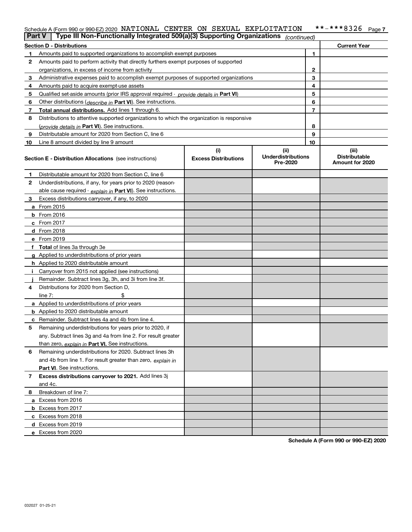#### **7** Schedule A (Form 990 or 990-EZ) 2020 <code>NATIONAL CENTER ON SEXUAL EXPLOITATION \*\*-\*\*\*8326 Page</code>

| Part V | Type III Non-Functionally Integrated 509(a)(3) Supporting Organizations (continued)        |                             |                                       |    |                                         |
|--------|--------------------------------------------------------------------------------------------|-----------------------------|---------------------------------------|----|-----------------------------------------|
|        | <b>Section D - Distributions</b>                                                           |                             |                                       |    | <b>Current Year</b>                     |
| 1      | Amounts paid to supported organizations to accomplish exempt purposes                      |                             | 1                                     |    |                                         |
| 2      | Amounts paid to perform activity that directly furthers exempt purposes of supported       |                             |                                       |    |                                         |
|        | organizations, in excess of income from activity                                           |                             | $\mathbf{2}$                          |    |                                         |
| 3      | Administrative expenses paid to accomplish exempt purposes of supported organizations      |                             |                                       | 3  |                                         |
| 4      | Amounts paid to acquire exempt-use assets                                                  |                             | 4                                     |    |                                         |
| 5      | Qualified set-aside amounts (prior IRS approval required - provide details in Part VI)     |                             |                                       | 5  |                                         |
| 6      | Other distributions ( <i>describe in</i> Part VI). See instructions.                       |                             |                                       | 6  |                                         |
| 7      | Total annual distributions. Add lines 1 through 6.                                         |                             |                                       | 7  |                                         |
| 8      | Distributions to attentive supported organizations to which the organization is responsive |                             |                                       |    |                                         |
|        | (provide details in Part VI). See instructions.                                            |                             |                                       | 8  |                                         |
| 9      | Distributable amount for 2020 from Section C, line 6                                       |                             |                                       | 9  |                                         |
| 10     | Line 8 amount divided by line 9 amount                                                     |                             |                                       | 10 |                                         |
|        |                                                                                            | (i)                         | (ii)                                  |    | (iii)                                   |
|        | <b>Section E - Distribution Allocations</b> (see instructions)                             | <b>Excess Distributions</b> | <b>Underdistributions</b><br>Pre-2020 |    | <b>Distributable</b><br>Amount for 2020 |
| 1      | Distributable amount for 2020 from Section C, line 6                                       |                             |                                       |    |                                         |
| 2      | Underdistributions, if any, for years prior to 2020 (reason-                               |                             |                                       |    |                                         |
|        | able cause required - explain in Part VI). See instructions.                               |                             |                                       |    |                                         |
| 3      | Excess distributions carryover, if any, to 2020                                            |                             |                                       |    |                                         |
|        | a From 2015                                                                                |                             |                                       |    |                                         |
|        | <b>b</b> From 2016                                                                         |                             |                                       |    |                                         |
|        | $c$ From 2017                                                                              |                             |                                       |    |                                         |
|        | d From 2018                                                                                |                             |                                       |    |                                         |
|        | e From 2019                                                                                |                             |                                       |    |                                         |
|        | f Total of lines 3a through 3e                                                             |                             |                                       |    |                                         |
|        | g Applied to underdistributions of prior years                                             |                             |                                       |    |                                         |
|        | <b>h</b> Applied to 2020 distributable amount                                              |                             |                                       |    |                                         |
| Ι.     | Carryover from 2015 not applied (see instructions)                                         |                             |                                       |    |                                         |
|        | Remainder. Subtract lines 3g, 3h, and 3i from line 3f.                                     |                             |                                       |    |                                         |
| 4      | Distributions for 2020 from Section D,                                                     |                             |                                       |    |                                         |
|        | line $7:$                                                                                  |                             |                                       |    |                                         |
|        | a Applied to underdistributions of prior years                                             |                             |                                       |    |                                         |
|        | <b>b</b> Applied to 2020 distributable amount                                              |                             |                                       |    |                                         |
|        | c Remainder. Subtract lines 4a and 4b from line 4.                                         |                             |                                       |    |                                         |
| 5      | Remaining underdistributions for years prior to 2020, if                                   |                             |                                       |    |                                         |
|        | any. Subtract lines 3g and 4a from line 2. For result greater                              |                             |                                       |    |                                         |
|        | than zero, explain in Part VI. See instructions.                                           |                             |                                       |    |                                         |
| 6      | Remaining underdistributions for 2020. Subtract lines 3h                                   |                             |                                       |    |                                         |
|        | and 4b from line 1. For result greater than zero, explain in                               |                             |                                       |    |                                         |
|        | Part VI. See instructions.                                                                 |                             |                                       |    |                                         |
| 7      | Excess distributions carryover to 2021. Add lines 3j                                       |                             |                                       |    |                                         |
|        | and 4c.                                                                                    |                             |                                       |    |                                         |
| 8      | Breakdown of line 7:                                                                       |                             |                                       |    |                                         |
|        | a Excess from 2016                                                                         |                             |                                       |    |                                         |
|        | <b>b</b> Excess from 2017                                                                  |                             |                                       |    |                                         |
|        | c Excess from 2018                                                                         |                             |                                       |    |                                         |
|        | d Excess from 2019                                                                         |                             |                                       |    |                                         |
|        | e Excess from 2020                                                                         |                             |                                       |    |                                         |

**Schedule A (Form 990 or 990-EZ) 2020**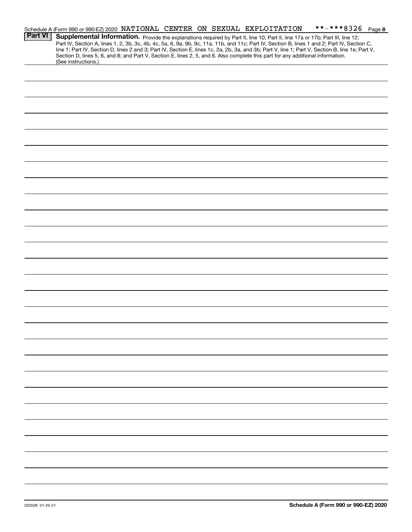|                | **-***8326 Page 8<br>Schedule A (Form 990 or 990-EZ) 2020 NATIONAL CENTER ON SEXUAL EXPLOITATION                                                                                                                                                                                    |
|----------------|-------------------------------------------------------------------------------------------------------------------------------------------------------------------------------------------------------------------------------------------------------------------------------------|
| <b>Part VI</b> | Supplemental Information. Provide the explanations required by Part II, line 10; Part II, line 17a or 17b; Part III, line 12;                                                                                                                                                       |
|                | Part IV, Section A, lines 1, 2, 3b, 3c, 4b, 4c, 5a, 6, 9a, 9b, 9c, 11a, 11b, and 11c; Part IV, Section B, lines 1 and 2; Part IV, Section C,                                                                                                                                        |
|                | line 1; Part IV, Section D, lines 2 and 3; Part IV, Section E, lines 1c, 2a, 2b, 3a, and 3b; Part V, line 1; Part V, Section B, line 1e; Part V,<br>Section D, lines 5, 6, and 8; and Part V, Section E, lines 2, 5, and 6. Also complete this part for any additional information. |
|                | (See instructions.)                                                                                                                                                                                                                                                                 |
|                |                                                                                                                                                                                                                                                                                     |
|                |                                                                                                                                                                                                                                                                                     |
|                |                                                                                                                                                                                                                                                                                     |
|                |                                                                                                                                                                                                                                                                                     |
|                |                                                                                                                                                                                                                                                                                     |
|                |                                                                                                                                                                                                                                                                                     |
|                |                                                                                                                                                                                                                                                                                     |
|                |                                                                                                                                                                                                                                                                                     |
|                |                                                                                                                                                                                                                                                                                     |
|                |                                                                                                                                                                                                                                                                                     |
|                |                                                                                                                                                                                                                                                                                     |
|                |                                                                                                                                                                                                                                                                                     |
|                |                                                                                                                                                                                                                                                                                     |
|                |                                                                                                                                                                                                                                                                                     |
|                |                                                                                                                                                                                                                                                                                     |
|                |                                                                                                                                                                                                                                                                                     |
|                |                                                                                                                                                                                                                                                                                     |
|                |                                                                                                                                                                                                                                                                                     |
|                |                                                                                                                                                                                                                                                                                     |
|                |                                                                                                                                                                                                                                                                                     |
|                |                                                                                                                                                                                                                                                                                     |
|                |                                                                                                                                                                                                                                                                                     |
|                |                                                                                                                                                                                                                                                                                     |
|                |                                                                                                                                                                                                                                                                                     |
|                |                                                                                                                                                                                                                                                                                     |
|                |                                                                                                                                                                                                                                                                                     |
|                |                                                                                                                                                                                                                                                                                     |
|                |                                                                                                                                                                                                                                                                                     |
|                |                                                                                                                                                                                                                                                                                     |
|                |                                                                                                                                                                                                                                                                                     |
|                |                                                                                                                                                                                                                                                                                     |
|                |                                                                                                                                                                                                                                                                                     |
|                |                                                                                                                                                                                                                                                                                     |
|                |                                                                                                                                                                                                                                                                                     |
|                |                                                                                                                                                                                                                                                                                     |
|                |                                                                                                                                                                                                                                                                                     |
|                |                                                                                                                                                                                                                                                                                     |
|                |                                                                                                                                                                                                                                                                                     |
|                |                                                                                                                                                                                                                                                                                     |
|                |                                                                                                                                                                                                                                                                                     |
|                |                                                                                                                                                                                                                                                                                     |
|                |                                                                                                                                                                                                                                                                                     |
|                |                                                                                                                                                                                                                                                                                     |
|                |                                                                                                                                                                                                                                                                                     |
|                |                                                                                                                                                                                                                                                                                     |
|                |                                                                                                                                                                                                                                                                                     |
|                |                                                                                                                                                                                                                                                                                     |
|                |                                                                                                                                                                                                                                                                                     |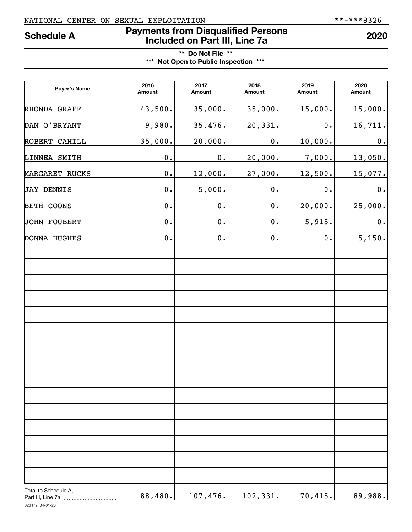# NATIONAL CENTER ON SEXUAL EXPLOITATION \*\*-\*\*\*8326

# **Payments from Disqualified Persons Schedule A 2020 Included on Part III, Line 7a**

# **\*\* Do Not File \*\* \*\*\* Not Open to Public Inspection \*\*\***

| Payer's Name                              | 2016<br>Amount | 2017<br>Amount | 2018<br>Amount | 2019<br>Amount | 2020<br>Amount |
|-------------------------------------------|----------------|----------------|----------------|----------------|----------------|
| RHONDA GRAFF                              | 43,500.        | 35,000.        | 35,000.        | 15,000.        | 15,000.        |
| DAN O'BRYANT                              | 9,980.         | 35,476.        | 20,331.        | $\mathbf 0$ .  | 16,711.        |
| ROBERT CAHILL                             | 35,000.        | 20,000.        | 0.             | 10,000.        | 0.             |
| LINNEA SMITH                              | $\mathbf 0$ .  | 0.             | 20,000.        | 7,000.         | 13,050.        |
| MARGARET RUCKS                            | $\mathbf 0$ .  | 12,000.        | 27,000.        | 12,500.        | 15,077.        |
| JAY DENNIS                                | $\mathbf 0$ .  | 5,000.         | 0.             | 0.             | 0.             |
| BETH COONS                                | $\mathbf 0$ .  | 0.             | $\mathbf 0$ .  | 20,000.        | 25,000.        |
| JOHN FOUBERT                              | $\mathbf 0$ .  | 0.             | $\mathbf 0$ .  | 5,915.         | $\mathbf 0$ .  |
| DONNA HUGHES                              | 0.             | 0.             | $\mathbf 0$ .  | 0.             | 5,150.         |
|                                           |                |                |                |                |                |
|                                           |                |                |                |                |                |
|                                           |                |                |                |                |                |
|                                           |                |                |                |                |                |
|                                           |                |                |                |                |                |
|                                           |                |                |                |                |                |
|                                           |                |                |                |                |                |
|                                           |                |                |                |                |                |
|                                           |                |                |                |                |                |
|                                           |                |                |                |                |                |
|                                           |                |                |                |                |                |
|                                           |                |                |                |                |                |
|                                           |                |                |                |                |                |
|                                           |                |                |                |                |                |
| Total to Schedule A,<br>Part III, Line 7a | 88,480.        | 107,476.       | 102,331.       | 70,415.        | 89,988.        |

023172 04-01-20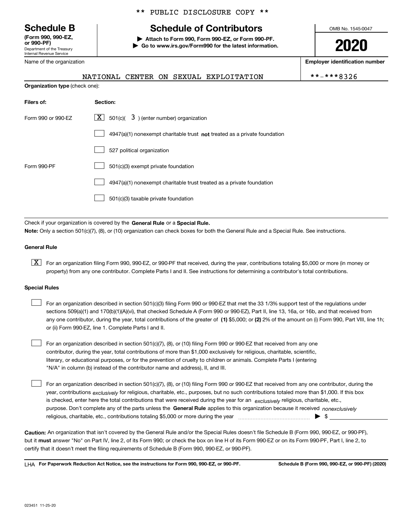Department of the Treasury Internal Revenue Service **(Form 990, 990-EZ, or 990-PF)**

# \*\* PUBLIC DISCLOSURE COPY \*\*

# **Schedule B Schedule of Contributors**

**| Attach to Form 990, Form 990-EZ, or Form 990-PF. | Go to www.irs.gov/Form990 for the latest information.** OMB No. 1545-0047

**2020**

**Employer identification number**

| **-***832 |  |  |  |  |  |  |  |  |  |
|-----------|--|--|--|--|--|--|--|--|--|
|-----------|--|--|--|--|--|--|--|--|--|

**Organization type** (check one): NATIONAL CENTER ON SEXUAL EXPLOITATION \*\*-\*\*\*8326

| Filers of:         | Section:                                                                    |
|--------------------|-----------------------------------------------------------------------------|
| Form 990 or 990-EZ | $\boxed{\textbf{X}}$ 501(c)( 3) (enter number) organization                 |
|                    | $4947(a)(1)$ nonexempt charitable trust not treated as a private foundation |
|                    | 527 political organization                                                  |
| Form 990-PF        | 501(c)(3) exempt private foundation                                         |
|                    | 4947(a)(1) nonexempt charitable trust treated as a private foundation       |
|                    | 501(c)(3) taxable private foundation                                        |

Check if your organization is covered by the **General Rule** or a **Special Rule. Note:**  Only a section 501(c)(7), (8), or (10) organization can check boxes for both the General Rule and a Special Rule. See instructions.

#### **General Rule**

 $\boxed{\textbf{X}}$  For an organization filing Form 990, 990-EZ, or 990-PF that received, during the year, contributions totaling \$5,000 or more (in money or property) from any one contributor. Complete Parts I and II. See instructions for determining a contributor's total contributions.

#### **Special Rules**

 $\sqrt{ }$ 

| For an organization described in section 501(c)(3) filing Form 990 or 990-EZ that met the 33 1/3% support test of the regulations under               |
|-------------------------------------------------------------------------------------------------------------------------------------------------------|
| sections 509(a)(1) and 170(b)(1)(A)(vi), that checked Schedule A (Form 990 or 990-EZ), Part II, line 13, 16a, or 16b, and that received from          |
| any one contributor, during the year, total contributions of the greater of (1) \$5,000; or (2) 2% of the amount on (i) Form 990, Part VIII, line 1h; |
| or (ii) Form 990-EZ, line 1. Complete Parts I and II.                                                                                                 |

For an organization described in section 501(c)(7), (8), or (10) filing Form 990 or 990-EZ that received from any one contributor, during the year, total contributions of more than \$1,000 exclusively for religious, charitable, scientific, literary, or educational purposes, or for the prevention of cruelty to children or animals. Complete Parts I (entering "N/A" in column (b) instead of the contributor name and address), II, and III.  $\mathcal{L}^{\text{max}}$ 

purpose. Don't complete any of the parts unless the **General Rule** applies to this organization because it received *nonexclusively* year, contributions <sub>exclusively</sub> for religious, charitable, etc., purposes, but no such contributions totaled more than \$1,000. If this box is checked, enter here the total contributions that were received during the year for an  $\;$ exclusively religious, charitable, etc., For an organization described in section 501(c)(7), (8), or (10) filing Form 990 or 990-EZ that received from any one contributor, during the religious, charitable, etc., contributions totaling \$5,000 or more during the year  $\Box$ — $\Box$   $\Box$  $\mathcal{L}^{\text{max}}$ 

**Caution:**  An organization that isn't covered by the General Rule and/or the Special Rules doesn't file Schedule B (Form 990, 990-EZ, or 990-PF),  **must** but it answer "No" on Part IV, line 2, of its Form 990; or check the box on line H of its Form 990-EZ or on its Form 990-PF, Part I, line 2, to certify that it doesn't meet the filing requirements of Schedule B (Form 990, 990-EZ, or 990-PF).

**For Paperwork Reduction Act Notice, see the instructions for Form 990, 990-EZ, or 990-PF. Schedule B (Form 990, 990-EZ, or 990-PF) (2020)** LHA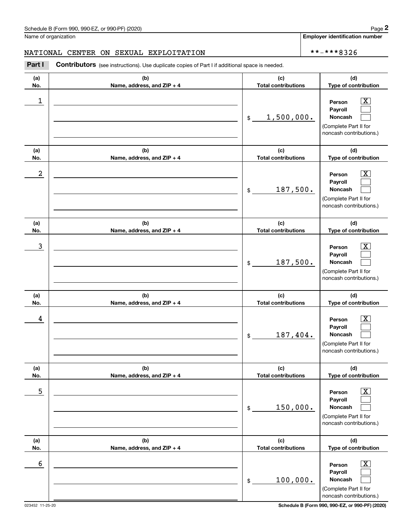**Employer identification number**

#### NATIONAL CENTER ON SEXUAL EXPLOITATION  $\star \star - \star \star + 8326$

**(a)No.(b)Name, address, and ZIP + 4 (c)Total contributions (d)Type of contribution PersonPayrollNoncash (a)No.(b)Name, address, and ZIP + 4 (c)Total contributions (d)Type of contribution PersonPayrollNoncash (a)No.(b)Name, address, and ZIP + 4 (c)Total contributions (d)Type of contribution PersonPayrollNoncash (a) No.(b) Name, address, and ZIP + 4 (c) Total contributions (d) Type of contribution PersonPayrollNoncash(a) No.(b) Name, address, and ZIP + 4 (c) Total contributions (d) Type of contribution PersonPayrollNoncash (a) No.(b)Name, address, and ZIP + 4 (c) Total contributions (d)Type of contribution PersonPayrollNoncash** Contributors (see instructions). Use duplicate copies of Part I if additional space is needed. \$(Complete Part II for noncash contributions.) \$(Complete Part II for noncash contributions.) \$(Complete Part II for noncash contributions.) \$(Complete Part II for noncash contributions.) \$(Complete Part II for noncash contributions.) \$(Complete Part II for noncash contributions.) Chedule B (Form 990, 990-EZ, or 990-PF) (2020)<br>Iame of organization<br>**IATIONAL CENTER ON SEXUAL EXPLOITATION**<br>**Part I Contributors** (see instructions). Use duplicate copies of Part I if additional space is needed.  $|X|$  $\mathcal{L}^{\text{max}}$  $\mathcal{L}^{\text{max}}$  $\boxed{\text{X}}$  $\mathcal{L}^{\text{max}}$  $\mathcal{L}^{\text{max}}$  $|X|$  $\mathcal{L}^{\text{max}}$  $\mathcal{L}^{\text{max}}$  $\boxed{\text{X}}$  $\mathcal{L}^{\text{max}}$  $\mathcal{L}^{\text{max}}$  $|X|$  $\mathcal{L}^{\text{max}}$  $\mathcal{L}^{\text{max}}$  $\boxed{\text{X}}$  $\mathcal{L}^{\text{max}}$  $\mathcal{L}^{\text{max}}$  $\begin{array}{c|c|c|c|c|c} 1 & \hspace{1.5cm} & \hspace{1.5cm} & \hspace{1.5cm} & \hspace{1.5cm} & \hspace{1.5cm} & \hspace{1.5cm} & \hspace{1.5cm} & \hspace{1.5cm} & \hspace{1.5cm} & \hspace{1.5cm} & \hspace{1.5cm} & \hspace{1.5cm} & \hspace{1.5cm} & \hspace{1.5cm} & \hspace{1.5cm} & \hspace{1.5cm} & \hspace{1.5cm} & \hspace{1.5cm} & \hspace{1.5cm} & \hspace{1.5cm} &$ 1,500,000.  $2$  | Person  $\overline{\text{X}}$ 187,500.  $\overline{3}$  | Person  $\overline{X}$ 187,500.  $4$  | Person  $\overline{\text{X}}$ 187,404.  $\sim$  5 | Person X 150,000.  $\sim$  6 | Person X 100,000.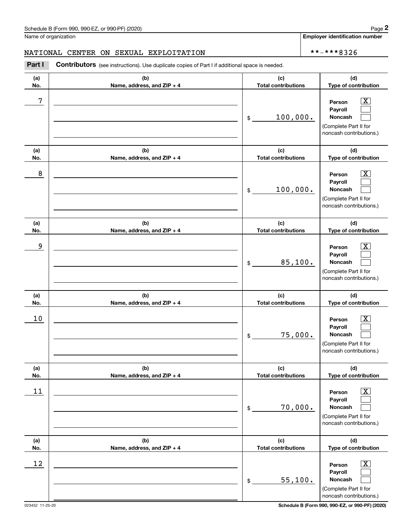**Employer identification number**

#### NATIONAL CENTER ON SEXUAL EXPLOITATION  $\star \star - \star \star + 8326$

**(a)No.(b)Name, address, and ZIP + 4 (c)Total contributions (d)Type of contribution PersonPayrollNoncash (a)No.(b)Name, address, and ZIP + 4 (c)Total contributions (d)Type of contribution PersonPayrollNoncash (a)No.(b)Name, address, and ZIP + 4 (c)Total contributions (d)Type of contribution PersonPayrollNoncash (a) No.(b) Name, address, and ZIP + 4 (c) Total contributions (d) Type of contribution Person Payroll Noncash(a) No.(b) Name, address, and ZIP + 4 (c) Total contributions (d) Type of contribution PersonPayrollNoncash (a) No.(b)Name, address, and ZIP + 4 (c) Total contributions (d)Type of contribution PersonPayrollNoncash** Contributors (see instructions). Use duplicate copies of Part I if additional space is needed. \$(Complete Part II for noncash contributions.) \$(Complete Part II for noncash contributions.) \$(Complete Part II for noncash contributions.) \$(Complete Part II for noncash contributions.) \$(Complete Part II for noncash contributions.) \$(Complete Part II for noncash contributions.) Chedule B (Form 990, 990-EZ, or 990-PF) (2020)<br>Iame of organization<br>**IATIONAL CENTER ON SEXUAL EXPLOITATION**<br>**Part I Contributors** (see instructions). Use duplicate copies of Part I if additional space is needed.  $|X|$  $\mathcal{L}^{\text{max}}$  $\mathcal{L}^{\text{max}}$  $\boxed{\text{X}}$  $\mathcal{L}^{\text{max}}$  $\mathcal{L}^{\text{max}}$  $|X|$  $\mathcal{L}^{\text{max}}$  $\mathcal{L}^{\text{max}}$  $\boxed{\text{X}}$  $\mathcal{L}^{\text{max}}$  $\mathcal{L}^{\text{max}}$  $|X|$  $\mathcal{L}^{\text{max}}$  $\mathcal{L}^{\text{max}}$  $\boxed{\text{X}}$  $\mathcal{L}^{\text{max}}$  $\mathcal{L}^{\text{max}}$ 7 X 100,000. 8 X 100,000. example and the set of the set of the set of the set of the set of the set of the set of the set of the set of 85,100.  $10$  Person  $\overline{\text{X}}$ 75,000.  $11$  Person X 70,000.  $12$  Person X 55,100.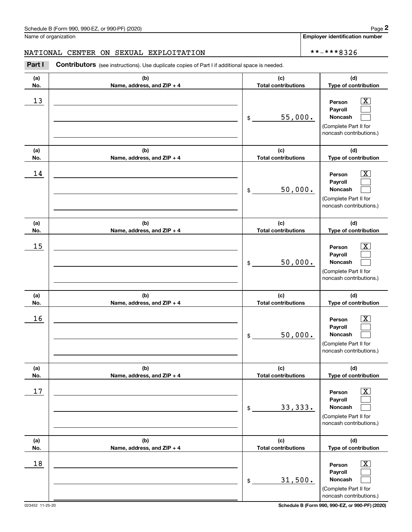**Employer identification number**

#### NATIONAL CENTER ON SEXUAL EXPLOITATION  $\star \star - \star \star + 8326$

**(a)No.(b)Name, address, and ZIP + 4 (c)Total contributions (d)Type of contribution PersonPayrollNoncash (a)No.(b)Name, address, and ZIP + 4 (c)Total contributions (d)Type of contribution PersonPayrollNoncash (a)No.(b)Name, address, and ZIP + 4 (c)Total contributions (d)Type of contribution PersonPayrollNoncash (a) No.(b) Name, address, and ZIP + 4 (c) Total contributions (d) Type of contribution Person Payroll Noncash(a) No.(b) Name, address, and ZIP + 4 (c) Total contributions (d) Type of contribution PersonPayrollNoncash (a) No.(b)Name, address, and ZIP + 4 (c) Total contributions (d)Type of contribution PersonPayrollNoncash Contributors** (see instructions). Use duplicate copies of Part I if additional space is needed. \$(Complete Part II for noncash contributions.) \$(Complete Part II for noncash contributions.) \$(Complete Part II for noncash contributions.) \$(Complete Part II for noncash contributions.) \$(Complete Part II for noncash contributions.) \$(Complete Part II for noncash contributions.) Chedule B (Form 990, 990-EZ, or 990-PF) (2020)<br>Iame of organization<br>**IATIONAL CENTER ON SEXUAL EXPLOITATION**<br>**Part I Contributors** (see instructions). Use duplicate copies of Part I if additional space is needed.  $|X|$  $\mathcal{L}^{\text{max}}$  $\mathcal{L}^{\text{max}}$  $\boxed{\text{X}}$  $\mathcal{L}^{\text{max}}$  $\mathcal{L}^{\text{max}}$  $|X|$  $\mathcal{L}^{\text{max}}$  $\mathcal{L}^{\text{max}}$  $\boxed{\text{X}}$  $\mathcal{L}^{\text{max}}$  $\mathcal{L}^{\text{max}}$  $|X|$  $\mathcal{L}^{\text{max}}$  $\mathcal{L}^{\text{max}}$  $\boxed{\text{X}}$  $\mathcal{L}^{\text{max}}$  $\mathcal{L}^{\text{max}}$  $13$  Person X 55,000.  $14$  Person X 50,000.  $15$  Person X 50,000.  $16$  Person X 50,000.  $17$  | Person  $\overline{\text{X}}$ 33,333.  $18$  Person  $\overline{\text{X}}$ 31,500.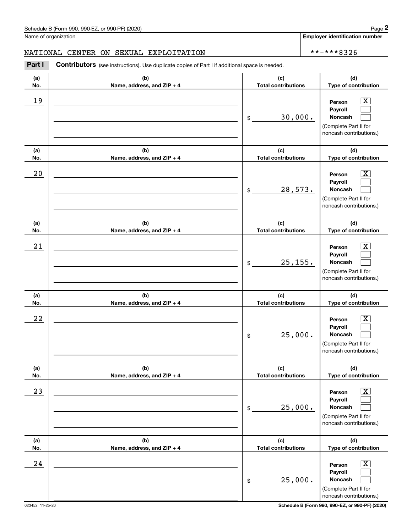**Employer identification number**

#### NATIONAL CENTER ON SEXUAL EXPLOITATION  $\star \star - \star \star + 8326$

**(a)No.(b)Name, address, and ZIP + 4 (c)Total contributions (d)Type of contribution PersonPayrollNoncash (a)No.(b)Name, address, and ZIP + 4 (c)Total contributions (d)Type of contribution PersonPayrollNoncash (a)No.(b)Name, address, and ZIP + 4 (c)Total contributions (d)Type of contribution PersonPayrollNoncash (a) No.(b) Name, address, and ZIP + 4 (c) Total contributions (d) Type of contribution Person Payroll Noncash(a) No.(b) Name, address, and ZIP + 4 (c) Total contributions (d) Type of contribution PersonPayrollNoncash (a) No.(b)Name, address, and ZIP + 4 (c) Total contributions (d)Type of contribution PersonPayrollNoncash** Contributors (see instructions). Use duplicate copies of Part I if additional space is needed. \$(Complete Part II for noncash contributions.) \$(Complete Part II for noncash contributions.) \$(Complete Part II for noncash contributions.) \$(Complete Part II for noncash contributions.) \$(Complete Part II for noncash contributions.) \$(Complete Part II for noncash contributions.) Chedule B (Form 990, 990-EZ, or 990-PF) (2020)<br>Iame of organization<br>**IATIONAL CENTER ON SEXUAL EXPLOITATION**<br>**Part I Contributors** (see instructions). Use duplicate copies of Part I if additional space is needed.  $|X|$  $\mathcal{L}^{\text{max}}$  $\mathcal{L}^{\text{max}}$  $\boxed{\text{X}}$  $\mathcal{L}^{\text{max}}$  $\mathcal{L}^{\text{max}}$  $|X|$  $\mathcal{L}^{\text{max}}$  $\mathcal{L}^{\text{max}}$  $\boxed{\text{X}}$  $\mathcal{L}^{\text{max}}$  $\mathcal{L}^{\text{max}}$  $|X|$  $\mathcal{L}^{\text{max}}$  $\mathcal{L}^{\text{max}}$  $\boxed{\text{X}}$  $\mathcal{L}^{\text{max}}$  $\mathcal{L}^{\text{max}}$ 19 X 30,000.  $20$  | Person  $\overline{\text{X}}$ 28,573.  $21$  Person X 25,155.  $22$  | Person  $\overline{\text{X}}$ 25,000.  $23$  | Person  $\overline{\text{X}}$ 25,000.  $24$  | Person  $\overline{\text{X}}$ 25,000.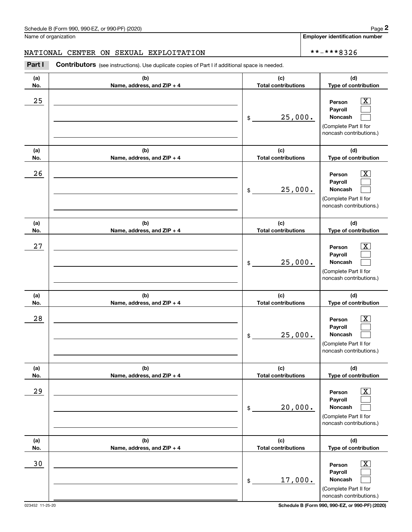**Employer identification number**

#### NATIONAL CENTER ON SEXUAL EXPLOITATION  $\star \star - \star \star + 8326$

**(a)No.(b)Name, address, and ZIP + 4 (c)Total contributions (d)Type of contribution PersonPayrollNoncash (a)No.(b)Name, address, and ZIP + 4 (c)Total contributions (d)Type of contribution PersonPayrollNoncash (a)No.(b)Name, address, and ZIP + 4 (c)Total contributions (d)Type of contribution PersonPayrollNoncash (a) No.(b) Name, address, and ZIP + 4 (c) Total contributions (d) Type of contribution PersonPayrollNoncash(a) No.(b) Name, address, and ZIP + 4 (c) Total contributions (d) Type of contribution PersonPayrollNoncash (a) No.(b)Name, address, and ZIP + 4 (c) Total contributions (d)Type of contribution PersonPayrollNoncash** Contributors (see instructions). Use duplicate copies of Part I if additional space is needed. \$(Complete Part II for noncash contributions.) \$(Complete Part II for noncash contributions.) \$(Complete Part II for noncash contributions.) \$(Complete Part II for noncash contributions.) \$(Complete Part II for noncash contributions.) \$(Complete Part II for noncash contributions.) Chedule B (Form 990, 990-EZ, or 990-PF) (2020)<br>Iame of organization<br>**IATIONAL CENTER ON SEXUAL EXPLOITATION**<br>**Part I Contributors** (see instructions). Use duplicate copies of Part I if additional space is needed.  $|X|$  $\mathcal{L}^{\text{max}}$  $\mathcal{L}^{\text{max}}$  $\boxed{\text{X}}$  $\mathcal{L}^{\text{max}}$  $\mathcal{L}^{\text{max}}$  $|X|$  $\mathcal{L}^{\text{max}}$  $\mathcal{L}^{\text{max}}$  $\boxed{\text{X}}$  $\mathcal{L}^{\text{max}}$  $\mathcal{L}^{\text{max}}$  $|X|$  $\mathcal{L}^{\text{max}}$  $\mathcal{L}^{\text{max}}$  $\boxed{\text{X}}$  $\mathcal{L}^{\text{max}}$  $\mathcal{L}^{\text{max}}$  $25$  | Person  $\overline{\text{X}}$ 25,000.  $26$  | Person  $\overline{\text{X}}$ 25,000.  $27$  | Person  $\overline{\text{X}}$ 25,000.  $28$  | Person  $\overline{\text{X}}$ 25,000.  $29$  | Person  $\overline{\text{X}}$ 20,000. 30 Person X 17,000.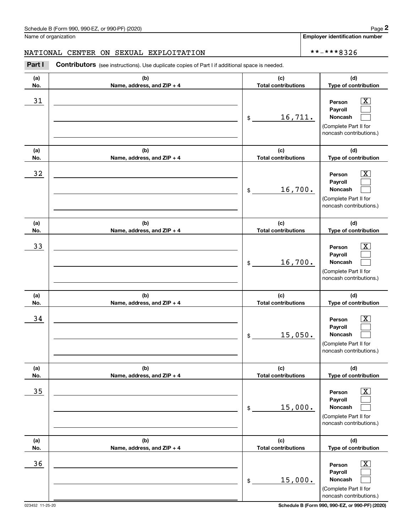**Employer identification number**

#### NATIONAL CENTER ON SEXUAL EXPLOITATION  $\star \star - \star \star + 8326$

**(a)No.(b)Name, address, and ZIP + 4 (c)Total contributions (d)Type of contribution PersonPayrollNoncash (a)No.(b)Name, address, and ZIP + 4 (c)Total contributions (d)Type of contribution PersonPayrollNoncash (a)No.(b)Name, address, and ZIP + 4 (c)Total contributions (d)Type of contribution PersonPayrollNoncash (a) No.(b) Name, address, and ZIP + 4 (c) Total contributions (d) Type of contribution Person Payroll Noncash(a) No.(b) Name, address, and ZIP + 4 (c) Total contributions (d) Type of contribution PersonPayrollNoncash (a) No.(b)Name, address, and ZIP + 4 (c) Total contributions (d)Type of contribution PersonPayrollNoncash** Contributors (see instructions). Use duplicate copies of Part I if additional space is needed. \$(Complete Part II for noncash contributions.) \$(Complete Part II for noncash contributions.) \$(Complete Part II for noncash contributions.) \$(Complete Part II for noncash contributions.) \$(Complete Part II for noncash contributions.) \$(Complete Part II for noncash contributions.) Chedule B (Form 990, 990-EZ, or 990-PF) (2020)<br>Iame of organization<br>**IATIONAL CENTER ON SEXUAL EXPLOITATION**<br>**Part I Contributors** (see instructions). Use duplicate copies of Part I if additional space is needed.  $|X|$  $\mathcal{L}^{\text{max}}$  $\mathcal{L}^{\text{max}}$  $\boxed{\text{X}}$  $\mathcal{L}^{\text{max}}$  $\mathcal{L}^{\text{max}}$  $|X|$  $\mathcal{L}^{\text{max}}$  $\mathcal{L}^{\text{max}}$  $|X|$  $\mathcal{L}^{\text{max}}$  $\mathcal{L}^{\text{max}}$  $|X|$  $\mathcal{L}^{\text{max}}$  $\mathcal{L}^{\text{max}}$  $\boxed{\text{X}}$  $\mathcal{L}^{\text{max}}$  $\mathcal{L}^{\text{max}}$ 31 Person X 16,711.  $32$  | Person  $\overline{\text{X}}$ 16,700. 33 Person X 16,700.  $34$  | Person  $\overline{\text{X}}$ 15,050.  $35$  | Person  $\overline{\text{X}}$ 15,000.  $36$  Person X 15,000.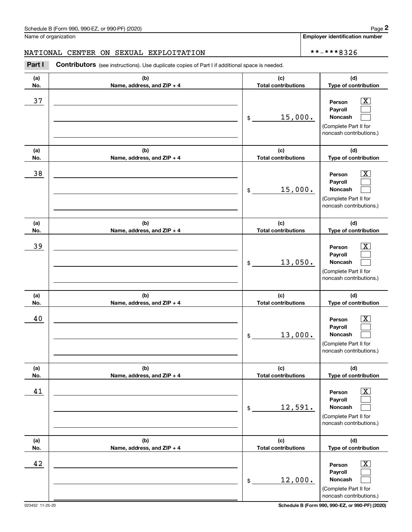**Employer identification number**

#### NATIONAL CENTER ON SEXUAL EXPLOITATION  $\star \star - \star \star + 8326$

**(a)No.(b)Name, address, and ZIP + 4 (c)Total contributions (d)Type of contribution PersonPayrollNoncash (a)No.(b)Name, address, and ZIP + 4 (c)Total contributions (d)Type of contribution PersonPayrollNoncash (a)No.(b)Name, address, and ZIP + 4 (c)Total contributions (d)Type of contribution PersonPayrollNoncash (a) No.(b) Name, address, and ZIP + 4 (c) Total contributions (d) Type of contribution Person Payroll Noncash(a) No.(b) Name, address, and ZIP + 4 (c) Total contributions (d) Type of contribution PersonPayrollNoncash (a) No.(b)Name, address, and ZIP + 4 (c) Total contributions (d)Type of contribution PersonPayrollNoncash** Contributors (see instructions). Use duplicate copies of Part I if additional space is needed. \$(Complete Part II for noncash contributions.) \$(Complete Part II for noncash contributions.) \$(Complete Part II for noncash contributions.) \$(Complete Part II for noncash contributions.) \$(Complete Part II for noncash contributions.) \$(Complete Part II for noncash contributions.) Chedule B (Form 990, 990-EZ, or 990-PF) (2020)<br>Iame of organization<br>**IATIONAL CENTER ON SEXUAL EXPLOITATION**<br>**Part I Contributors** (see instructions). Use duplicate copies of Part I if additional space is needed.  $|X|$  $\mathcal{L}^{\text{max}}$  $\mathcal{L}^{\text{max}}$  $\boxed{\text{X}}$  $\mathcal{L}^{\text{max}}$  $\mathcal{L}^{\text{max}}$  $|X|$  $\mathcal{L}^{\text{max}}$  $\mathcal{L}^{\text{max}}$  $\boxed{\text{X}}$  $\mathcal{L}^{\text{max}}$  $\mathcal{L}^{\text{max}}$  $|X|$  $\mathcal{L}^{\text{max}}$  $\mathcal{L}^{\text{max}}$  $\boxed{\text{X}}$  $\mathcal{L}^{\text{max}}$  $\mathcal{L}^{\text{max}}$ 37 X 15,000. 38 X 15,000. 39 X 13,050. 40 Person X 13,000. 41 | Person X 12,591. 42 Person X 12,000.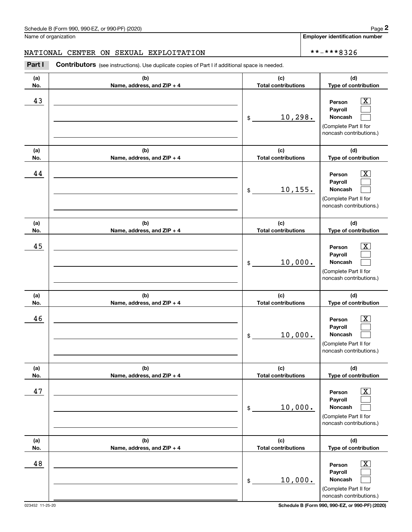**Employer identification number**

#### NATIONAL CENTER ON SEXUAL EXPLOITATION  $\star \star - \star \star + 8326$

**(a)No.(b)Name, address, and ZIP + 4 (c)Total contributions (d)Type of contribution PersonPayrollNoncash (a)No.(b)Name, address, and ZIP + 4 (c)Total contributions (d)Type of contribution PersonPayrollNoncash (a)No.(b)Name, address, and ZIP + 4 (c)Total contributions (d)Type of contribution PersonPayrollNoncash (a) No.(b) Name, address, and ZIP + 4 (c) Total contributions (d) Type of contribution Person Payroll Noncash(a) No.(b) Name, address, and ZIP + 4 (c) Total contributions (d) Type of contribution PersonPayrollNoncash (a) No.(b)Name, address, and ZIP + 4 (c) Total contributions (d)Type of contribution PersonPayrollNoncash** Contributors (see instructions). Use duplicate copies of Part I if additional space is needed. \$(Complete Part II for noncash contributions.) \$(Complete Part II for noncash contributions.) \$(Complete Part II for noncash contributions.) \$(Complete Part II for noncash contributions.) \$(Complete Part II for noncash contributions.) \$(Complete Part II for noncash contributions.) Chedule B (Form 990, 990-EZ, or 990-PF) (2020)<br>Iame of organization<br>**IATIONAL CENTER ON SEXUAL EXPLOITATION**<br>**Part I Contributors** (see instructions). Use duplicate copies of Part I if additional space is needed.  $\lceil \text{X} \rceil$  $\mathcal{L}^{\text{max}}$  $\mathcal{L}^{\text{max}}$  $\boxed{\text{X}}$  $\mathcal{L}^{\text{max}}$  $\mathcal{L}^{\text{max}}$  $|X|$  $\mathcal{L}^{\text{max}}$  $\mathcal{L}^{\text{max}}$  $\boxed{\text{X}}$  $\mathcal{L}^{\text{max}}$  $\mathcal{L}^{\text{max}}$  $|X|$  $\mathcal{L}^{\text{max}}$  $\mathcal{L}^{\text{max}}$  $\boxed{\text{X}}$  $\mathcal{L}^{\text{max}}$  $\mathcal{L}^{\text{max}}$ 43 Person X 10,298. 44 X 10,155. 45 X 10,000. 46 X 10,000. 47 X 10,000. 48 X 10,000.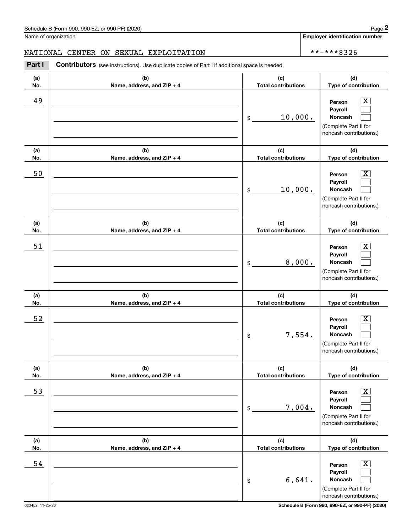**Employer identification number**

#### NATIONAL CENTER ON SEXUAL EXPLOITATION  $\star \star - \star \star \star 8326$

**(a)No.(b)Name, address, and ZIP + 4 (c)Total contributions (d)Type of contribution PersonPayrollNoncash (a)No.(b)Name, address, and ZIP + 4 (c)Total contributions (d)Type of contribution PersonPayrollNoncash (a)No.(b)Name, address, and ZIP + 4 (c)Total contributions (d)Type of contribution PersonPayrollNoncash (a) No.(b) Name, address, and ZIP + 4 (c) Total contributions (d) Type of contribution PersonPayrollNoncash(a) No.(b) Name, address, and ZIP + 4 (c) Total contributions (d) Type of contribution PersonPayrollNoncash (a) No.(b)Name, address, and ZIP + 4 (c) Total contributions (d) Type of contribution PersonPayrollNoncash Contributors** (see instructions). Use duplicate copies of Part I if additional space is needed. \$(Complete Part II for noncash contributions.) \$(Complete Part II for noncash contributions.) \$(Complete Part II for noncash contributions.) \$(Complete Part II for noncash contributions.) \$(Complete Part II for noncash contributions.) \$(Complete Part II for noncash contributions.) Chedule B (Form 990, 990-EZ, or 990-PF) (2020)<br>Iame of organization<br>**IATIONAL CENTER ON SEXUAL EXPLOITATION**<br>**Part I Contributors** (see instructions). Use duplicate copies of Part I if additional space is needed.  $|X|$  $\mathcal{L}^{\text{max}}$  $\mathcal{L}^{\text{max}}$  $\boxed{\text{X}}$  $\mathcal{L}^{\text{max}}$  $\mathcal{L}^{\text{max}}$  $|X|$  $\mathcal{L}^{\text{max}}$  $\mathcal{L}^{\text{max}}$  $\lfloor x \rfloor$  $\mathcal{L}^{\text{max}}$  $\mathcal{L}^{\text{max}}$  $|X|$  $\mathcal{L}^{\text{max}}$  $\mathcal{L}^{\text{max}}$  $\boxed{\text{X}}$  $\mathcal{L}^{\text{max}}$  $\mathcal{L}^{\text{max}}$ 49 X 10,000. 50 Person X 10,000. 51 X 8,000. 52 | Person X 7,554. 53 | Person X 7,004. 54 X 6,641.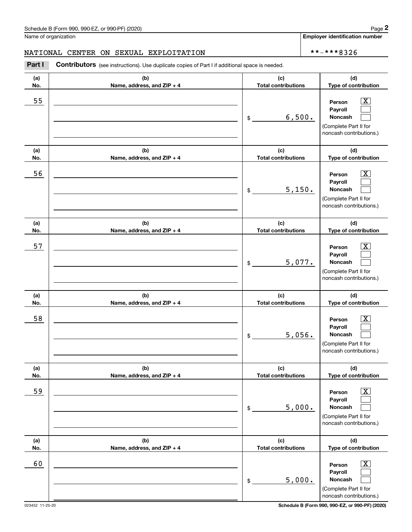**Employer identification number**

#### NATIONAL CENTER ON SEXUAL EXPLOITATION  $\star \star - \star \star \star 8326$

**(a)No.(b)Name, address, and ZIP + 4 (c)Total contributions (d)Type of contribution PersonPayrollNoncash (a)No.(b)Name, address, and ZIP + 4 (c)Total contributions (d)Type of contribution PersonPayrollNoncash (a)No.(b)Name, address, and ZIP + 4 (c)Total contributions (d)Type of contribution PersonPayrollNoncash (a) No.(b) Name, address, and ZIP + 4 (c) Total contributions (d) Type of contribution PersonPayrollNoncash (a) No.(b) Name, address, and ZIP + 4 (c) Total contributions (d) Type of contribution PersonPayrollNoncash (a) No.(b)Name, address, and ZIP + 4 (c) Total contributions (d) Type of contribution PersonPayrollNoncash Contributors** (see instructions). Use duplicate copies of Part I if additional space is needed. \$(Complete Part II for noncash contributions.) \$(Complete Part II for noncash contributions.) \$(Complete Part II for noncash contributions.) \$(Complete Part II for noncash contributions.) \$(Complete Part II for noncash contributions.) \$(Complete Part II for noncash contributions.) Chedule B (Form 990, 990-EZ, or 990-PF) (2020)<br>Iame of organization<br>**IATIONAL CENTER ON SEXUAL EXPLOITATION**<br>**Part I Contributors** (see instructions). Use duplicate copies of Part I if additional space is needed.  $|X|$  $\mathcal{L}^{\text{max}}$  $\mathcal{L}^{\text{max}}$  $\boxed{\text{X}}$  $\mathcal{L}^{\text{max}}$  $\mathcal{L}^{\text{max}}$  $|X|$  $\mathcal{L}^{\text{max}}$  $\mathcal{L}^{\text{max}}$  $\lfloor x \rfloor$  $\mathcal{L}^{\text{max}}$  $\mathcal{L}^{\text{max}}$  $|X|$  $\mathcal{L}^{\text{max}}$  $\mathcal{L}^{\text{max}}$  $\boxed{\text{X}}$  $\mathcal{L}^{\text{max}}$  $\mathcal{L}^{\text{max}}$ 55 | Person X 6,500. 56 | Person X 5,150. 57 X 5,077. 58 X 5,056. 59 X 5,000. 60 Person X 5,000.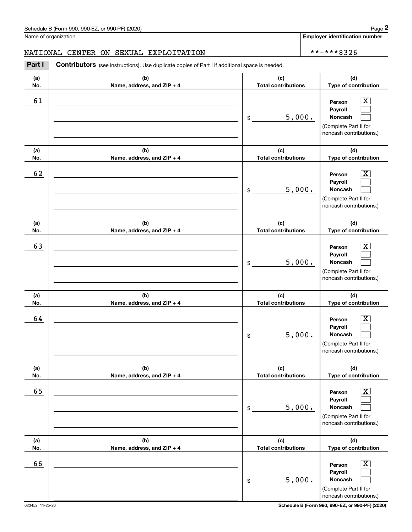**Employer identification number**

#### NATIONAL CENTER ON SEXUAL EXPLOITATION  $\star \star - \star \star \star 8326$

**(a)No.(b)Name, address, and ZIP + 4 (c)Total contributions (d)Type of contribution PersonPayrollNoncash (a)No.(b)Name, address, and ZIP + 4 (c)Total contributions (d)Type of contribution PersonPayrollNoncash (a)No.(b)Name, address, and ZIP + 4 (c)Total contributions (d)Type of contribution PersonPayrollNoncash (a) No.(b) Name, address, and ZIP + 4 (c) Total contributions (d) Type of contribution PersonPayrollNoncash (a) No.(b) Name, address, and ZIP + 4 (c) Total contributions (d) Type of contribution PersonPayrollNoncash (a) No.(b)Name, address, and ZIP + 4 (c) Total contributions (d) Type of contribution PersonPayrollNoncash** Contributors (see instructions). Use duplicate copies of Part I if additional space is needed. \$(Complete Part II for noncash contributions.) \$(Complete Part II for noncash contributions.) \$(Complete Part II for noncash contributions.) \$(Complete Part II for noncash contributions.) \$(Complete Part II for noncash contributions.) \$(Complete Part II for noncash contributions.) Chedule B (Form 990, 990-EZ, or 990-PF) (2020)<br>Iame of organization<br>**IATIONAL CENTER ON SEXUAL EXPLOITATION**<br>**Part I Contributors** (see instructions). Use duplicate copies of Part I if additional space is needed.  $|X|$  $\mathcal{L}^{\text{max}}$  $\mathcal{L}^{\text{max}}$  $\boxed{\text{X}}$  $\mathcal{L}^{\text{max}}$  $\mathcal{L}^{\text{max}}$  $|X|$  $\mathcal{L}^{\text{max}}$  $\mathcal{L}^{\text{max}}$  $\lfloor x \rfloor$  $\mathcal{L}^{\text{max}}$  $\mathcal{L}^{\text{max}}$  $|X|$  $\mathcal{L}^{\text{max}}$  $\mathcal{L}^{\text{max}}$  $\boxed{\text{X}}$  $\mathcal{L}^{\text{max}}$  $\mathcal{L}^{\text{max}}$ 61 X 5,000. 62 X 5,000. 63 | Person X 5,000. 64 X 5,000. 65 X 5,000. 66 X 5,000.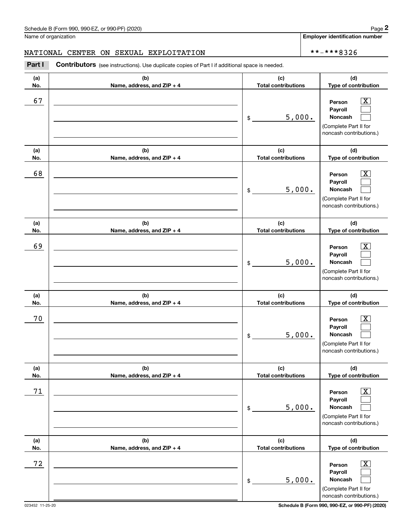**Employer identification number**

#### NATIONAL CENTER ON SEXUAL EXPLOITATION  $\star \star - \star \star \star 8326$

**(a)No.(b)Name, address, and ZIP + 4 (c)Total contributions (d)Type of contribution PersonPayrollNoncash (a)No.(b)Name, address, and ZIP + 4 (c)Total contributions (d)Type of contribution PersonPayrollNoncash (a)No.(b)Name, address, and ZIP + 4 (c)Total contributions (d)Type of contribution PersonPayrollNoncash (a) No.(b) Name, address, and ZIP + 4 (c) Total contributions (d) Type of contribution Person Payroll Noncash (a) No.(b) Name, address, and ZIP + 4 (c) Total contributions (d) Type of contribution PersonPayrollNoncash (a) No.(b)Name, address, and ZIP + 4 (c) Total contributions (d) Type of contribution PersonPayrollNoncash** Contributors (see instructions). Use duplicate copies of Part I if additional space is needed. \$(Complete Part II for noncash contributions.) \$(Complete Part II for noncash contributions.) \$(Complete Part II for noncash contributions.) \$(Complete Part II for noncash contributions.) \$(Complete Part II for noncash contributions.) \$(Complete Part II for noncash contributions.) Chedule B (Form 990, 990-EZ, or 990-PF) (2020)<br>Iame of organization<br>**IATIONAL CENTER ON SEXUAL EXPLOITATION**<br>**Part I Contributors** (see instructions). Use duplicate copies of Part I if additional space is needed.  $|X|$  $\mathcal{L}^{\text{max}}$  $\mathcal{L}^{\text{max}}$  $\boxed{\text{X}}$  $\mathcal{L}^{\text{max}}$  $\mathcal{L}^{\text{max}}$  $|X|$  $\mathcal{L}^{\text{max}}$  $\mathcal{L}^{\text{max}}$  $\lfloor x \rfloor$  $\mathcal{L}^{\text{max}}$  $\mathcal{L}^{\text{max}}$  $|X|$  $\mathcal{L}^{\text{max}}$  $\mathcal{L}^{\text{max}}$  $\boxed{\text{X}}$  $\mathcal{L}^{\text{max}}$  $\mathcal{L}^{\text{max}}$ 67 X 5,000. 68 X 5,000. 69 X 5,000. 70 X 5,000. 71 X 5,000. 72 X 5,000.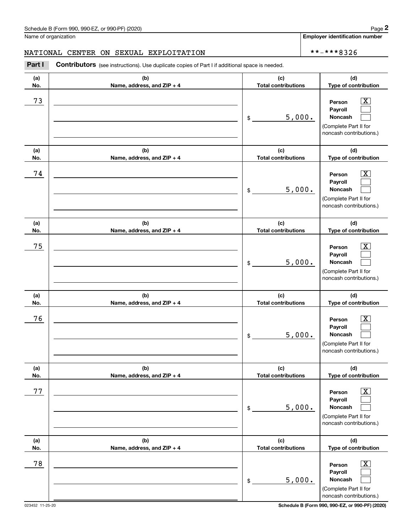**Employer identification number**

#### NATIONAL CENTER ON SEXUAL EXPLOITATION  $\star \star - \star \star \star 8326$

**(a)No.(b)Name, address, and ZIP + 4 (c)Total contributions (d)Type of contribution PersonPayrollNoncash (a)No.(b)Name, address, and ZIP + 4 (c)Total contributions (d)Type of contribution PersonPayrollNoncash (a)No.(b)Name, address, and ZIP + 4 (c)Total contributions (d)Type of contribution PersonPayrollNoncash (a) No.(b) Name, address, and ZIP + 4 (c) Total contributions (d) Type of contribution Person Payroll Noncash (a) No.(b) Name, address, and ZIP + 4 (c) Total contributions (d) Type of contribution PersonPayrollNoncash (a) No.(b)Name, address, and ZIP + 4 (c) Total contributions (d) Type of contribution PersonPayrollNoncash Contributors** (see instructions). Use duplicate copies of Part I if additional space is needed. \$(Complete Part II for noncash contributions.) \$(Complete Part II for noncash contributions.) \$(Complete Part II for noncash contributions.) \$(Complete Part II for noncash contributions.) \$(Complete Part II for noncash contributions.) \$(Complete Part II for noncash contributions.) Chedule B (Form 990, 990-EZ, or 990-PF) (2020)<br>Iame of organization<br>**IATIONAL CENTER ON SEXUAL EXPLOITATION**<br>**Part I Contributors** (see instructions). Use duplicate copies of Part I if additional space is needed.  $|X|$  $\mathcal{L}^{\text{max}}$  $\mathcal{L}^{\text{max}}$  $\boxed{\text{X}}$  $\mathcal{L}^{\text{max}}$  $\mathcal{L}^{\text{max}}$  $|X|$  $\mathcal{L}^{\text{max}}$  $\mathcal{L}^{\text{max}}$  $\lfloor x \rfloor$  $\mathcal{L}^{\text{max}}$  $\mathcal{L}^{\text{max}}$  $|X|$  $\mathcal{L}^{\text{max}}$  $\mathcal{L}^{\text{max}}$  $\boxed{\text{X}}$  $\mathcal{L}^{\text{max}}$  $\mathcal{L}^{\text{max}}$ 73 X 5,000. 74 X 5,000. 75 X 5,000. 76 X 5,000. 77 X 5,000. 78 X 5,000.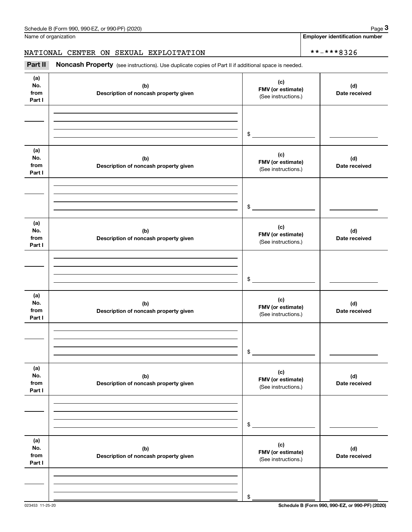**Employer identification number**

# NATIONAL CENTER ON SEXUAL EXPLOITATION  $\left\vert \begin{array}{cc} * \ * \ * \ * \ * \ * \ * \ 8326 \end{array} \right.$

(see instructions). Use duplicate copies of Part II if additional space is needed.<br> **2Part II Noncash Property** (see instructions). Use duplicate copies of Part II if additional space is needed.

| (a)<br>No.<br>from<br>Part I | (b)<br>Description of noncash property given | (c)<br>FMV (or estimate)<br>(See instructions.) | (d)<br>Date received |
|------------------------------|----------------------------------------------|-------------------------------------------------|----------------------|
|                              |                                              |                                                 |                      |
|                              |                                              | $\frac{1}{2}$                                   |                      |
| (a)<br>No.<br>from<br>Part I | (b)<br>Description of noncash property given | (c)<br>FMV (or estimate)<br>(See instructions.) | (d)<br>Date received |
|                              |                                              |                                                 |                      |
|                              |                                              | $\frac{1}{2}$                                   |                      |
| (a)<br>No.<br>from<br>Part I | (b)<br>Description of noncash property given | (c)<br>FMV (or estimate)<br>(See instructions.) | (d)<br>Date received |
|                              |                                              |                                                 |                      |
|                              |                                              | $\frac{1}{2}$                                   |                      |
| (a)<br>No.<br>from<br>Part I | (b)<br>Description of noncash property given | (c)<br>FMV (or estimate)<br>(See instructions.) | (d)<br>Date received |
|                              |                                              |                                                 |                      |
|                              |                                              | $\frac{1}{2}$                                   |                      |
| (a)<br>No.<br>from<br>Part I | (b)<br>Description of noncash property given | (c)<br>FMV (or estimate)<br>(See instructions.) | (d)<br>Date received |
|                              |                                              |                                                 |                      |
|                              |                                              | $\,$                                            |                      |
| (a)<br>No.<br>from<br>Part I | (b)<br>Description of noncash property given | (c)<br>FMV (or estimate)<br>(See instructions.) | (d)<br>Date received |
|                              |                                              |                                                 |                      |
|                              |                                              | \$                                              |                      |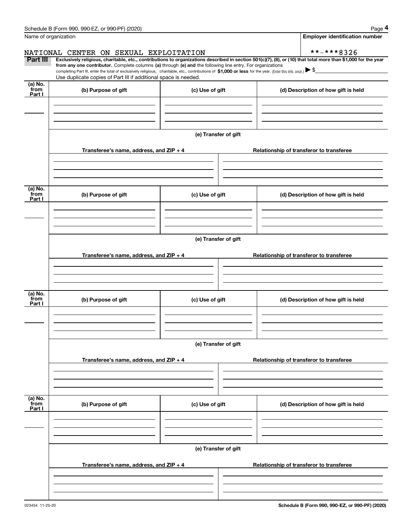|                 | Schedule B (Form 990, 990-EZ, or 990-PF) (2020)                                                                                                                                                                                                                                                 |                      | Page 4                                                                                                                                                         |  |  |  |  |  |  |
|-----------------|-------------------------------------------------------------------------------------------------------------------------------------------------------------------------------------------------------------------------------------------------------------------------------------------------|----------------------|----------------------------------------------------------------------------------------------------------------------------------------------------------------|--|--|--|--|--|--|
|                 | Name of organization                                                                                                                                                                                                                                                                            |                      | <b>Employer identification number</b>                                                                                                                          |  |  |  |  |  |  |
|                 | NATIONAL CENTER ON SEXUAL EXPLOITATION                                                                                                                                                                                                                                                          |                      | **-***8326                                                                                                                                                     |  |  |  |  |  |  |
| Part III        |                                                                                                                                                                                                                                                                                                 |                      | Exclusively religious, charitable, etc., contributions to organizations described in section 501(c)(7), (8), or (10) that total more than \$1,000 for the year |  |  |  |  |  |  |
|                 | from any one contributor. Complete columns (a) through (e) and the following line entry. For organizations<br>completing Part III, enter the total of exclusively religious, charitable, etc., contributions of \$1,000 or less for the year. (Enter this info. once.) $\blacktriangleright$ \$ |                      |                                                                                                                                                                |  |  |  |  |  |  |
|                 | Use duplicate copies of Part III if additional space is needed.                                                                                                                                                                                                                                 |                      |                                                                                                                                                                |  |  |  |  |  |  |
| (a) No.<br>from |                                                                                                                                                                                                                                                                                                 |                      |                                                                                                                                                                |  |  |  |  |  |  |
| Part I          | (b) Purpose of gift                                                                                                                                                                                                                                                                             | (c) Use of gift      | (d) Description of how gift is held                                                                                                                            |  |  |  |  |  |  |
|                 |                                                                                                                                                                                                                                                                                                 |                      |                                                                                                                                                                |  |  |  |  |  |  |
|                 |                                                                                                                                                                                                                                                                                                 |                      |                                                                                                                                                                |  |  |  |  |  |  |
|                 |                                                                                                                                                                                                                                                                                                 |                      |                                                                                                                                                                |  |  |  |  |  |  |
|                 |                                                                                                                                                                                                                                                                                                 | (e) Transfer of gift |                                                                                                                                                                |  |  |  |  |  |  |
|                 |                                                                                                                                                                                                                                                                                                 |                      |                                                                                                                                                                |  |  |  |  |  |  |
|                 | Transferee's name, address, and ZIP + 4                                                                                                                                                                                                                                                         |                      | Relationship of transferor to transferee                                                                                                                       |  |  |  |  |  |  |
|                 |                                                                                                                                                                                                                                                                                                 |                      |                                                                                                                                                                |  |  |  |  |  |  |
|                 |                                                                                                                                                                                                                                                                                                 |                      |                                                                                                                                                                |  |  |  |  |  |  |
|                 |                                                                                                                                                                                                                                                                                                 |                      |                                                                                                                                                                |  |  |  |  |  |  |
| (a) No.         |                                                                                                                                                                                                                                                                                                 |                      |                                                                                                                                                                |  |  |  |  |  |  |
| from<br>Part I  | (b) Purpose of gift                                                                                                                                                                                                                                                                             | (c) Use of gift      | (d) Description of how gift is held                                                                                                                            |  |  |  |  |  |  |
|                 |                                                                                                                                                                                                                                                                                                 |                      |                                                                                                                                                                |  |  |  |  |  |  |
|                 |                                                                                                                                                                                                                                                                                                 |                      |                                                                                                                                                                |  |  |  |  |  |  |
|                 |                                                                                                                                                                                                                                                                                                 |                      |                                                                                                                                                                |  |  |  |  |  |  |
|                 |                                                                                                                                                                                                                                                                                                 |                      |                                                                                                                                                                |  |  |  |  |  |  |
|                 | (e) Transfer of gift                                                                                                                                                                                                                                                                            |                      |                                                                                                                                                                |  |  |  |  |  |  |
|                 | Transferee's name, address, and ZIP + 4                                                                                                                                                                                                                                                         |                      | Relationship of transferor to transferee                                                                                                                       |  |  |  |  |  |  |
|                 |                                                                                                                                                                                                                                                                                                 |                      |                                                                                                                                                                |  |  |  |  |  |  |
|                 |                                                                                                                                                                                                                                                                                                 |                      |                                                                                                                                                                |  |  |  |  |  |  |
|                 |                                                                                                                                                                                                                                                                                                 |                      |                                                                                                                                                                |  |  |  |  |  |  |
| (a) No.         |                                                                                                                                                                                                                                                                                                 |                      |                                                                                                                                                                |  |  |  |  |  |  |
| from<br>Part I  | (b) Purpose of gift                                                                                                                                                                                                                                                                             | (c) Use of gift      | (d) Description of how gift is held                                                                                                                            |  |  |  |  |  |  |
|                 |                                                                                                                                                                                                                                                                                                 |                      |                                                                                                                                                                |  |  |  |  |  |  |
|                 |                                                                                                                                                                                                                                                                                                 |                      |                                                                                                                                                                |  |  |  |  |  |  |
|                 |                                                                                                                                                                                                                                                                                                 |                      |                                                                                                                                                                |  |  |  |  |  |  |
|                 |                                                                                                                                                                                                                                                                                                 |                      |                                                                                                                                                                |  |  |  |  |  |  |
|                 |                                                                                                                                                                                                                                                                                                 | (e) Transfer of gift |                                                                                                                                                                |  |  |  |  |  |  |
|                 | Transferee's name, address, and ZIP + 4                                                                                                                                                                                                                                                         |                      | Relationship of transferor to transferee                                                                                                                       |  |  |  |  |  |  |
|                 |                                                                                                                                                                                                                                                                                                 |                      |                                                                                                                                                                |  |  |  |  |  |  |
|                 |                                                                                                                                                                                                                                                                                                 |                      |                                                                                                                                                                |  |  |  |  |  |  |
|                 |                                                                                                                                                                                                                                                                                                 |                      |                                                                                                                                                                |  |  |  |  |  |  |
| (a) No.         |                                                                                                                                                                                                                                                                                                 |                      |                                                                                                                                                                |  |  |  |  |  |  |
| from<br>Part I  | (b) Purpose of gift                                                                                                                                                                                                                                                                             | (c) Use of gift      | (d) Description of how gift is held                                                                                                                            |  |  |  |  |  |  |
|                 |                                                                                                                                                                                                                                                                                                 |                      |                                                                                                                                                                |  |  |  |  |  |  |
|                 |                                                                                                                                                                                                                                                                                                 |                      |                                                                                                                                                                |  |  |  |  |  |  |
|                 |                                                                                                                                                                                                                                                                                                 |                      |                                                                                                                                                                |  |  |  |  |  |  |
|                 |                                                                                                                                                                                                                                                                                                 |                      |                                                                                                                                                                |  |  |  |  |  |  |
|                 | (e) Transfer of gift                                                                                                                                                                                                                                                                            |                      |                                                                                                                                                                |  |  |  |  |  |  |
|                 | Transferee's name, address, and $ZIP + 4$                                                                                                                                                                                                                                                       |                      | Relationship of transferor to transferee                                                                                                                       |  |  |  |  |  |  |
|                 |                                                                                                                                                                                                                                                                                                 |                      |                                                                                                                                                                |  |  |  |  |  |  |
|                 |                                                                                                                                                                                                                                                                                                 |                      |                                                                                                                                                                |  |  |  |  |  |  |
|                 |                                                                                                                                                                                                                                                                                                 |                      |                                                                                                                                                                |  |  |  |  |  |  |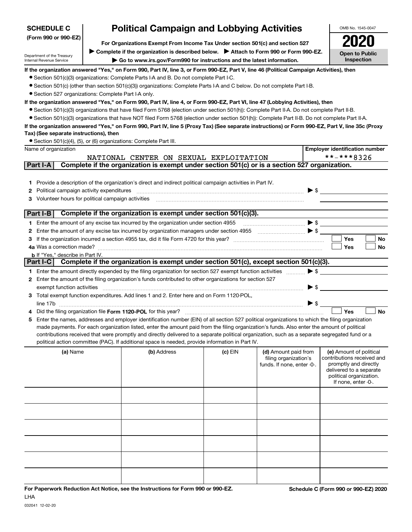| <b>SCHEDULE C</b>                                                                                                                           | <b>Political Campaign and Lobbying Activities</b>                             |                                                                                                                                                                                                                                                    |                                     |                            |                          | OMB No. 1545-0047                                |  |  |  |  |
|---------------------------------------------------------------------------------------------------------------------------------------------|-------------------------------------------------------------------------------|----------------------------------------------------------------------------------------------------------------------------------------------------------------------------------------------------------------------------------------------------|-------------------------------------|----------------------------|--------------------------|--------------------------------------------------|--|--|--|--|
| (Form 990 or 990-EZ)                                                                                                                        | For Organizations Exempt From Income Tax Under section 501(c) and section 527 |                                                                                                                                                                                                                                                    |                                     |                            |                          |                                                  |  |  |  |  |
|                                                                                                                                             |                                                                               | Complete if the organization is described below. > Attach to Form 990 or Form 990-EZ.                                                                                                                                                              |                                     |                            |                          |                                                  |  |  |  |  |
| Department of the Treasury<br>Internal Revenue Service                                                                                      | Go to www.irs.gov/Form990 for instructions and the latest information.        |                                                                                                                                                                                                                                                    | <b>Open to Public</b><br>Inspection |                            |                          |                                                  |  |  |  |  |
|                                                                                                                                             |                                                                               | If the organization answered "Yes," on Form 990, Part IV, line 3, or Form 990-EZ, Part V, line 46 (Political Campaign Activities), then                                                                                                            |                                     |                            |                          |                                                  |  |  |  |  |
|                                                                                                                                             |                                                                               | • Section 501(c)(3) organizations: Complete Parts I-A and B. Do not complete Part I-C.                                                                                                                                                             |                                     |                            |                          |                                                  |  |  |  |  |
| • Section 527 organizations: Complete Part I-A only.                                                                                        |                                                                               | ● Section 501(c) (other than section 501(c)(3)) organizations: Complete Parts I-A and C below. Do not complete Part I-B.                                                                                                                           |                                     |                            |                          |                                                  |  |  |  |  |
|                                                                                                                                             |                                                                               | If the organization answered "Yes," on Form 990, Part IV, line 4, or Form 990-EZ, Part VI, line 47 (Lobbying Activities), then                                                                                                                     |                                     |                            |                          |                                                  |  |  |  |  |
| • Section 501(c)(3) organizations that have filed Form 5768 (election under section 501(h)): Complete Part II-A. Do not complete Part II-B. |                                                                               |                                                                                                                                                                                                                                                    |                                     |                            |                          |                                                  |  |  |  |  |
|                                                                                                                                             |                                                                               | • Section 501(c)(3) organizations that have NOT filed Form 5768 (election under section 501(h)): Complete Part II-B. Do not complete Part II-A.                                                                                                    |                                     |                            |                          |                                                  |  |  |  |  |
|                                                                                                                                             |                                                                               | If the organization answered "Yes," on Form 990, Part IV, line 5 (Proxy Tax) (See separate instructions) or Form 990-EZ, Part V, line 35c (Proxy                                                                                                   |                                     |                            |                          |                                                  |  |  |  |  |
| Tax) (See separate instructions), then                                                                                                      |                                                                               |                                                                                                                                                                                                                                                    |                                     |                            |                          |                                                  |  |  |  |  |
| Name of organization                                                                                                                        |                                                                               | • Section 501(c)(4), (5), or (6) organizations: Complete Part III.                                                                                                                                                                                 |                                     |                            |                          | <b>Employer identification number</b>            |  |  |  |  |
|                                                                                                                                             |                                                                               | NATIONAL CENTER ON SEXUAL EXPLOITATION                                                                                                                                                                                                             |                                     |                            |                          | **-***8326                                       |  |  |  |  |
| Part I-A                                                                                                                                    |                                                                               | Complete if the organization is exempt under section 501(c) or is a section 527 organization.                                                                                                                                                      |                                     |                            |                          |                                                  |  |  |  |  |
|                                                                                                                                             |                                                                               |                                                                                                                                                                                                                                                    |                                     |                            |                          |                                                  |  |  |  |  |
| 1.                                                                                                                                          |                                                                               | Provide a description of the organization's direct and indirect political campaign activities in Part IV.                                                                                                                                          |                                     |                            |                          |                                                  |  |  |  |  |
| Political campaign activity expenditures<br>2                                                                                               |                                                                               |                                                                                                                                                                                                                                                    |                                     |                            | $\blacktriangleright$ \$ |                                                  |  |  |  |  |
| Volunteer hours for political campaign activities<br>3.                                                                                     |                                                                               |                                                                                                                                                                                                                                                    |                                     |                            |                          |                                                  |  |  |  |  |
| Part I-B                                                                                                                                    |                                                                               | Complete if the organization is exempt under section 501(c)(3).                                                                                                                                                                                    |                                     |                            |                          |                                                  |  |  |  |  |
|                                                                                                                                             |                                                                               | 1 Enter the amount of any excise tax incurred by the organization under section 4955                                                                                                                                                               |                                     |                            | $\blacktriangleright$ \$ |                                                  |  |  |  |  |
| 2                                                                                                                                           |                                                                               |                                                                                                                                                                                                                                                    |                                     |                            |                          |                                                  |  |  |  |  |
| 3.                                                                                                                                          |                                                                               |                                                                                                                                                                                                                                                    |                                     |                            |                          | Yes<br>No                                        |  |  |  |  |
| 4a Was a correction made?                                                                                                                   |                                                                               |                                                                                                                                                                                                                                                    |                                     |                            |                          | Yes<br>No                                        |  |  |  |  |
| <b>b</b> If "Yes," describe in Part IV.                                                                                                     |                                                                               |                                                                                                                                                                                                                                                    |                                     |                            |                          |                                                  |  |  |  |  |
| Part I-C                                                                                                                                    |                                                                               | Complete if the organization is exempt under section 501(c), except section 501(c)(3).                                                                                                                                                             |                                     |                            |                          |                                                  |  |  |  |  |
|                                                                                                                                             |                                                                               | 1 Enter the amount directly expended by the filing organization for section 527 exempt function activities                                                                                                                                         |                                     |                            | $\blacktriangleright$ \$ |                                                  |  |  |  |  |
| exempt function activities                                                                                                                  |                                                                               | 2 Enter the amount of the filing organization's funds contributed to other organizations for section 527                                                                                                                                           |                                     |                            | $\blacktriangleright$ \$ |                                                  |  |  |  |  |
|                                                                                                                                             |                                                                               | Total exempt function expenditures. Add lines 1 and 2. Enter here and on Form 1120-POL,                                                                                                                                                            |                                     |                            |                          |                                                  |  |  |  |  |
|                                                                                                                                             |                                                                               |                                                                                                                                                                                                                                                    |                                     |                            | $\blacktriangleright$ \$ |                                                  |  |  |  |  |
|                                                                                                                                             |                                                                               | Did the filing organization file Form 1120-POL for this year?                                                                                                                                                                                      |                                     |                            |                          | Yes<br><b>No</b>                                 |  |  |  |  |
| 5                                                                                                                                           |                                                                               | Enter the names, addresses and employer identification number (EIN) of all section 527 political organizations to which the filing organization                                                                                                    |                                     |                            |                          |                                                  |  |  |  |  |
|                                                                                                                                             |                                                                               | made payments. For each organization listed, enter the amount paid from the filing organization's funds. Also enter the amount of political                                                                                                        |                                     |                            |                          |                                                  |  |  |  |  |
|                                                                                                                                             |                                                                               | contributions received that were promptly and directly delivered to a separate political organization, such as a separate segregated fund or a<br>political action committee (PAC). If additional space is needed, provide information in Part IV. |                                     |                            |                          |                                                  |  |  |  |  |
| (a) Name                                                                                                                                    |                                                                               | (b) Address                                                                                                                                                                                                                                        | (c) EIN                             | (d) Amount paid from       |                          | (e) Amount of political                          |  |  |  |  |
|                                                                                                                                             |                                                                               |                                                                                                                                                                                                                                                    |                                     | filing organization's      |                          | contributions received and                       |  |  |  |  |
|                                                                                                                                             |                                                                               |                                                                                                                                                                                                                                                    |                                     | funds. If none, enter -0-. |                          | promptly and directly<br>delivered to a separate |  |  |  |  |
|                                                                                                                                             |                                                                               |                                                                                                                                                                                                                                                    |                                     |                            |                          | political organization.                          |  |  |  |  |
|                                                                                                                                             |                                                                               |                                                                                                                                                                                                                                                    |                                     |                            |                          | If none, enter -0-.                              |  |  |  |  |
|                                                                                                                                             |                                                                               |                                                                                                                                                                                                                                                    |                                     |                            |                          |                                                  |  |  |  |  |
|                                                                                                                                             |                                                                               |                                                                                                                                                                                                                                                    |                                     |                            |                          |                                                  |  |  |  |  |
|                                                                                                                                             |                                                                               |                                                                                                                                                                                                                                                    |                                     |                            |                          |                                                  |  |  |  |  |
|                                                                                                                                             |                                                                               |                                                                                                                                                                                                                                                    |                                     |                            |                          |                                                  |  |  |  |  |
|                                                                                                                                             |                                                                               |                                                                                                                                                                                                                                                    |                                     |                            |                          |                                                  |  |  |  |  |
|                                                                                                                                             |                                                                               |                                                                                                                                                                                                                                                    |                                     |                            |                          |                                                  |  |  |  |  |
|                                                                                                                                             |                                                                               |                                                                                                                                                                                                                                                    |                                     |                            |                          |                                                  |  |  |  |  |
|                                                                                                                                             |                                                                               |                                                                                                                                                                                                                                                    |                                     |                            |                          |                                                  |  |  |  |  |
|                                                                                                                                             |                                                                               |                                                                                                                                                                                                                                                    |                                     |                            |                          |                                                  |  |  |  |  |
|                                                                                                                                             |                                                                               |                                                                                                                                                                                                                                                    |                                     |                            |                          |                                                  |  |  |  |  |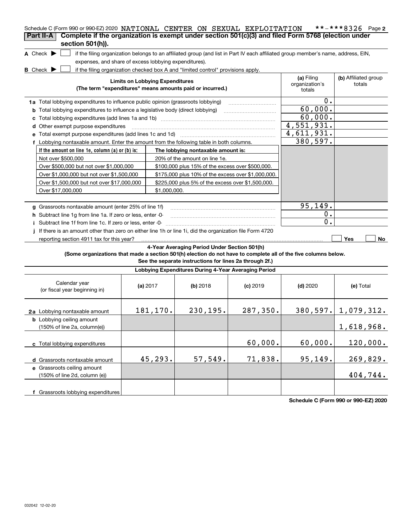| Schedule C (Form 990 or 990-EZ) 2020 NATIONAL CENTER ON SEXUAL EXPLOITATION<br>Complete if the organization is exempt under section 501(c)(3) and filed Form 5768 (election under<br>Part II-A |                                                                                                                                                                                         |            |                                                         |            |                                                                                                                                   | **-***8326 Page 2        |  |  |  |
|------------------------------------------------------------------------------------------------------------------------------------------------------------------------------------------------|-----------------------------------------------------------------------------------------------------------------------------------------------------------------------------------------|------------|---------------------------------------------------------|------------|-----------------------------------------------------------------------------------------------------------------------------------|--------------------------|--|--|--|
| section 501(h)).                                                                                                                                                                               |                                                                                                                                                                                         |            |                                                         |            |                                                                                                                                   |                          |  |  |  |
| A Check $\blacktriangleright$                                                                                                                                                                  |                                                                                                                                                                                         |            |                                                         |            | if the filing organization belongs to an affiliated group (and list in Part IV each affiliated group member's name, address, EIN, |                          |  |  |  |
| expenses, and share of excess lobbying expenditures).                                                                                                                                          |                                                                                                                                                                                         |            |                                                         |            |                                                                                                                                   |                          |  |  |  |
| <b>B</b> Check $\blacktriangleright$                                                                                                                                                           | if the filing organization checked box A and "limited control" provisions apply.<br><b>Limits on Lobbying Expenditures</b><br>(The term "expenditures" means amounts paid or incurred.) |            |                                                         |            |                                                                                                                                   |                          |  |  |  |
| 1a Total lobbying expenditures to influence public opinion (grassroots lobbying)                                                                                                               |                                                                                                                                                                                         |            |                                                         |            | totals<br>0.                                                                                                                      |                          |  |  |  |
| <b>b</b> Total lobbying expenditures to influence a legislative body (direct lobbying)                                                                                                         | 60,000.                                                                                                                                                                                 |            |                                                         |            |                                                                                                                                   |                          |  |  |  |
| c Total lobbying expenditures (add lines 1a and 1b) manufactured contains an intervention of the Total Industry                                                                                |                                                                                                                                                                                         |            |                                                         |            | 60,000.                                                                                                                           |                          |  |  |  |
| d Other exempt purpose expenditures                                                                                                                                                            |                                                                                                                                                                                         |            |                                                         |            | 4,551,931.                                                                                                                        |                          |  |  |  |
| e Total exempt purpose expenditures (add lines 1c and 1d)                                                                                                                                      |                                                                                                                                                                                         |            |                                                         |            | 4,611,931.                                                                                                                        |                          |  |  |  |
| f Lobbying nontaxable amount. Enter the amount from the following table in both columns.                                                                                                       | 380, 597.                                                                                                                                                                               |            |                                                         |            |                                                                                                                                   |                          |  |  |  |
| If the amount on line 1e, column (a) or (b) is:                                                                                                                                                | The lobbying nontaxable amount is:                                                                                                                                                      |            |                                                         |            |                                                                                                                                   |                          |  |  |  |
| Not over \$500,000                                                                                                                                                                             |                                                                                                                                                                                         |            | 20% of the amount on line 1e.                           |            |                                                                                                                                   |                          |  |  |  |
| Over \$500,000 but not over \$1,000,000                                                                                                                                                        |                                                                                                                                                                                         |            |                                                         |            |                                                                                                                                   |                          |  |  |  |
| Over \$1,000,000 but not over \$1,500,000                                                                                                                                                      |                                                                                                                                                                                         |            |                                                         |            |                                                                                                                                   |                          |  |  |  |
| Over \$1,500,000 but not over \$17,000,000                                                                                                                                                     |                                                                                                                                                                                         |            |                                                         |            |                                                                                                                                   |                          |  |  |  |
| Over \$17,000,000                                                                                                                                                                              |                                                                                                                                                                                         |            |                                                         |            |                                                                                                                                   |                          |  |  |  |
|                                                                                                                                                                                                |                                                                                                                                                                                         |            |                                                         |            |                                                                                                                                   |                          |  |  |  |
| g Grassroots nontaxable amount (enter 25% of line 1f)                                                                                                                                          |                                                                                                                                                                                         |            |                                                         |            | 95,149.                                                                                                                           |                          |  |  |  |
| h Subtract line 1g from line 1a. If zero or less, enter -0-                                                                                                                                    |                                                                                                                                                                                         |            |                                                         |            | 0.                                                                                                                                |                          |  |  |  |
| Subtract line 1f from line 1c. If zero or less, enter -0-                                                                                                                                      |                                                                                                                                                                                         |            |                                                         |            | 0.                                                                                                                                |                          |  |  |  |
| If there is an amount other than zero on either line 1h or line 1i, did the organization file Form 4720                                                                                        |                                                                                                                                                                                         |            |                                                         |            |                                                                                                                                   |                          |  |  |  |
| reporting section 4911 tax for this year?                                                                                                                                                      |                                                                                                                                                                                         |            |                                                         |            |                                                                                                                                   | Yes<br>No                |  |  |  |
|                                                                                                                                                                                                |                                                                                                                                                                                         |            | 4-Year Averaging Period Under Section 501(h)            |            |                                                                                                                                   |                          |  |  |  |
| (Some organizations that made a section 501(h) election do not have to complete all of the five columns below.                                                                                 |                                                                                                                                                                                         |            |                                                         |            |                                                                                                                                   |                          |  |  |  |
|                                                                                                                                                                                                |                                                                                                                                                                                         |            | See the separate instructions for lines 2a through 2f.) |            |                                                                                                                                   |                          |  |  |  |
|                                                                                                                                                                                                |                                                                                                                                                                                         |            | Lobbying Expenditures During 4-Year Averaging Period    |            |                                                                                                                                   |                          |  |  |  |
| Calendar year<br>(or fiscal year beginning in)                                                                                                                                                 |                                                                                                                                                                                         | (a) $2017$ | $(b)$ 2018                                              | $(c)$ 2019 | $(d)$ 2020                                                                                                                        | (e) Total                |  |  |  |
| 2a Lobbying nontaxable amount                                                                                                                                                                  |                                                                                                                                                                                         | 181,170.   | 230, 195.                                               | 287,350.   |                                                                                                                                   | $380, 597.$ 1, 079, 312. |  |  |  |
| <b>b</b> Lobbying ceiling amount<br>(150% of line 2a, column(e))                                                                                                                               |                                                                                                                                                                                         |            |                                                         |            |                                                                                                                                   | 1,618,968.               |  |  |  |
| c Total lobbying expenditures                                                                                                                                                                  | 60,000.                                                                                                                                                                                 | 60,000.    | 120,000.                                                |            |                                                                                                                                   |                          |  |  |  |
| d Grassroots nontaxable amount                                                                                                                                                                 |                                                                                                                                                                                         | 45,293.    | 57,549.                                                 | 71,838.    | 95,149.                                                                                                                           | 269,829.                 |  |  |  |
| e Grassroots ceiling amount<br>(150% of line 2d, column (e))                                                                                                                                   |                                                                                                                                                                                         |            |                                                         |            |                                                                                                                                   | 404,744.                 |  |  |  |
| f Grassroots lobbying expenditures                                                                                                                                                             |                                                                                                                                                                                         |            |                                                         |            |                                                                                                                                   |                          |  |  |  |

**Schedule C (Form 990 or 990-EZ) 2020**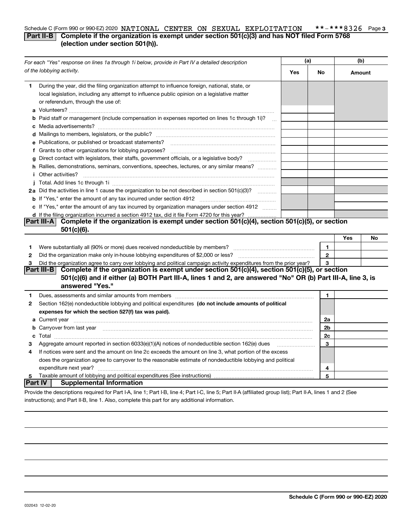#### **3** Schedule C (Form 990 or 990-EZ) 2020 NATIONAL(CENTER ON SEXUAL EXPLOITATION) \*\*-\*\*\*8326 Page **Part II-B** Complete if the organization is exempt under section 501(c)(3) and has NOT filed Form 5768 **(election under section 501(h)).**

|    | For each "Yes" response on lines 1a through 1i below, provide in Part IV a detailed description                                                                                                                                                                                                                                                                                                                                                                                                                                                                                                                                                                                                                                                                                                                                                                        |     | (a)            | (b)    |    |
|----|------------------------------------------------------------------------------------------------------------------------------------------------------------------------------------------------------------------------------------------------------------------------------------------------------------------------------------------------------------------------------------------------------------------------------------------------------------------------------------------------------------------------------------------------------------------------------------------------------------------------------------------------------------------------------------------------------------------------------------------------------------------------------------------------------------------------------------------------------------------------|-----|----------------|--------|----|
|    | of the lobbying activity.                                                                                                                                                                                                                                                                                                                                                                                                                                                                                                                                                                                                                                                                                                                                                                                                                                              | Yes | No             | Amount |    |
| 1. | During the year, did the filing organization attempt to influence foreign, national, state, or<br>local legislation, including any attempt to influence public opinion on a legislative matter<br>or referendum, through the use of:<br><b>b</b> Paid staff or management (include compensation in expenses reported on lines 1c through 1i)?<br>$\mathcal{L}_{\text{max}}$<br>e Publications, or published or broadcast statements?<br>g Direct contact with legislators, their staffs, government officials, or a legislative body?<br>h Rallies, demonstrations, seminars, conventions, speeches, lectures, or any similar means?<br><i>i</i> Other activities?<br>2a Did the activities in line 1 cause the organization to be not described in section 501(c)(3)?<br>c If "Yes," enter the amount of any tax incurred by organization managers under section 4912 |     |                |        |    |
|    | d If the filing organization incurred a section 4912 tax, did it file Form 4720 for this year?                                                                                                                                                                                                                                                                                                                                                                                                                                                                                                                                                                                                                                                                                                                                                                         |     |                |        |    |
|    | Complete if the organization is exempt under section 501(c)(4), section 501(c)(5), or section<br>Part III-A<br>$501(c)(6)$ .                                                                                                                                                                                                                                                                                                                                                                                                                                                                                                                                                                                                                                                                                                                                           |     |                |        |    |
|    |                                                                                                                                                                                                                                                                                                                                                                                                                                                                                                                                                                                                                                                                                                                                                                                                                                                                        |     |                | Yes    | No |
| 1  |                                                                                                                                                                                                                                                                                                                                                                                                                                                                                                                                                                                                                                                                                                                                                                                                                                                                        |     | $\mathbf{1}$   |        |    |
| 2  |                                                                                                                                                                                                                                                                                                                                                                                                                                                                                                                                                                                                                                                                                                                                                                                                                                                                        |     | $\mathbf{2}$   |        |    |
| 3  | Did the organization agree to carry over lobbying and political campaign activity expenditures from the prior year?                                                                                                                                                                                                                                                                                                                                                                                                                                                                                                                                                                                                                                                                                                                                                    |     | 3              |        |    |
|    | Complete if the organization is exempt under section 501(c)(4), section 501(c)(5), or section<br> Part III-B <br>501(c)(6) and if either (a) BOTH Part III-A, lines 1 and 2, are answered "No" OR (b) Part III-A, line 3, is<br>answered "Yes."                                                                                                                                                                                                                                                                                                                                                                                                                                                                                                                                                                                                                        |     |                |        |    |
| 1  |                                                                                                                                                                                                                                                                                                                                                                                                                                                                                                                                                                                                                                                                                                                                                                                                                                                                        |     | 1              |        |    |
| 2  | Section 162(e) nondeductible lobbying and political expenditures (do not include amounts of political<br>expenses for which the section 527(f) tax was paid).                                                                                                                                                                                                                                                                                                                                                                                                                                                                                                                                                                                                                                                                                                          |     |                |        |    |
|    |                                                                                                                                                                                                                                                                                                                                                                                                                                                                                                                                                                                                                                                                                                                                                                                                                                                                        |     | 2a             |        |    |
|    | b Carryover from last year manufactured and contract the state of the state of the carryover from last year manufactured and contract the contract of the contract of the contract of the contract of the contract of the cont                                                                                                                                                                                                                                                                                                                                                                                                                                                                                                                                                                                                                                         |     | 2 <sub>b</sub> |        |    |
|    |                                                                                                                                                                                                                                                                                                                                                                                                                                                                                                                                                                                                                                                                                                                                                                                                                                                                        |     | 2с             |        |    |
| з  | Aggregate amount reported in section 6033(e)(1)(A) notices of nondeductible section 162(e) dues                                                                                                                                                                                                                                                                                                                                                                                                                                                                                                                                                                                                                                                                                                                                                                        |     | 3              |        |    |
| 4  | If notices were sent and the amount on line 2c exceeds the amount on line 3, what portion of the excess                                                                                                                                                                                                                                                                                                                                                                                                                                                                                                                                                                                                                                                                                                                                                                |     |                |        |    |
|    | does the organization agree to carryover to the reasonable estimate of nondeductible lobbying and political                                                                                                                                                                                                                                                                                                                                                                                                                                                                                                                                                                                                                                                                                                                                                            |     |                |        |    |
|    | expenditure next year?                                                                                                                                                                                                                                                                                                                                                                                                                                                                                                                                                                                                                                                                                                                                                                                                                                                 |     | 4              |        |    |
| 5  | ∣Part IV∣<br><b>Supplemental Information</b>                                                                                                                                                                                                                                                                                                                                                                                                                                                                                                                                                                                                                                                                                                                                                                                                                           |     | 5              |        |    |
|    | Provide the descriptions required for Part I-A, line 1; Part I-B, line 4; Part I-C, line 5; Part II-A (affiliated group list); Part II-A, lines 1 and 2 (See                                                                                                                                                                                                                                                                                                                                                                                                                                                                                                                                                                                                                                                                                                           |     |                |        |    |

instructions); and Part II-B, line 1. Also, complete this part for any additional information.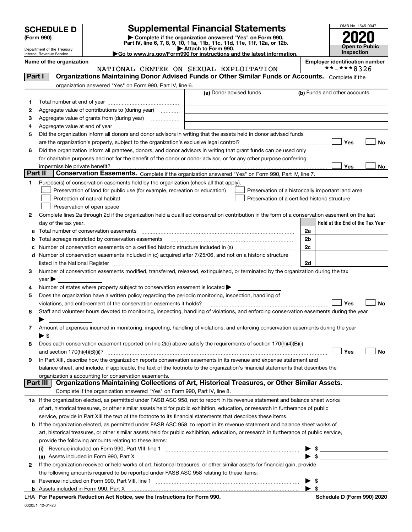| <b>SCHEDULE D</b> |  |
|-------------------|--|
|-------------------|--|

Department of the Treasury Internal Revenue Service

| (Form 990) |  |
|------------|--|
|------------|--|

# **SCHEDULE D Supplemental Financial Statements**

(Form 990)<br>
Pepartment of the Treasury<br>
Department of the Treasury<br>
Department of the Treasury<br>
Department of the Treasury<br> **Co to www.irs.gov/Form990 for instructions and the latest information.**<br> **Co to www.irs.gov/Form9** 





|              | Name of the organization<br>NATIONAL CENTER ON SEXUAL EXPLOITATION                                                                                                                                                             |                         | <b>Employer identification number</b><br>**-***8326 |
|--------------|--------------------------------------------------------------------------------------------------------------------------------------------------------------------------------------------------------------------------------|-------------------------|-----------------------------------------------------|
| Part I       | Organizations Maintaining Donor Advised Funds or Other Similar Funds or Accounts. Complete if the                                                                                                                              |                         |                                                     |
|              | organization answered "Yes" on Form 990, Part IV, line 6.                                                                                                                                                                      |                         |                                                     |
|              |                                                                                                                                                                                                                                | (a) Donor advised funds | (b) Funds and other accounts                        |
| 1.           |                                                                                                                                                                                                                                |                         |                                                     |
| 2            | Aggregate value of contributions to (during year)                                                                                                                                                                              |                         |                                                     |
| 3            |                                                                                                                                                                                                                                |                         |                                                     |
| 4            |                                                                                                                                                                                                                                |                         |                                                     |
| 5            | Did the organization inform all donors and donor advisors in writing that the assets held in donor advised funds                                                                                                               |                         |                                                     |
|              |                                                                                                                                                                                                                                |                         | Yes<br>No                                           |
| 6            | Did the organization inform all grantees, donors, and donor advisors in writing that grant funds can be used only                                                                                                              |                         |                                                     |
|              | for charitable purposes and not for the benefit of the donor or donor advisor, or for any other purpose conferring                                                                                                             |                         |                                                     |
|              |                                                                                                                                                                                                                                |                         | Yes<br>No                                           |
| Part II      | Conservation Easements. Complete if the organization answered "Yes" on Form 990, Part IV, line 7.                                                                                                                              |                         |                                                     |
| 1            | Purpose(s) of conservation easements held by the organization (check all that apply).                                                                                                                                          |                         |                                                     |
|              | Preservation of land for public use (for example, recreation or education)                                                                                                                                                     |                         | Preservation of a historically important land area  |
|              | Protection of natural habitat                                                                                                                                                                                                  |                         | Preservation of a certified historic structure      |
|              | Preservation of open space                                                                                                                                                                                                     |                         |                                                     |
| 2            | Complete lines 2a through 2d if the organization held a qualified conservation contribution in the form of a conservation easement on the last                                                                                 |                         |                                                     |
|              | day of the tax year.                                                                                                                                                                                                           |                         | Held at the End of the Tax Year                     |
| а            | Total number of conservation easements                                                                                                                                                                                         |                         | 2a                                                  |
| b            | Total acreage restricted by conservation easements                                                                                                                                                                             |                         | 2b                                                  |
| с            |                                                                                                                                                                                                                                |                         | 2c                                                  |
| d            | Number of conservation easements included in (c) acquired after 7/25/06, and not on a historic structure                                                                                                                       |                         |                                                     |
|              | listed in the National Register [1,1,2000] [1,2000] [1,2000] [1,2000] [1,2000] [1,2000] [1,2000] [1,2000] [1,2000] [1,2000] [1,2000] [1,2000] [1,2000] [1,2000] [1,2000] [1,2000] [1,2000] [1,2000] [1,2000] [1,2000] [1,2000] |                         | 2d                                                  |
| З.           | Number of conservation easements modified, transferred, released, extinguished, or terminated by the organization during the tax                                                                                               |                         |                                                     |
|              | $year \blacktriangleright$                                                                                                                                                                                                     |                         |                                                     |
| 4            | Number of states where property subject to conservation easement is located >                                                                                                                                                  |                         |                                                     |
| 5            | Does the organization have a written policy regarding the periodic monitoring, inspection, handling of                                                                                                                         |                         |                                                     |
|              | violations, and enforcement of the conservation easements it holds?                                                                                                                                                            |                         | Yes<br>No                                           |
| 6            | Staff and volunteer hours devoted to monitoring, inspecting, handling of violations, and enforcing conservation easements during the year                                                                                      |                         |                                                     |
|              |                                                                                                                                                                                                                                |                         |                                                     |
| 7            | Amount of expenses incurred in monitoring, inspecting, handling of violations, and enforcing conservation easements during the year                                                                                            |                         |                                                     |
|              | $\blacktriangleright$ s                                                                                                                                                                                                        |                         |                                                     |
| 8            | Does each conservation easement reported on line 2(d) above satisfy the requirements of section 170(h)(4)(B)(i)                                                                                                                |                         |                                                     |
|              |                                                                                                                                                                                                                                |                         | Yes<br>No                                           |
|              | In Part XIII, describe how the organization reports conservation easements in its revenue and expense statement and                                                                                                            |                         |                                                     |
|              | balance sheet, and include, if applicable, the text of the footnote to the organization's financial statements that describes the<br>organization's accounting for conservation easements.                                     |                         |                                                     |
| Part III     | Organizations Maintaining Collections of Art, Historical Treasures, or Other Similar Assets.                                                                                                                                   |                         |                                                     |
|              | Complete if the organization answered "Yes" on Form 990, Part IV, line 8.                                                                                                                                                      |                         |                                                     |
|              | 1a If the organization elected, as permitted under FASB ASC 958, not to report in its revenue statement and balance sheet works                                                                                                |                         |                                                     |
|              | of art, historical treasures, or other similar assets held for public exhibition, education, or research in furtherance of public                                                                                              |                         |                                                     |
|              | service, provide in Part XIII the text of the footnote to its financial statements that describes these items.                                                                                                                 |                         |                                                     |
| b            | If the organization elected, as permitted under FASB ASC 958, to report in its revenue statement and balance sheet works of                                                                                                    |                         |                                                     |
|              | art, historical treasures, or other similar assets held for public exhibition, education, or research in furtherance of public service,                                                                                        |                         |                                                     |
|              | provide the following amounts relating to these items:                                                                                                                                                                         |                         |                                                     |
|              |                                                                                                                                                                                                                                |                         | \$                                                  |
|              | (ii) Assets included in Form 990, Part X                                                                                                                                                                                       |                         | $\blacktriangleright$ \$                            |
| $\mathbf{2}$ | If the organization received or held works of art, historical treasures, or other similar assets for financial gain, provide                                                                                                   |                         |                                                     |
|              | the following amounts required to be reported under FASB ASC 958 relating to these items:                                                                                                                                      |                         |                                                     |
| а            |                                                                                                                                                                                                                                |                         | \$                                                  |
|              |                                                                                                                                                                                                                                |                         | $\blacktriangleright$ \$                            |

**For Paperwork Reduction Act Notice, see the Instructions for Form 990. Schedule D (Form 990) 2020** LHA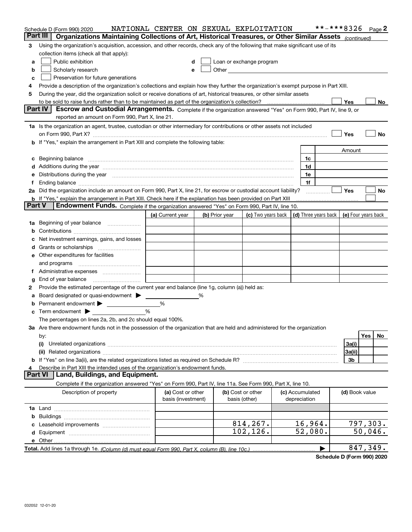| Part III<br>Organizations Maintaining Collections of Art, Historical Treasures, or Other Similar Assets (continued)<br>Using the organization's acquisition, accession, and other records, check any of the following that make significant use of its<br>3<br>collection items (check all that apply):<br>Public exhibition<br>Loan or exchange program<br>a<br>Scholarly research<br>Other the contract of the contract of the contract of the contract of the contract of the contract of the contract of the contract of the contract of the contract of the contract of the contract of the contract of the cont<br>b<br>e<br>Preservation for future generations<br>c<br>Provide a description of the organization's collections and explain how they further the organization's exempt purpose in Part XIII.<br>4<br>During the year, did the organization solicit or receive donations of art, historical treasures, or other similar assets<br>5<br>Yes<br>No<br>Part IV<br>Escrow and Custodial Arrangements. Complete if the organization answered "Yes" on Form 990, Part IV, line 9, or<br>reported an amount on Form 990, Part X, line 21.<br>1a Is the organization an agent, trustee, custodian or other intermediary for contributions or other assets not included<br>Yes<br>No<br>b If "Yes," explain the arrangement in Part XIII and complete the following table:<br>Amount<br>Beginning balance <b>contract to the contract of the contract of the contract of the contract of the contract of t</b><br>1c<br>c<br>Additions during the year manufactured and an annual contract of the year manufactured and all the year manufactured and all the year manufactured and all the year manufactured and all the year manufactured and all the yea<br>1d<br>Distributions during the year manufactured and continuum and the year manufactured and the year manufactured and the year manufactured and the year manufactured and the year manufactured and the year manufactured and the y<br>1e<br>1f<br>Did the organization include an amount on Form 990, Part X, line 21, for escrow or custodial account liability?<br><b>Yes</b><br>No<br>2a<br><b>b</b> If "Yes," explain the arrangement in Part XIII. Check here if the explanation has been provided on Part XIII<br><b>Part V</b><br>Endowment Funds. Complete if the organization answered "Yes" on Form 990, Part IV, line 10.<br>(c) Two years back $\vert$ (d) Three years back $\vert$ (e) Four years back<br>(a) Current year<br>(b) Prior year<br>Beginning of year balance<br>1a<br>b<br>Net investment earnings, gains, and losses<br>d<br>e Other expenditures for facilities<br>and programs<br>End of year balance<br>g<br>Provide the estimated percentage of the current year end balance (line 1g, column (a)) held as:<br>2<br>Board designated or quasi-endowment ><br>%<br>а<br>Permanent endowment<br>%<br>b<br>%<br>$\mathbf c$ Term endowment $\blacktriangleright$<br>The percentages on lines 2a, 2b, and 2c should equal 100%.<br>3a Are there endowment funds not in the possession of the organization that are held and administered for the organization<br>Yes<br>No<br>by:<br>(i)<br>3a(i)<br>3a(ii) |
|----------------------------------------------------------------------------------------------------------------------------------------------------------------------------------------------------------------------------------------------------------------------------------------------------------------------------------------------------------------------------------------------------------------------------------------------------------------------------------------------------------------------------------------------------------------------------------------------------------------------------------------------------------------------------------------------------------------------------------------------------------------------------------------------------------------------------------------------------------------------------------------------------------------------------------------------------------------------------------------------------------------------------------------------------------------------------------------------------------------------------------------------------------------------------------------------------------------------------------------------------------------------------------------------------------------------------------------------------------------------------------------------------------------------------------------------------------------------------------------------------------------------------------------------------------------------------------------------------------------------------------------------------------------------------------------------------------------------------------------------------------------------------------------------------------------------------------------------------------------------------------------------------------------------------------------------------------------------------------------------------------------------------------------------------------------------------------------------------------------------------------------------------------------------------------------------------------------------------------------------------------------------------------------------------------------------------------------------------------------------------------------------------------------------------------------------------------------------------------------------------------------------------------------------------------------------------------------------------------------------------------------------------------------------------------------------------------------------------------------------------------------------------------------------------------------------------------------------------------------------------------------------------------------------------------------------------------------------------------------------------------------------------------------------------------------------------------------------------------------------------------------------------------------------------------------------------------------------|
|                                                                                                                                                                                                                                                                                                                                                                                                                                                                                                                                                                                                                                                                                                                                                                                                                                                                                                                                                                                                                                                                                                                                                                                                                                                                                                                                                                                                                                                                                                                                                                                                                                                                                                                                                                                                                                                                                                                                                                                                                                                                                                                                                                                                                                                                                                                                                                                                                                                                                                                                                                                                                                                                                                                                                                                                                                                                                                                                                                                                                                                                                                                                                                                                                      |
|                                                                                                                                                                                                                                                                                                                                                                                                                                                                                                                                                                                                                                                                                                                                                                                                                                                                                                                                                                                                                                                                                                                                                                                                                                                                                                                                                                                                                                                                                                                                                                                                                                                                                                                                                                                                                                                                                                                                                                                                                                                                                                                                                                                                                                                                                                                                                                                                                                                                                                                                                                                                                                                                                                                                                                                                                                                                                                                                                                                                                                                                                                                                                                                                                      |
|                                                                                                                                                                                                                                                                                                                                                                                                                                                                                                                                                                                                                                                                                                                                                                                                                                                                                                                                                                                                                                                                                                                                                                                                                                                                                                                                                                                                                                                                                                                                                                                                                                                                                                                                                                                                                                                                                                                                                                                                                                                                                                                                                                                                                                                                                                                                                                                                                                                                                                                                                                                                                                                                                                                                                                                                                                                                                                                                                                                                                                                                                                                                                                                                                      |
|                                                                                                                                                                                                                                                                                                                                                                                                                                                                                                                                                                                                                                                                                                                                                                                                                                                                                                                                                                                                                                                                                                                                                                                                                                                                                                                                                                                                                                                                                                                                                                                                                                                                                                                                                                                                                                                                                                                                                                                                                                                                                                                                                                                                                                                                                                                                                                                                                                                                                                                                                                                                                                                                                                                                                                                                                                                                                                                                                                                                                                                                                                                                                                                                                      |
|                                                                                                                                                                                                                                                                                                                                                                                                                                                                                                                                                                                                                                                                                                                                                                                                                                                                                                                                                                                                                                                                                                                                                                                                                                                                                                                                                                                                                                                                                                                                                                                                                                                                                                                                                                                                                                                                                                                                                                                                                                                                                                                                                                                                                                                                                                                                                                                                                                                                                                                                                                                                                                                                                                                                                                                                                                                                                                                                                                                                                                                                                                                                                                                                                      |
|                                                                                                                                                                                                                                                                                                                                                                                                                                                                                                                                                                                                                                                                                                                                                                                                                                                                                                                                                                                                                                                                                                                                                                                                                                                                                                                                                                                                                                                                                                                                                                                                                                                                                                                                                                                                                                                                                                                                                                                                                                                                                                                                                                                                                                                                                                                                                                                                                                                                                                                                                                                                                                                                                                                                                                                                                                                                                                                                                                                                                                                                                                                                                                                                                      |
|                                                                                                                                                                                                                                                                                                                                                                                                                                                                                                                                                                                                                                                                                                                                                                                                                                                                                                                                                                                                                                                                                                                                                                                                                                                                                                                                                                                                                                                                                                                                                                                                                                                                                                                                                                                                                                                                                                                                                                                                                                                                                                                                                                                                                                                                                                                                                                                                                                                                                                                                                                                                                                                                                                                                                                                                                                                                                                                                                                                                                                                                                                                                                                                                                      |
|                                                                                                                                                                                                                                                                                                                                                                                                                                                                                                                                                                                                                                                                                                                                                                                                                                                                                                                                                                                                                                                                                                                                                                                                                                                                                                                                                                                                                                                                                                                                                                                                                                                                                                                                                                                                                                                                                                                                                                                                                                                                                                                                                                                                                                                                                                                                                                                                                                                                                                                                                                                                                                                                                                                                                                                                                                                                                                                                                                                                                                                                                                                                                                                                                      |
|                                                                                                                                                                                                                                                                                                                                                                                                                                                                                                                                                                                                                                                                                                                                                                                                                                                                                                                                                                                                                                                                                                                                                                                                                                                                                                                                                                                                                                                                                                                                                                                                                                                                                                                                                                                                                                                                                                                                                                                                                                                                                                                                                                                                                                                                                                                                                                                                                                                                                                                                                                                                                                                                                                                                                                                                                                                                                                                                                                                                                                                                                                                                                                                                                      |
|                                                                                                                                                                                                                                                                                                                                                                                                                                                                                                                                                                                                                                                                                                                                                                                                                                                                                                                                                                                                                                                                                                                                                                                                                                                                                                                                                                                                                                                                                                                                                                                                                                                                                                                                                                                                                                                                                                                                                                                                                                                                                                                                                                                                                                                                                                                                                                                                                                                                                                                                                                                                                                                                                                                                                                                                                                                                                                                                                                                                                                                                                                                                                                                                                      |
|                                                                                                                                                                                                                                                                                                                                                                                                                                                                                                                                                                                                                                                                                                                                                                                                                                                                                                                                                                                                                                                                                                                                                                                                                                                                                                                                                                                                                                                                                                                                                                                                                                                                                                                                                                                                                                                                                                                                                                                                                                                                                                                                                                                                                                                                                                                                                                                                                                                                                                                                                                                                                                                                                                                                                                                                                                                                                                                                                                                                                                                                                                                                                                                                                      |
|                                                                                                                                                                                                                                                                                                                                                                                                                                                                                                                                                                                                                                                                                                                                                                                                                                                                                                                                                                                                                                                                                                                                                                                                                                                                                                                                                                                                                                                                                                                                                                                                                                                                                                                                                                                                                                                                                                                                                                                                                                                                                                                                                                                                                                                                                                                                                                                                                                                                                                                                                                                                                                                                                                                                                                                                                                                                                                                                                                                                                                                                                                                                                                                                                      |
|                                                                                                                                                                                                                                                                                                                                                                                                                                                                                                                                                                                                                                                                                                                                                                                                                                                                                                                                                                                                                                                                                                                                                                                                                                                                                                                                                                                                                                                                                                                                                                                                                                                                                                                                                                                                                                                                                                                                                                                                                                                                                                                                                                                                                                                                                                                                                                                                                                                                                                                                                                                                                                                                                                                                                                                                                                                                                                                                                                                                                                                                                                                                                                                                                      |
|                                                                                                                                                                                                                                                                                                                                                                                                                                                                                                                                                                                                                                                                                                                                                                                                                                                                                                                                                                                                                                                                                                                                                                                                                                                                                                                                                                                                                                                                                                                                                                                                                                                                                                                                                                                                                                                                                                                                                                                                                                                                                                                                                                                                                                                                                                                                                                                                                                                                                                                                                                                                                                                                                                                                                                                                                                                                                                                                                                                                                                                                                                                                                                                                                      |
|                                                                                                                                                                                                                                                                                                                                                                                                                                                                                                                                                                                                                                                                                                                                                                                                                                                                                                                                                                                                                                                                                                                                                                                                                                                                                                                                                                                                                                                                                                                                                                                                                                                                                                                                                                                                                                                                                                                                                                                                                                                                                                                                                                                                                                                                                                                                                                                                                                                                                                                                                                                                                                                                                                                                                                                                                                                                                                                                                                                                                                                                                                                                                                                                                      |
|                                                                                                                                                                                                                                                                                                                                                                                                                                                                                                                                                                                                                                                                                                                                                                                                                                                                                                                                                                                                                                                                                                                                                                                                                                                                                                                                                                                                                                                                                                                                                                                                                                                                                                                                                                                                                                                                                                                                                                                                                                                                                                                                                                                                                                                                                                                                                                                                                                                                                                                                                                                                                                                                                                                                                                                                                                                                                                                                                                                                                                                                                                                                                                                                                      |
|                                                                                                                                                                                                                                                                                                                                                                                                                                                                                                                                                                                                                                                                                                                                                                                                                                                                                                                                                                                                                                                                                                                                                                                                                                                                                                                                                                                                                                                                                                                                                                                                                                                                                                                                                                                                                                                                                                                                                                                                                                                                                                                                                                                                                                                                                                                                                                                                                                                                                                                                                                                                                                                                                                                                                                                                                                                                                                                                                                                                                                                                                                                                                                                                                      |
|                                                                                                                                                                                                                                                                                                                                                                                                                                                                                                                                                                                                                                                                                                                                                                                                                                                                                                                                                                                                                                                                                                                                                                                                                                                                                                                                                                                                                                                                                                                                                                                                                                                                                                                                                                                                                                                                                                                                                                                                                                                                                                                                                                                                                                                                                                                                                                                                                                                                                                                                                                                                                                                                                                                                                                                                                                                                                                                                                                                                                                                                                                                                                                                                                      |
|                                                                                                                                                                                                                                                                                                                                                                                                                                                                                                                                                                                                                                                                                                                                                                                                                                                                                                                                                                                                                                                                                                                                                                                                                                                                                                                                                                                                                                                                                                                                                                                                                                                                                                                                                                                                                                                                                                                                                                                                                                                                                                                                                                                                                                                                                                                                                                                                                                                                                                                                                                                                                                                                                                                                                                                                                                                                                                                                                                                                                                                                                                                                                                                                                      |
|                                                                                                                                                                                                                                                                                                                                                                                                                                                                                                                                                                                                                                                                                                                                                                                                                                                                                                                                                                                                                                                                                                                                                                                                                                                                                                                                                                                                                                                                                                                                                                                                                                                                                                                                                                                                                                                                                                                                                                                                                                                                                                                                                                                                                                                                                                                                                                                                                                                                                                                                                                                                                                                                                                                                                                                                                                                                                                                                                                                                                                                                                                                                                                                                                      |
|                                                                                                                                                                                                                                                                                                                                                                                                                                                                                                                                                                                                                                                                                                                                                                                                                                                                                                                                                                                                                                                                                                                                                                                                                                                                                                                                                                                                                                                                                                                                                                                                                                                                                                                                                                                                                                                                                                                                                                                                                                                                                                                                                                                                                                                                                                                                                                                                                                                                                                                                                                                                                                                                                                                                                                                                                                                                                                                                                                                                                                                                                                                                                                                                                      |
|                                                                                                                                                                                                                                                                                                                                                                                                                                                                                                                                                                                                                                                                                                                                                                                                                                                                                                                                                                                                                                                                                                                                                                                                                                                                                                                                                                                                                                                                                                                                                                                                                                                                                                                                                                                                                                                                                                                                                                                                                                                                                                                                                                                                                                                                                                                                                                                                                                                                                                                                                                                                                                                                                                                                                                                                                                                                                                                                                                                                                                                                                                                                                                                                                      |
|                                                                                                                                                                                                                                                                                                                                                                                                                                                                                                                                                                                                                                                                                                                                                                                                                                                                                                                                                                                                                                                                                                                                                                                                                                                                                                                                                                                                                                                                                                                                                                                                                                                                                                                                                                                                                                                                                                                                                                                                                                                                                                                                                                                                                                                                                                                                                                                                                                                                                                                                                                                                                                                                                                                                                                                                                                                                                                                                                                                                                                                                                                                                                                                                                      |
|                                                                                                                                                                                                                                                                                                                                                                                                                                                                                                                                                                                                                                                                                                                                                                                                                                                                                                                                                                                                                                                                                                                                                                                                                                                                                                                                                                                                                                                                                                                                                                                                                                                                                                                                                                                                                                                                                                                                                                                                                                                                                                                                                                                                                                                                                                                                                                                                                                                                                                                                                                                                                                                                                                                                                                                                                                                                                                                                                                                                                                                                                                                                                                                                                      |
|                                                                                                                                                                                                                                                                                                                                                                                                                                                                                                                                                                                                                                                                                                                                                                                                                                                                                                                                                                                                                                                                                                                                                                                                                                                                                                                                                                                                                                                                                                                                                                                                                                                                                                                                                                                                                                                                                                                                                                                                                                                                                                                                                                                                                                                                                                                                                                                                                                                                                                                                                                                                                                                                                                                                                                                                                                                                                                                                                                                                                                                                                                                                                                                                                      |
|                                                                                                                                                                                                                                                                                                                                                                                                                                                                                                                                                                                                                                                                                                                                                                                                                                                                                                                                                                                                                                                                                                                                                                                                                                                                                                                                                                                                                                                                                                                                                                                                                                                                                                                                                                                                                                                                                                                                                                                                                                                                                                                                                                                                                                                                                                                                                                                                                                                                                                                                                                                                                                                                                                                                                                                                                                                                                                                                                                                                                                                                                                                                                                                                                      |
|                                                                                                                                                                                                                                                                                                                                                                                                                                                                                                                                                                                                                                                                                                                                                                                                                                                                                                                                                                                                                                                                                                                                                                                                                                                                                                                                                                                                                                                                                                                                                                                                                                                                                                                                                                                                                                                                                                                                                                                                                                                                                                                                                                                                                                                                                                                                                                                                                                                                                                                                                                                                                                                                                                                                                                                                                                                                                                                                                                                                                                                                                                                                                                                                                      |
|                                                                                                                                                                                                                                                                                                                                                                                                                                                                                                                                                                                                                                                                                                                                                                                                                                                                                                                                                                                                                                                                                                                                                                                                                                                                                                                                                                                                                                                                                                                                                                                                                                                                                                                                                                                                                                                                                                                                                                                                                                                                                                                                                                                                                                                                                                                                                                                                                                                                                                                                                                                                                                                                                                                                                                                                                                                                                                                                                                                                                                                                                                                                                                                                                      |
|                                                                                                                                                                                                                                                                                                                                                                                                                                                                                                                                                                                                                                                                                                                                                                                                                                                                                                                                                                                                                                                                                                                                                                                                                                                                                                                                                                                                                                                                                                                                                                                                                                                                                                                                                                                                                                                                                                                                                                                                                                                                                                                                                                                                                                                                                                                                                                                                                                                                                                                                                                                                                                                                                                                                                                                                                                                                                                                                                                                                                                                                                                                                                                                                                      |
|                                                                                                                                                                                                                                                                                                                                                                                                                                                                                                                                                                                                                                                                                                                                                                                                                                                                                                                                                                                                                                                                                                                                                                                                                                                                                                                                                                                                                                                                                                                                                                                                                                                                                                                                                                                                                                                                                                                                                                                                                                                                                                                                                                                                                                                                                                                                                                                                                                                                                                                                                                                                                                                                                                                                                                                                                                                                                                                                                                                                                                                                                                                                                                                                                      |
|                                                                                                                                                                                                                                                                                                                                                                                                                                                                                                                                                                                                                                                                                                                                                                                                                                                                                                                                                                                                                                                                                                                                                                                                                                                                                                                                                                                                                                                                                                                                                                                                                                                                                                                                                                                                                                                                                                                                                                                                                                                                                                                                                                                                                                                                                                                                                                                                                                                                                                                                                                                                                                                                                                                                                                                                                                                                                                                                                                                                                                                                                                                                                                                                                      |
|                                                                                                                                                                                                                                                                                                                                                                                                                                                                                                                                                                                                                                                                                                                                                                                                                                                                                                                                                                                                                                                                                                                                                                                                                                                                                                                                                                                                                                                                                                                                                                                                                                                                                                                                                                                                                                                                                                                                                                                                                                                                                                                                                                                                                                                                                                                                                                                                                                                                                                                                                                                                                                                                                                                                                                                                                                                                                                                                                                                                                                                                                                                                                                                                                      |
|                                                                                                                                                                                                                                                                                                                                                                                                                                                                                                                                                                                                                                                                                                                                                                                                                                                                                                                                                                                                                                                                                                                                                                                                                                                                                                                                                                                                                                                                                                                                                                                                                                                                                                                                                                                                                                                                                                                                                                                                                                                                                                                                                                                                                                                                                                                                                                                                                                                                                                                                                                                                                                                                                                                                                                                                                                                                                                                                                                                                                                                                                                                                                                                                                      |
|                                                                                                                                                                                                                                                                                                                                                                                                                                                                                                                                                                                                                                                                                                                                                                                                                                                                                                                                                                                                                                                                                                                                                                                                                                                                                                                                                                                                                                                                                                                                                                                                                                                                                                                                                                                                                                                                                                                                                                                                                                                                                                                                                                                                                                                                                                                                                                                                                                                                                                                                                                                                                                                                                                                                                                                                                                                                                                                                                                                                                                                                                                                                                                                                                      |
|                                                                                                                                                                                                                                                                                                                                                                                                                                                                                                                                                                                                                                                                                                                                                                                                                                                                                                                                                                                                                                                                                                                                                                                                                                                                                                                                                                                                                                                                                                                                                                                                                                                                                                                                                                                                                                                                                                                                                                                                                                                                                                                                                                                                                                                                                                                                                                                                                                                                                                                                                                                                                                                                                                                                                                                                                                                                                                                                                                                                                                                                                                                                                                                                                      |
|                                                                                                                                                                                                                                                                                                                                                                                                                                                                                                                                                                                                                                                                                                                                                                                                                                                                                                                                                                                                                                                                                                                                                                                                                                                                                                                                                                                                                                                                                                                                                                                                                                                                                                                                                                                                                                                                                                                                                                                                                                                                                                                                                                                                                                                                                                                                                                                                                                                                                                                                                                                                                                                                                                                                                                                                                                                                                                                                                                                                                                                                                                                                                                                                                      |
|                                                                                                                                                                                                                                                                                                                                                                                                                                                                                                                                                                                                                                                                                                                                                                                                                                                                                                                                                                                                                                                                                                                                                                                                                                                                                                                                                                                                                                                                                                                                                                                                                                                                                                                                                                                                                                                                                                                                                                                                                                                                                                                                                                                                                                                                                                                                                                                                                                                                                                                                                                                                                                                                                                                                                                                                                                                                                                                                                                                                                                                                                                                                                                                                                      |
|                                                                                                                                                                                                                                                                                                                                                                                                                                                                                                                                                                                                                                                                                                                                                                                                                                                                                                                                                                                                                                                                                                                                                                                                                                                                                                                                                                                                                                                                                                                                                                                                                                                                                                                                                                                                                                                                                                                                                                                                                                                                                                                                                                                                                                                                                                                                                                                                                                                                                                                                                                                                                                                                                                                                                                                                                                                                                                                                                                                                                                                                                                                                                                                                                      |
|                                                                                                                                                                                                                                                                                                                                                                                                                                                                                                                                                                                                                                                                                                                                                                                                                                                                                                                                                                                                                                                                                                                                                                                                                                                                                                                                                                                                                                                                                                                                                                                                                                                                                                                                                                                                                                                                                                                                                                                                                                                                                                                                                                                                                                                                                                                                                                                                                                                                                                                                                                                                                                                                                                                                                                                                                                                                                                                                                                                                                                                                                                                                                                                                                      |
| 3b                                                                                                                                                                                                                                                                                                                                                                                                                                                                                                                                                                                                                                                                                                                                                                                                                                                                                                                                                                                                                                                                                                                                                                                                                                                                                                                                                                                                                                                                                                                                                                                                                                                                                                                                                                                                                                                                                                                                                                                                                                                                                                                                                                                                                                                                                                                                                                                                                                                                                                                                                                                                                                                                                                                                                                                                                                                                                                                                                                                                                                                                                                                                                                                                                   |
| Describe in Part XIII the intended uses of the organization's endowment funds.                                                                                                                                                                                                                                                                                                                                                                                                                                                                                                                                                                                                                                                                                                                                                                                                                                                                                                                                                                                                                                                                                                                                                                                                                                                                                                                                                                                                                                                                                                                                                                                                                                                                                                                                                                                                                                                                                                                                                                                                                                                                                                                                                                                                                                                                                                                                                                                                                                                                                                                                                                                                                                                                                                                                                                                                                                                                                                                                                                                                                                                                                                                                       |
| <b>Part VI</b><br>Land, Buildings, and Equipment.                                                                                                                                                                                                                                                                                                                                                                                                                                                                                                                                                                                                                                                                                                                                                                                                                                                                                                                                                                                                                                                                                                                                                                                                                                                                                                                                                                                                                                                                                                                                                                                                                                                                                                                                                                                                                                                                                                                                                                                                                                                                                                                                                                                                                                                                                                                                                                                                                                                                                                                                                                                                                                                                                                                                                                                                                                                                                                                                                                                                                                                                                                                                                                    |
| Complete if the organization answered "Yes" on Form 990, Part IV, line 11a. See Form 990, Part X, line 10.                                                                                                                                                                                                                                                                                                                                                                                                                                                                                                                                                                                                                                                                                                                                                                                                                                                                                                                                                                                                                                                                                                                                                                                                                                                                                                                                                                                                                                                                                                                                                                                                                                                                                                                                                                                                                                                                                                                                                                                                                                                                                                                                                                                                                                                                                                                                                                                                                                                                                                                                                                                                                                                                                                                                                                                                                                                                                                                                                                                                                                                                                                           |
| (b) Cost or other<br>Description of property<br>(a) Cost or other<br>(c) Accumulated<br>(d) Book value                                                                                                                                                                                                                                                                                                                                                                                                                                                                                                                                                                                                                                                                                                                                                                                                                                                                                                                                                                                                                                                                                                                                                                                                                                                                                                                                                                                                                                                                                                                                                                                                                                                                                                                                                                                                                                                                                                                                                                                                                                                                                                                                                                                                                                                                                                                                                                                                                                                                                                                                                                                                                                                                                                                                                                                                                                                                                                                                                                                                                                                                                                               |
| basis (investment)<br>depreciation<br>basis (other)                                                                                                                                                                                                                                                                                                                                                                                                                                                                                                                                                                                                                                                                                                                                                                                                                                                                                                                                                                                                                                                                                                                                                                                                                                                                                                                                                                                                                                                                                                                                                                                                                                                                                                                                                                                                                                                                                                                                                                                                                                                                                                                                                                                                                                                                                                                                                                                                                                                                                                                                                                                                                                                                                                                                                                                                                                                                                                                                                                                                                                                                                                                                                                  |
|                                                                                                                                                                                                                                                                                                                                                                                                                                                                                                                                                                                                                                                                                                                                                                                                                                                                                                                                                                                                                                                                                                                                                                                                                                                                                                                                                                                                                                                                                                                                                                                                                                                                                                                                                                                                                                                                                                                                                                                                                                                                                                                                                                                                                                                                                                                                                                                                                                                                                                                                                                                                                                                                                                                                                                                                                                                                                                                                                                                                                                                                                                                                                                                                                      |
|                                                                                                                                                                                                                                                                                                                                                                                                                                                                                                                                                                                                                                                                                                                                                                                                                                                                                                                                                                                                                                                                                                                                                                                                                                                                                                                                                                                                                                                                                                                                                                                                                                                                                                                                                                                                                                                                                                                                                                                                                                                                                                                                                                                                                                                                                                                                                                                                                                                                                                                                                                                                                                                                                                                                                                                                                                                                                                                                                                                                                                                                                                                                                                                                                      |
| 814,267.<br>16,964.<br>797,303.                                                                                                                                                                                                                                                                                                                                                                                                                                                                                                                                                                                                                                                                                                                                                                                                                                                                                                                                                                                                                                                                                                                                                                                                                                                                                                                                                                                                                                                                                                                                                                                                                                                                                                                                                                                                                                                                                                                                                                                                                                                                                                                                                                                                                                                                                                                                                                                                                                                                                                                                                                                                                                                                                                                                                                                                                                                                                                                                                                                                                                                                                                                                                                                      |
| 102,126.<br>52,080.<br>50,046.                                                                                                                                                                                                                                                                                                                                                                                                                                                                                                                                                                                                                                                                                                                                                                                                                                                                                                                                                                                                                                                                                                                                                                                                                                                                                                                                                                                                                                                                                                                                                                                                                                                                                                                                                                                                                                                                                                                                                                                                                                                                                                                                                                                                                                                                                                                                                                                                                                                                                                                                                                                                                                                                                                                                                                                                                                                                                                                                                                                                                                                                                                                                                                                       |
|                                                                                                                                                                                                                                                                                                                                                                                                                                                                                                                                                                                                                                                                                                                                                                                                                                                                                                                                                                                                                                                                                                                                                                                                                                                                                                                                                                                                                                                                                                                                                                                                                                                                                                                                                                                                                                                                                                                                                                                                                                                                                                                                                                                                                                                                                                                                                                                                                                                                                                                                                                                                                                                                                                                                                                                                                                                                                                                                                                                                                                                                                                                                                                                                                      |
| 847, 349.                                                                                                                                                                                                                                                                                                                                                                                                                                                                                                                                                                                                                                                                                                                                                                                                                                                                                                                                                                                                                                                                                                                                                                                                                                                                                                                                                                                                                                                                                                                                                                                                                                                                                                                                                                                                                                                                                                                                                                                                                                                                                                                                                                                                                                                                                                                                                                                                                                                                                                                                                                                                                                                                                                                                                                                                                                                                                                                                                                                                                                                                                                                                                                                                            |

**Schedule D (Form 990) 2020**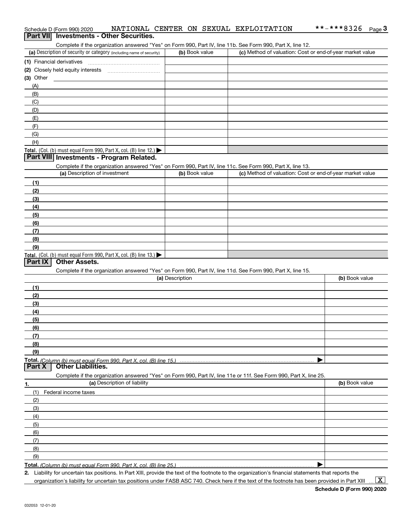|             | Schedule D (Form 990) 2020                                                                                        |                 |                | NATIONAL CENTER ON SEXUAL EXPLOITATION | **-***8326                                                | Page $3$ |
|-------------|-------------------------------------------------------------------------------------------------------------------|-----------------|----------------|----------------------------------------|-----------------------------------------------------------|----------|
|             | Part VII Investments - Other Securities.                                                                          |                 |                |                                        |                                                           |          |
|             | Complete if the organization answered "Yes" on Form 990, Part IV, line 11b. See Form 990, Part X, line 12.        |                 |                |                                        |                                                           |          |
|             | (a) Description of security or category (including name of security)                                              |                 | (b) Book value |                                        | (c) Method of valuation: Cost or end-of-year market value |          |
|             | (1) Financial derivatives                                                                                         |                 |                |                                        |                                                           |          |
|             |                                                                                                                   |                 |                |                                        |                                                           |          |
| $(3)$ Other |                                                                                                                   |                 |                |                                        |                                                           |          |
| (A)         |                                                                                                                   |                 |                |                                        |                                                           |          |
| (B)         |                                                                                                                   |                 |                |                                        |                                                           |          |
| (C)         |                                                                                                                   |                 |                |                                        |                                                           |          |
| (D)         |                                                                                                                   |                 |                |                                        |                                                           |          |
| (E)         |                                                                                                                   |                 |                |                                        |                                                           |          |
| (F)         |                                                                                                                   |                 |                |                                        |                                                           |          |
| (G)         |                                                                                                                   |                 |                |                                        |                                                           |          |
| (H)         |                                                                                                                   |                 |                |                                        |                                                           |          |
|             | Total. (Col. (b) must equal Form 990, Part X, col. (B) line 12.)                                                  |                 |                |                                        |                                                           |          |
|             | Part VIII Investments - Program Related.                                                                          |                 |                |                                        |                                                           |          |
|             | Complete if the organization answered "Yes" on Form 990, Part IV, line 11c. See Form 990, Part X, line 13.        |                 |                |                                        |                                                           |          |
|             | (a) Description of investment                                                                                     |                 | (b) Book value |                                        | (c) Method of valuation: Cost or end-of-year market value |          |
| (1)         |                                                                                                                   |                 |                |                                        |                                                           |          |
| (2)         |                                                                                                                   |                 |                |                                        |                                                           |          |
| (3)         |                                                                                                                   |                 |                |                                        |                                                           |          |
| (4)         |                                                                                                                   |                 |                |                                        |                                                           |          |
| (5)         |                                                                                                                   |                 |                |                                        |                                                           |          |
| (6)         |                                                                                                                   |                 |                |                                        |                                                           |          |
| (7)         |                                                                                                                   |                 |                |                                        |                                                           |          |
| (8)         |                                                                                                                   |                 |                |                                        |                                                           |          |
| (9)         |                                                                                                                   |                 |                |                                        |                                                           |          |
|             | Total. (Col. (b) must equal Form 990, Part X, col. (B) line 13.)                                                  |                 |                |                                        |                                                           |          |
| Part IX     | <b>Other Assets.</b>                                                                                              |                 |                |                                        |                                                           |          |
|             | Complete if the organization answered "Yes" on Form 990, Part IV, line 11d. See Form 990, Part X, line 15.        |                 |                |                                        |                                                           |          |
|             |                                                                                                                   | (a) Description |                |                                        | (b) Book value                                            |          |
| (1)         |                                                                                                                   |                 |                |                                        |                                                           |          |
| (2)         |                                                                                                                   |                 |                |                                        |                                                           |          |
| (3)         |                                                                                                                   |                 |                |                                        |                                                           |          |
| (4)         |                                                                                                                   |                 |                |                                        |                                                           |          |
| (5)         |                                                                                                                   |                 |                |                                        |                                                           |          |
| (6)         |                                                                                                                   |                 |                |                                        |                                                           |          |
| (7)         |                                                                                                                   |                 |                |                                        |                                                           |          |
| (8)         |                                                                                                                   |                 |                |                                        |                                                           |          |
| (9)         |                                                                                                                   |                 |                |                                        |                                                           |          |
|             |                                                                                                                   |                 |                |                                        |                                                           |          |
| Part X      | <b>Other Liabilities.</b>                                                                                         |                 |                |                                        |                                                           |          |
|             | Complete if the organization answered "Yes" on Form 990, Part IV, line 11e or 11f. See Form 990, Part X, line 25. |                 |                |                                        |                                                           |          |
| 1.          | (a) Description of liability                                                                                      |                 |                |                                        | (b) Book value                                            |          |
| (1)         | Federal income taxes                                                                                              |                 |                |                                        |                                                           |          |
| (2)         |                                                                                                                   |                 |                |                                        |                                                           |          |
| (3)         |                                                                                                                   |                 |                |                                        |                                                           |          |
| (4)         |                                                                                                                   |                 |                |                                        |                                                           |          |
| (5)         |                                                                                                                   |                 |                |                                        |                                                           |          |
| (6)         |                                                                                                                   |                 |                |                                        |                                                           |          |
| (7)         |                                                                                                                   |                 |                |                                        |                                                           |          |
| (8)         |                                                                                                                   |                 |                |                                        |                                                           |          |
| (9)         |                                                                                                                   |                 |                |                                        |                                                           |          |
|             |                                                                                                                   |                 |                |                                        |                                                           |          |
|             |                                                                                                                   |                 |                |                                        |                                                           |          |

**2.** Liability for uncertain tax positions. In Part XIII, provide the text of the footnote to the organization's financial statements that reports the organization's liability for uncertain tax positions under FASB ASC 740. Check here if the text of the footnote has been provided in Part XIII

 $\vert$  X  $\vert$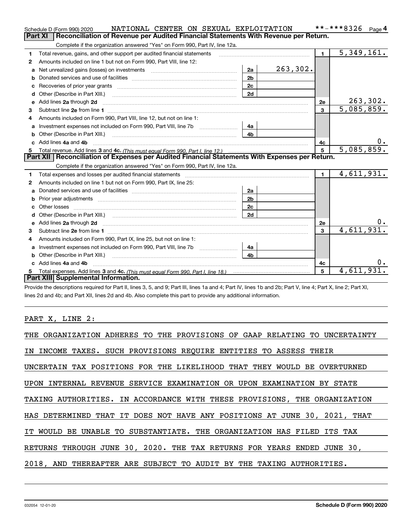|              | NATIONAL CENTER ON SEXUAL EXPLOITATION<br>Schedule D (Form 990) 2020                                                                                                                                                           |                |          |                | **-***8326<br>Page $4$      |
|--------------|--------------------------------------------------------------------------------------------------------------------------------------------------------------------------------------------------------------------------------|----------------|----------|----------------|-----------------------------|
|              | <b>Part XI</b><br>Reconciliation of Revenue per Audited Financial Statements With Revenue per Return.                                                                                                                          |                |          |                |                             |
|              | Complete if the organization answered "Yes" on Form 990, Part IV, line 12a.                                                                                                                                                    |                |          |                |                             |
| 1            | Total revenue, gains, and other support per audited financial statements                                                                                                                                                       |                |          | $\blacksquare$ | $\overline{5,349,161}$ .    |
| $\mathbf{2}$ | Amounts included on line 1 but not on Form 990, Part VIII, line 12:                                                                                                                                                            |                |          |                |                             |
| a            |                                                                                                                                                                                                                                | 2a             | 263,302. |                |                             |
|              |                                                                                                                                                                                                                                | 2 <sub>b</sub> |          |                |                             |
|              | Recoveries of prior year grants [11,111] Recoveries of prior year grants [11,111] Recoveries of prior year grants                                                                                                              | 2c             |          |                |                             |
| d            |                                                                                                                                                                                                                                | 2d             |          |                |                             |
| е            | Add lines 2a through 2d                                                                                                                                                                                                        |                |          | 2e             | $\frac{263,302}{5,085,859}$ |
| 3            |                                                                                                                                                                                                                                |                |          | $\mathbf{3}$   |                             |
| 4            | Amounts included on Form 990, Part VIII, line 12, but not on line 1:                                                                                                                                                           |                |          |                |                             |
|              |                                                                                                                                                                                                                                | - 4а           |          |                |                             |
| b            |                                                                                                                                                                                                                                | 4 <sub>b</sub> |          |                |                             |
|              | Add lines 4a and 4b                                                                                                                                                                                                            |                |          | 4c             | 0.                          |
|              |                                                                                                                                                                                                                                |                |          | 5              | 5,085,859.                  |
|              |                                                                                                                                                                                                                                |                |          |                |                             |
|              | Part XII   Reconciliation of Expenses per Audited Financial Statements With Expenses per Return.                                                                                                                               |                |          |                |                             |
|              | Complete if the organization answered "Yes" on Form 990, Part IV, line 12a.                                                                                                                                                    |                |          |                |                             |
| 1            | Total expenses and losses per audited financial statements [11] [11] Total expenses and losses per audited financial statements [11] [11] Total expenses and losses per audited financial statements                           |                |          | $\blacksquare$ | 4,611,931.                  |
| 2            | Amounts included on line 1 but not on Form 990, Part IX, line 25:                                                                                                                                                              |                |          |                |                             |
| a            |                                                                                                                                                                                                                                | 2a             |          |                |                             |
|              | Prior year adjustments material contents and content and content and content and content and content and content and content and content and content and content and content and content and content and content and content a | 2 <sub>b</sub> |          |                |                             |
|              |                                                                                                                                                                                                                                | 2c             |          |                |                             |
| d            |                                                                                                                                                                                                                                | 2d             |          |                |                             |
|              |                                                                                                                                                                                                                                |                |          | 2e             |                             |
| 3            |                                                                                                                                                                                                                                |                |          | $\mathbf{a}$   | 4,611,931.                  |
| 4            | Amounts included on Form 990, Part IX, line 25, but not on line 1:                                                                                                                                                             |                |          |                |                             |
| a            | Investment expenses not included on Form 990, Part VIII, line 7b [1000000000000000000000000000000000                                                                                                                           | 4a             |          |                |                             |
| b            |                                                                                                                                                                                                                                | 4b.            |          |                |                             |
|              | Add lines 4a and 4b                                                                                                                                                                                                            |                |          | 4c             |                             |
|              | Part XIII Supplemental Information.                                                                                                                                                                                            |                |          | 5              | 4,611,931.                  |

Provide the descriptions required for Part II, lines 3, 5, and 9; Part III, lines 1a and 4; Part IV, lines 1b and 2b; Part V, line 4; Part X, line 2; Part XI, lines 2d and 4b; and Part XII, lines 2d and 4b. Also complete this part to provide any additional information.

# PART X, LINE 2:

| THE ORGANIZATION ADHERES TO THE PROVISIONS OF GAAP RELATING TO UNCERTAINTY |
|----------------------------------------------------------------------------|
| IN INCOME TAXES. SUCH PROVISIONS REQUIRE ENTITIES TO ASSESS THEIR          |
| UNCERTAIN TAX POSITIONS FOR THE LIKELIHOOD THAT THEY WOULD BE OVERTURNED   |
| UPON INTERNAL REVENUE SERVICE EXAMINATION OR UPON EXAMINATION BY STATE     |
| TAXING AUTHORITIES. IN ACCORDANCE WITH THESE PROVISIONS, THE ORGANIZATION  |
| HAS DETERMINED THAT IT DOES NOT HAVE ANY POSITIONS AT JUNE 30, 2021, THAT  |
| IT WOULD BE UNABLE TO SUBSTANTIATE. THE ORGANIZATION HAS FILED ITS TAX     |
| RETURNS THROUGH JUNE 30, 2020. THE TAX RETURNS FOR YEARS ENDED JUNE 30,    |
| 2018, AND THEREAFTER ARE SUBJECT TO AUDIT BY THE TAXING AUTHORITIES.       |
|                                                                            |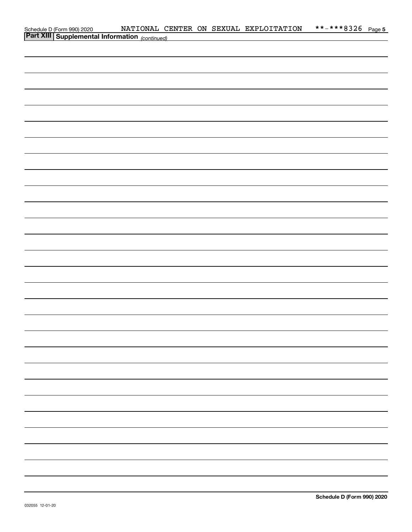| Schedule D (Form 990) 2020 NATIONAL CI<br>Part XIII Supplemental Information (continued) |  |  | NATIONAL CENTER ON SEXUAL EXPLOITATION | **-***8326 Page 5 |  |
|------------------------------------------------------------------------------------------|--|--|----------------------------------------|-------------------|--|
|                                                                                          |  |  |                                        |                   |  |
|                                                                                          |  |  |                                        |                   |  |
|                                                                                          |  |  |                                        |                   |  |
|                                                                                          |  |  |                                        |                   |  |
|                                                                                          |  |  |                                        |                   |  |
|                                                                                          |  |  |                                        |                   |  |
|                                                                                          |  |  |                                        |                   |  |
|                                                                                          |  |  |                                        |                   |  |
|                                                                                          |  |  |                                        |                   |  |
|                                                                                          |  |  |                                        |                   |  |
|                                                                                          |  |  |                                        |                   |  |
|                                                                                          |  |  |                                        |                   |  |
|                                                                                          |  |  |                                        |                   |  |
|                                                                                          |  |  |                                        |                   |  |
|                                                                                          |  |  |                                        |                   |  |
|                                                                                          |  |  |                                        |                   |  |
|                                                                                          |  |  |                                        |                   |  |
|                                                                                          |  |  |                                        |                   |  |
|                                                                                          |  |  |                                        |                   |  |
|                                                                                          |  |  |                                        |                   |  |
|                                                                                          |  |  |                                        |                   |  |
|                                                                                          |  |  |                                        |                   |  |
|                                                                                          |  |  |                                        |                   |  |
|                                                                                          |  |  |                                        |                   |  |
|                                                                                          |  |  |                                        |                   |  |
|                                                                                          |  |  |                                        |                   |  |
|                                                                                          |  |  |                                        |                   |  |
|                                                                                          |  |  |                                        |                   |  |
|                                                                                          |  |  |                                        |                   |  |
|                                                                                          |  |  |                                        |                   |  |
|                                                                                          |  |  |                                        |                   |  |
|                                                                                          |  |  |                                        |                   |  |
|                                                                                          |  |  |                                        |                   |  |
|                                                                                          |  |  |                                        |                   |  |
|                                                                                          |  |  |                                        |                   |  |
|                                                                                          |  |  |                                        |                   |  |
|                                                                                          |  |  |                                        |                   |  |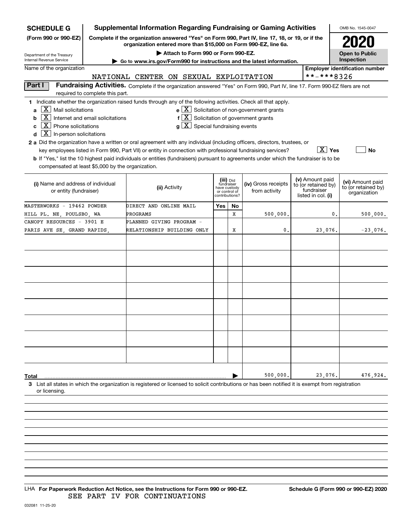| <b>SCHEDULE G</b>                                                                                                                                                                                                                                                                                                                                                                                                                                                                                                                                                                                                                                                                                                                                                                                                                                                                                                                                                     |                                                                                                                                                                     |                        |                                        |                |                                                                            | <b>Supplemental Information Regarding Fundraising or Gaming Activities</b> |                                                         |            | OMB No. 1545-0047                     |  |
|-----------------------------------------------------------------------------------------------------------------------------------------------------------------------------------------------------------------------------------------------------------------------------------------------------------------------------------------------------------------------------------------------------------------------------------------------------------------------------------------------------------------------------------------------------------------------------------------------------------------------------------------------------------------------------------------------------------------------------------------------------------------------------------------------------------------------------------------------------------------------------------------------------------------------------------------------------------------------|---------------------------------------------------------------------------------------------------------------------------------------------------------------------|------------------------|----------------------------------------|----------------|----------------------------------------------------------------------------|----------------------------------------------------------------------------|---------------------------------------------------------|------------|---------------------------------------|--|
| (Form 990 or 990-EZ)                                                                                                                                                                                                                                                                                                                                                                                                                                                                                                                                                                                                                                                                                                                                                                                                                                                                                                                                                  | Complete if the organization answered "Yes" on Form 990, Part IV, line 17, 18, or 19, or if the<br>organization entered more than \$15,000 on Form 990-EZ, line 6a. |                        |                                        |                |                                                                            |                                                                            |                                                         |            |                                       |  |
| Department of the Treasury                                                                                                                                                                                                                                                                                                                                                                                                                                                                                                                                                                                                                                                                                                                                                                                                                                                                                                                                            |                                                                                                                                                                     |                        | Attach to Form 990 or Form 990-EZ.     |                |                                                                            |                                                                            |                                                         |            | <b>Open to Public</b><br>Inspection   |  |
| Internal Revenue Service<br>Name of the organization                                                                                                                                                                                                                                                                                                                                                                                                                                                                                                                                                                                                                                                                                                                                                                                                                                                                                                                  |                                                                                                                                                                     |                        |                                        |                |                                                                            | Go to www.irs.gov/Form990 for instructions and the latest information.     |                                                         |            | <b>Employer identification number</b> |  |
|                                                                                                                                                                                                                                                                                                                                                                                                                                                                                                                                                                                                                                                                                                                                                                                                                                                                                                                                                                       |                                                                                                                                                                     |                        | NATIONAL CENTER ON SEXUAL EXPLOITATION |                |                                                                            |                                                                            |                                                         | **-***8326 |                                       |  |
| Part I                                                                                                                                                                                                                                                                                                                                                                                                                                                                                                                                                                                                                                                                                                                                                                                                                                                                                                                                                                | Fundraising Activities. Complete if the organization answered "Yes" on Form 990, Part IV, line 17. Form 990-EZ filers are not                                       |                        |                                        |                |                                                                            |                                                                            |                                                         |            |                                       |  |
|                                                                                                                                                                                                                                                                                                                                                                                                                                                                                                                                                                                                                                                                                                                                                                                                                                                                                                                                                                       | required to complete this part.                                                                                                                                     |                        |                                        |                |                                                                            |                                                                            |                                                         |            |                                       |  |
| 1 Indicate whether the organization raised funds through any of the following activities. Check all that apply.<br>$\mathbf{e} \times \mathbf{X}$ Solicitation of non-government grants<br>$\lfloor \mathbf{X} \rfloor$ Mail solicitations<br>a<br>$\overline{\mathbf{X}}$ Internet and email solicitations<br>$f\left[\frac{X}{X}\right]$ Solicitation of government grants<br>b<br>$\mathbf{X}$ Phone solicitations<br>$\lfloor \texttt{X} \rfloor$ Special fundraising events<br>a l<br>C<br>$\boxed{\text{X}}$ In-person solicitations<br>d<br>2 a Did the organization have a written or oral agreement with any individual (including officers, directors, trustees, or<br>$\boxed{\text{X}}$ Yes<br>key employees listed in Form 990, Part VII) or entity in connection with professional fundraising services?<br>No<br>b If "Yes," list the 10 highest paid individuals or entities (fundraisers) pursuant to agreements under which the fundraiser is to be |                                                                                                                                                                     |                        |                                        |                |                                                                            |                                                                            |                                                         |            |                                       |  |
| compensated at least \$5,000 by the organization.<br>(iii) Did<br>(iv) Gross receipts<br>(i) Name and address of individual<br>fundraiser<br>(ii) Activity<br>have custody<br>from activity<br>or entity (fundraiser)<br>or control of                                                                                                                                                                                                                                                                                                                                                                                                                                                                                                                                                                                                                                                                                                                                |                                                                                                                                                                     |                        |                                        |                | (v) Amount paid<br>to (or retained by)<br>fundraiser<br>listed in col. (i) |                                                                            | (vi) Amount paid<br>to (or retained by)<br>organization |            |                                       |  |
| MASTERWORKS - 19462 POWDER                                                                                                                                                                                                                                                                                                                                                                                                                                                                                                                                                                                                                                                                                                                                                                                                                                                                                                                                            |                                                                                                                                                                     | DIRECT AND ONLINE MAIL |                                        | contributions? |                                                                            |                                                                            |                                                         |            |                                       |  |
| HILL PL. NE, POULSBO, WA                                                                                                                                                                                                                                                                                                                                                                                                                                                                                                                                                                                                                                                                                                                                                                                                                                                                                                                                              |                                                                                                                                                                     | PROGRAMS               |                                        | Yes            | No<br>x                                                                    | 500,000                                                                    |                                                         | 0.         | 500,000.                              |  |
| CANOPY RESOURCES - 3901 E                                                                                                                                                                                                                                                                                                                                                                                                                                                                                                                                                                                                                                                                                                                                                                                                                                                                                                                                             |                                                                                                                                                                     |                        | PLANNED GIVING PROGRAM -               |                |                                                                            |                                                                            |                                                         |            |                                       |  |
| PARIS AVE SE, GRAND RAPIDS,                                                                                                                                                                                                                                                                                                                                                                                                                                                                                                                                                                                                                                                                                                                                                                                                                                                                                                                                           |                                                                                                                                                                     |                        | RELATIONSHIP BUILDING ONLY             |                | х                                                                          | 0.                                                                         |                                                         | 23,076.    | $-23,076.$                            |  |
|                                                                                                                                                                                                                                                                                                                                                                                                                                                                                                                                                                                                                                                                                                                                                                                                                                                                                                                                                                       |                                                                                                                                                                     |                        |                                        |                |                                                                            |                                                                            |                                                         |            |                                       |  |
|                                                                                                                                                                                                                                                                                                                                                                                                                                                                                                                                                                                                                                                                                                                                                                                                                                                                                                                                                                       |                                                                                                                                                                     |                        |                                        |                |                                                                            |                                                                            |                                                         |            |                                       |  |
|                                                                                                                                                                                                                                                                                                                                                                                                                                                                                                                                                                                                                                                                                                                                                                                                                                                                                                                                                                       |                                                                                                                                                                     |                        |                                        |                |                                                                            |                                                                            |                                                         |            |                                       |  |
|                                                                                                                                                                                                                                                                                                                                                                                                                                                                                                                                                                                                                                                                                                                                                                                                                                                                                                                                                                       |                                                                                                                                                                     |                        |                                        |                |                                                                            |                                                                            |                                                         |            |                                       |  |
|                                                                                                                                                                                                                                                                                                                                                                                                                                                                                                                                                                                                                                                                                                                                                                                                                                                                                                                                                                       |                                                                                                                                                                     |                        |                                        |                |                                                                            |                                                                            |                                                         |            |                                       |  |
|                                                                                                                                                                                                                                                                                                                                                                                                                                                                                                                                                                                                                                                                                                                                                                                                                                                                                                                                                                       |                                                                                                                                                                     |                        |                                        |                |                                                                            |                                                                            |                                                         |            |                                       |  |
|                                                                                                                                                                                                                                                                                                                                                                                                                                                                                                                                                                                                                                                                                                                                                                                                                                                                                                                                                                       |                                                                                                                                                                     |                        |                                        |                |                                                                            |                                                                            |                                                         |            |                                       |  |
|                                                                                                                                                                                                                                                                                                                                                                                                                                                                                                                                                                                                                                                                                                                                                                                                                                                                                                                                                                       |                                                                                                                                                                     |                        |                                        |                |                                                                            |                                                                            |                                                         |            |                                       |  |
| Total                                                                                                                                                                                                                                                                                                                                                                                                                                                                                                                                                                                                                                                                                                                                                                                                                                                                                                                                                                 |                                                                                                                                                                     |                        |                                        |                |                                                                            | 500,000                                                                    |                                                         | 23,076.    | 476,924.                              |  |
| 3 List all states in which the organization is registered or licensed to solicit contributions or has been notified it is exempt from registration<br>or licensing.                                                                                                                                                                                                                                                                                                                                                                                                                                                                                                                                                                                                                                                                                                                                                                                                   |                                                                                                                                                                     |                        |                                        |                |                                                                            |                                                                            |                                                         |            |                                       |  |
|                                                                                                                                                                                                                                                                                                                                                                                                                                                                                                                                                                                                                                                                                                                                                                                                                                                                                                                                                                       |                                                                                                                                                                     |                        |                                        |                |                                                                            |                                                                            |                                                         |            |                                       |  |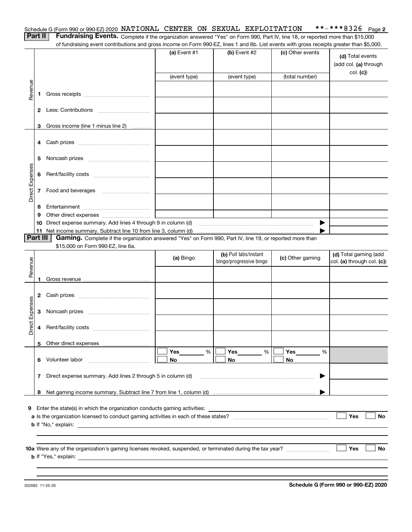|  |  |  | Schedule G (Form 990 or 990-EZ) 2020 NATIONAL CENTER ON SEXUAL EXPLOITATION | **-***8326 $Page 2$ |  |
|--|--|--|-----------------------------------------------------------------------------|---------------------|--|
|  |  |  |                                                                             |                     |  |

| <b>Contract Contract Contract</b> |  |
|-----------------------------------|--|
|                                   |  |

**Part II** | Fundraising Events. Complete if the organization answered "Yes" on Form 990, Part IV, line 18, or reported more than \$15,000 of fundraising event contributions and gross income on Form 990-EZ, lines 1 and 6b. List events with gross receipts greater than \$5,000.

|                 |                          |                                                                                                          | (a) Event #1   | (b) Event #2<br>(event type) | (c) Other events<br>(total number) | (d) Total events<br>(add col. (a) through<br>col. (c) |
|-----------------|--------------------------|----------------------------------------------------------------------------------------------------------|----------------|------------------------------|------------------------------------|-------------------------------------------------------|
|                 |                          |                                                                                                          | (event type)   |                              |                                    |                                                       |
| Revenue         | 1                        |                                                                                                          |                |                              |                                    |                                                       |
|                 |                          |                                                                                                          |                |                              |                                    |                                                       |
|                 | 3                        | Gross income (line 1 minus line 2)                                                                       |                |                              |                                    |                                                       |
|                 | 4                        |                                                                                                          |                |                              |                                    |                                                       |
|                 | 5                        |                                                                                                          |                |                              |                                    |                                                       |
| Direct Expenses | 6                        |                                                                                                          |                |                              |                                    |                                                       |
|                 | $\overline{\phantom{a}}$ | Food and beverages                                                                                       |                |                              |                                    |                                                       |
|                 | 8                        |                                                                                                          |                |                              |                                    |                                                       |
|                 | 9                        |                                                                                                          |                |                              |                                    |                                                       |
|                 | 10                       | Direct expense summary. Add lines 4 through 9 in column (d)                                              |                |                              | ▶                                  |                                                       |
|                 | 11<br>Part III           | Net income summary. Subtract line 10 from line 3, column (d)                                             |                |                              |                                    |                                                       |
|                 |                          | Gaming. Complete if the organization answered "Yes" on Form 990, Part IV, line 19, or reported more than |                |                              |                                    |                                                       |
|                 |                          | \$15,000 on Form 990-EZ, line 6a.                                                                        |                | (b) Pull tabs/instant        |                                    | (d) Total gaming (add                                 |
|                 |                          |                                                                                                          | (a) Bingo      | bingo/progressive bingo      | (c) Other gaming                   | col. (a) through col. (c))                            |
| Revenue         |                          |                                                                                                          |                |                              |                                    |                                                       |
|                 | 1.                       |                                                                                                          |                |                              |                                    |                                                       |
|                 | 2                        |                                                                                                          |                |                              |                                    |                                                       |
|                 | 3                        |                                                                                                          |                |                              |                                    |                                                       |
| Direct Expenses | 4                        |                                                                                                          |                |                              |                                    |                                                       |
|                 | 5                        |                                                                                                          |                |                              |                                    |                                                       |
|                 | 6                        | Volunteer labor                                                                                          | %<br>Yes<br>No | %<br>Yes<br>No               | %<br>Yes<br>No                     |                                                       |
|                 |                          | 7 Direct expense summary. Add lines 2 through 5 in column (d)                                            |                |                              |                                    |                                                       |
|                 | 8                        |                                                                                                          |                |                              |                                    |                                                       |
|                 |                          |                                                                                                          |                |                              |                                    |                                                       |
| 9               |                          | Enter the state(s) in which the organization conducts gaming activities:                                 |                |                              |                                    |                                                       |
|                 |                          |                                                                                                          |                |                              |                                    | Yes<br>No                                             |
|                 |                          |                                                                                                          |                |                              |                                    |                                                       |
|                 |                          |                                                                                                          |                |                              |                                    |                                                       |
|                 |                          |                                                                                                          |                |                              |                                    |                                                       |
|                 |                          |                                                                                                          |                |                              |                                    | Yes<br><b>No</b>                                      |
|                 |                          |                                                                                                          |                |                              |                                    |                                                       |
|                 |                          |                                                                                                          |                |                              |                                    |                                                       |
|                 |                          |                                                                                                          |                |                              |                                    |                                                       |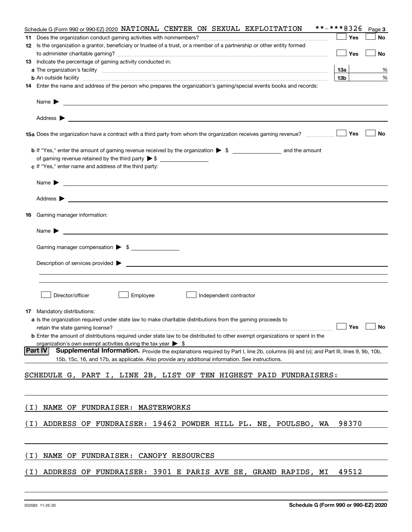|       | **-***8326<br>Schedule G (Form 990 or 990-EZ) 2020 NATIONAL CENTER ON SEXUAL EXPLOITATION                                                                                                                                                                                                                                          |                 |       | Page 3 |
|-------|------------------------------------------------------------------------------------------------------------------------------------------------------------------------------------------------------------------------------------------------------------------------------------------------------------------------------------|-----------------|-------|--------|
|       |                                                                                                                                                                                                                                                                                                                                    |                 | Yes   | No     |
|       | 12 Is the organization a grantor, beneficiary or trustee of a trust, or a member of a partnership or other entity formed                                                                                                                                                                                                           |                 |       |        |
|       |                                                                                                                                                                                                                                                                                                                                    |                 | Yes   | No     |
|       | 13 Indicate the percentage of gaming activity conducted in:                                                                                                                                                                                                                                                                        |                 |       |        |
|       |                                                                                                                                                                                                                                                                                                                                    | 13а             |       | %      |
|       | <b>b</b> An outside facility <i>www.communicality communicality communicality communicality communicality communicality communicality communicality communicality communicality communicality communicality communicality communicali</i>                                                                                          | 13 <sub>b</sub> |       | %      |
|       | 14 Enter the name and address of the person who prepares the organization's gaming/special events books and records:                                                                                                                                                                                                               |                 |       |        |
|       | Name $\blacktriangleright$                                                                                                                                                                                                                                                                                                         |                 |       |        |
|       | 15a Does the organization have a contract with a third party from whom the organization receives gaming revenue?                                                                                                                                                                                                                   |                 | Yes   | No     |
|       | c If "Yes," enter name and address of the third party:                                                                                                                                                                                                                                                                             |                 |       |        |
|       | Name $\blacktriangleright$                                                                                                                                                                                                                                                                                                         |                 |       |        |
|       |                                                                                                                                                                                                                                                                                                                                    |                 |       |        |
| 16    | Gaming manager information:                                                                                                                                                                                                                                                                                                        |                 |       |        |
|       | <u> 1989 - Johann Barbara, martin amerikan basal dan berasal dalam basal dan berasal dalam basal dalam basal dala</u><br>Name $\blacktriangleright$                                                                                                                                                                                |                 |       |        |
|       | Gaming manager compensation > \$                                                                                                                                                                                                                                                                                                   |                 |       |        |
|       |                                                                                                                                                                                                                                                                                                                                    |                 |       |        |
|       |                                                                                                                                                                                                                                                                                                                                    |                 |       |        |
|       | Director/officer<br>Employee<br>Independent contractor                                                                                                                                                                                                                                                                             |                 |       |        |
|       | <b>17</b> Mandatory distributions:                                                                                                                                                                                                                                                                                                 |                 |       |        |
|       | a Is the organization required under state law to make charitable distributions from the gaming proceeds to<br><b>b</b> Enter the amount of distributions required under state law to be distributed to other exempt organizations or spent in the<br>organization's own exempt activities during the tax year $\triangleright$ \$ |                 |       | No     |
|       | <b>Part IV</b><br>Supplemental Information. Provide the explanations required by Part I, line 2b, columns (iii) and (v); and Part III, lines 9, 9b, 10b,                                                                                                                                                                           |                 |       |        |
|       | 15b, 15c, 16, and 17b, as applicable. Also provide any additional information. See instructions.                                                                                                                                                                                                                                   |                 |       |        |
|       | SCHEDULE G, PART I, LINE 2B, LIST OF TEN HIGHEST PAID FUNDRAISERS:                                                                                                                                                                                                                                                                 |                 |       |        |
|       |                                                                                                                                                                                                                                                                                                                                    |                 |       |        |
| ( I ) | NAME OF FUNDRAISER: MASTERWORKS                                                                                                                                                                                                                                                                                                    |                 |       |        |
| ( I ) | ADDRESS OF FUNDRAISER: 19462 POWDER HILL PL. NE, POULSBO, WA                                                                                                                                                                                                                                                                       |                 | 98370 |        |
|       |                                                                                                                                                                                                                                                                                                                                    |                 |       |        |
| ( I ) | NAME OF FUNDRAISER: CANOPY RESOURCES                                                                                                                                                                                                                                                                                               |                 |       |        |
| ( I ) | ADDRESS OF FUNDRAISER: 3901 E PARIS AVE SE, GRAND RAPIDS, MI                                                                                                                                                                                                                                                                       |                 | 49512 |        |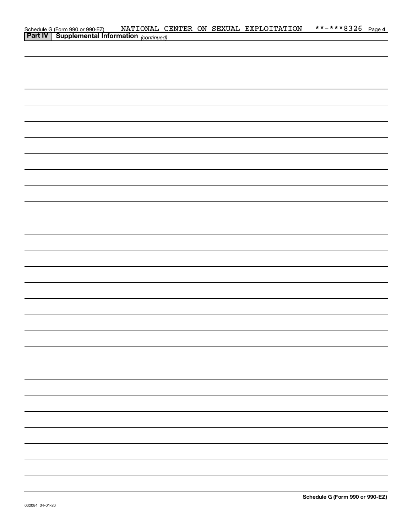| Schedule G (Form 990 or 990-EZ) NATIONAL C.<br>Part IV   Supplemental Information (continued) |  |  | NATIONAL CENTER ON SEXUAL EXPLOITATION | **-***8326 Page 4 |  |
|-----------------------------------------------------------------------------------------------|--|--|----------------------------------------|-------------------|--|
|                                                                                               |  |  |                                        |                   |  |
|                                                                                               |  |  |                                        |                   |  |
|                                                                                               |  |  |                                        |                   |  |
|                                                                                               |  |  |                                        |                   |  |
|                                                                                               |  |  |                                        |                   |  |
|                                                                                               |  |  |                                        |                   |  |
|                                                                                               |  |  |                                        |                   |  |
|                                                                                               |  |  |                                        |                   |  |
|                                                                                               |  |  |                                        |                   |  |
|                                                                                               |  |  |                                        |                   |  |
|                                                                                               |  |  |                                        |                   |  |
|                                                                                               |  |  |                                        |                   |  |
|                                                                                               |  |  |                                        |                   |  |
|                                                                                               |  |  |                                        |                   |  |
|                                                                                               |  |  |                                        |                   |  |
|                                                                                               |  |  |                                        |                   |  |
|                                                                                               |  |  |                                        |                   |  |
|                                                                                               |  |  |                                        |                   |  |
|                                                                                               |  |  |                                        |                   |  |
|                                                                                               |  |  |                                        |                   |  |
|                                                                                               |  |  |                                        |                   |  |
|                                                                                               |  |  |                                        |                   |  |
|                                                                                               |  |  |                                        |                   |  |
|                                                                                               |  |  |                                        |                   |  |
|                                                                                               |  |  |                                        |                   |  |
|                                                                                               |  |  |                                        |                   |  |
|                                                                                               |  |  |                                        |                   |  |
|                                                                                               |  |  |                                        |                   |  |
|                                                                                               |  |  |                                        |                   |  |
|                                                                                               |  |  |                                        |                   |  |
|                                                                                               |  |  |                                        |                   |  |
|                                                                                               |  |  |                                        |                   |  |
|                                                                                               |  |  |                                        |                   |  |
|                                                                                               |  |  |                                        |                   |  |
|                                                                                               |  |  |                                        |                   |  |
|                                                                                               |  |  |                                        |                   |  |
|                                                                                               |  |  |                                        |                   |  |
|                                                                                               |  |  |                                        |                   |  |
|                                                                                               |  |  |                                        |                   |  |
|                                                                                               |  |  |                                        |                   |  |
|                                                                                               |  |  |                                        |                   |  |
|                                                                                               |  |  |                                        |                   |  |
|                                                                                               |  |  |                                        |                   |  |
|                                                                                               |  |  |                                        |                   |  |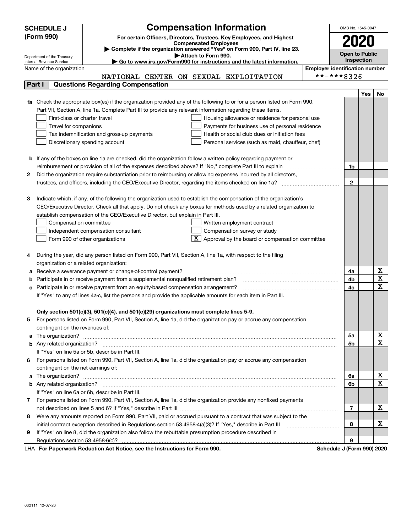|   | <b>Compensation Information</b><br><b>SCHEDULE J</b><br>OMB No. 1545-0047 |                                                                                                                                                                                                                                      |  |                                       |     |    |  |  |
|---|---------------------------------------------------------------------------|--------------------------------------------------------------------------------------------------------------------------------------------------------------------------------------------------------------------------------------|--|---------------------------------------|-----|----|--|--|
|   | (Form 990)                                                                | For certain Officers, Directors, Trustees, Key Employees, and Highest                                                                                                                                                                |  |                                       |     |    |  |  |
|   |                                                                           | <b>Compensated Employees</b>                                                                                                                                                                                                         |  | 2020                                  |     |    |  |  |
|   |                                                                           | Complete if the organization answered "Yes" on Form 990, Part IV, line 23.<br>Attach to Form 990.                                                                                                                                    |  | <b>Open to Public</b>                 |     |    |  |  |
|   | Department of the Treasury<br>Internal Revenue Service                    | Go to www.irs.gov/Form990 for instructions and the latest information.                                                                                                                                                               |  | Inspection                            |     |    |  |  |
|   | Name of the organization                                                  |                                                                                                                                                                                                                                      |  | <b>Employer identification number</b> |     |    |  |  |
|   |                                                                           | NATIONAL CENTER ON SEXUAL EXPLOITATION                                                                                                                                                                                               |  | **-***8326                            |     |    |  |  |
|   | Part I                                                                    | <b>Questions Regarding Compensation</b>                                                                                                                                                                                              |  |                                       |     |    |  |  |
|   |                                                                           |                                                                                                                                                                                                                                      |  |                                       | Yes | No |  |  |
|   |                                                                           | <b>1a</b> Check the appropriate box(es) if the organization provided any of the following to or for a person listed on Form 990,                                                                                                     |  |                                       |     |    |  |  |
|   |                                                                           | Part VII, Section A, line 1a. Complete Part III to provide any relevant information regarding these items.                                                                                                                           |  |                                       |     |    |  |  |
|   | First-class or charter travel                                             | Housing allowance or residence for personal use                                                                                                                                                                                      |  |                                       |     |    |  |  |
|   | Travel for companions                                                     | Payments for business use of personal residence                                                                                                                                                                                      |  |                                       |     |    |  |  |
|   |                                                                           | Tax indemnification and gross-up payments<br>Health or social club dues or initiation fees                                                                                                                                           |  |                                       |     |    |  |  |
|   |                                                                           | Discretionary spending account<br>Personal services (such as maid, chauffeur, chef)                                                                                                                                                  |  |                                       |     |    |  |  |
|   |                                                                           |                                                                                                                                                                                                                                      |  |                                       |     |    |  |  |
|   |                                                                           | <b>b</b> If any of the boxes on line 1a are checked, did the organization follow a written policy regarding payment or                                                                                                               |  |                                       |     |    |  |  |
|   |                                                                           | reimbursement or provision of all of the expenses described above? If "No," complete Part III to explain                                                                                                                             |  | 1b                                    |     |    |  |  |
| 2 |                                                                           | Did the organization require substantiation prior to reimbursing or allowing expenses incurred by all directors,                                                                                                                     |  |                                       |     |    |  |  |
|   |                                                                           |                                                                                                                                                                                                                                      |  | $\mathbf{2}$                          |     |    |  |  |
|   |                                                                           |                                                                                                                                                                                                                                      |  |                                       |     |    |  |  |
| З |                                                                           | Indicate which, if any, of the following the organization used to establish the compensation of the organization's                                                                                                                   |  |                                       |     |    |  |  |
|   |                                                                           | CEO/Executive Director. Check all that apply. Do not check any boxes for methods used by a related organization to                                                                                                                   |  |                                       |     |    |  |  |
|   |                                                                           | establish compensation of the CEO/Executive Director, but explain in Part III.                                                                                                                                                       |  |                                       |     |    |  |  |
|   | Compensation committee                                                    | Written employment contract                                                                                                                                                                                                          |  |                                       |     |    |  |  |
|   |                                                                           | Compensation survey or study<br>Independent compensation consultant                                                                                                                                                                  |  |                                       |     |    |  |  |
|   |                                                                           | $\boxed{\text{X}}$ Approval by the board or compensation committee<br>Form 990 of other organizations                                                                                                                                |  |                                       |     |    |  |  |
|   |                                                                           |                                                                                                                                                                                                                                      |  |                                       |     |    |  |  |
| 4 |                                                                           | During the year, did any person listed on Form 990, Part VII, Section A, line 1a, with respect to the filing                                                                                                                         |  |                                       |     |    |  |  |
|   | organization or a related organization:                                   |                                                                                                                                                                                                                                      |  |                                       |     |    |  |  |
| а |                                                                           | Receive a severance payment or change-of-control payment?                                                                                                                                                                            |  | 4a                                    |     | х  |  |  |
| b |                                                                           | Participate in or receive payment from a supplemental nonqualified retirement plan?                                                                                                                                                  |  | 4b                                    |     | X  |  |  |
| c |                                                                           | Participate in or receive payment from an equity-based compensation arrangement?                                                                                                                                                     |  | 4с                                    |     | х  |  |  |
|   |                                                                           | If "Yes" to any of lines 4a-c, list the persons and provide the applicable amounts for each item in Part III.                                                                                                                        |  |                                       |     |    |  |  |
|   |                                                                           |                                                                                                                                                                                                                                      |  |                                       |     |    |  |  |
|   |                                                                           | Only section 501(c)(3), 501(c)(4), and 501(c)(29) organizations must complete lines 5-9.                                                                                                                                             |  |                                       |     |    |  |  |
|   |                                                                           | For persons listed on Form 990, Part VII, Section A, line 1a, did the organization pay or accrue any compensation                                                                                                                    |  |                                       |     |    |  |  |
|   | contingent on the revenues of:                                            |                                                                                                                                                                                                                                      |  |                                       |     |    |  |  |
|   |                                                                           | a The organization? <b>Constitution</b> and the organization?                                                                                                                                                                        |  | 5а                                    |     | х  |  |  |
|   |                                                                           |                                                                                                                                                                                                                                      |  | 5b                                    |     | х  |  |  |
|   |                                                                           | If "Yes" on line 5a or 5b, describe in Part III.                                                                                                                                                                                     |  |                                       |     |    |  |  |
| 6 |                                                                           | For persons listed on Form 990, Part VII, Section A, line 1a, did the organization pay or accrue any compensation                                                                                                                    |  |                                       |     |    |  |  |
|   | contingent on the net earnings of:                                        |                                                                                                                                                                                                                                      |  |                                       |     |    |  |  |
| a |                                                                           | The organization? <b>With the contract of the contract of the contract of the contract of the contract of the contract of the contract of the contract of the contract of the contract of the contract of the contract of the co</b> |  | 6a                                    |     | х  |  |  |
|   |                                                                           |                                                                                                                                                                                                                                      |  | 6b                                    |     | Х  |  |  |
|   |                                                                           | If "Yes" on line 6a or 6b, describe in Part III.                                                                                                                                                                                     |  |                                       |     |    |  |  |
|   |                                                                           | 7 For persons listed on Form 990, Part VII, Section A, line 1a, did the organization provide any nonfixed payments                                                                                                                   |  |                                       |     |    |  |  |
|   |                                                                           |                                                                                                                                                                                                                                      |  | 7                                     |     | х  |  |  |
| 8 |                                                                           | Were any amounts reported on Form 990, Part VII, paid or accrued pursuant to a contract that was subject to the                                                                                                                      |  |                                       |     |    |  |  |
|   |                                                                           | initial contract exception described in Regulations section 53.4958-4(a)(3)? If "Yes," describe in Part III                                                                                                                          |  | 8                                     |     | х  |  |  |
| 9 |                                                                           | If "Yes" on line 8, did the organization also follow the rebuttable presumption procedure described in                                                                                                                               |  |                                       |     |    |  |  |
|   |                                                                           |                                                                                                                                                                                                                                      |  | 9                                     |     |    |  |  |
|   |                                                                           | duction Act Notice, one the Instructions for Form 000.                                                                                                                                                                               |  |                                       |     |    |  |  |

LHA For Paperwork Reduction Act Notice, see the Instructions for Form 990. Schedule J (Form 990) 2020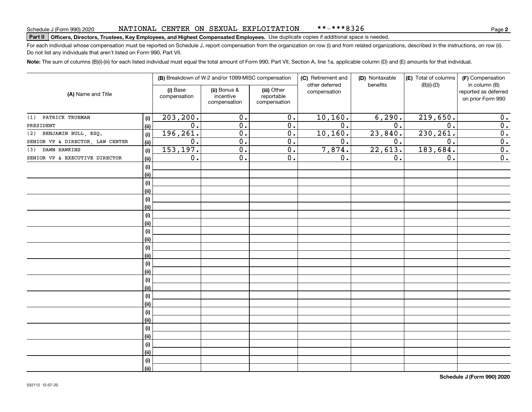# **Part II Officers, Directors, Trustees, Key Employees, and Highest Compensated Employees.**  Schedule J (Form 990) 2020 Page Use duplicate copies if additional space is needed.

For each individual whose compensation must be reported on Schedule J, report compensation from the organization on row (i) and from related organizations, described in the instructions, on row (ii). Do not list any individuals that aren't listed on Form 990, Part VII.

**Note:**  The sum of columns (B)(i)-(iii) for each listed individual must equal the total amount of Form 990, Part VII, Section A, line 1a, applicable column (D) and (E) amounts for that individual.

|                                  |            |                          | (B) Breakdown of W-2 and/or 1099-MISC compensation |                                           | (C) Retirement and             | (D) Nontaxable   | (E) Total of columns | (F) Compensation                                           |
|----------------------------------|------------|--------------------------|----------------------------------------------------|-------------------------------------------|--------------------------------|------------------|----------------------|------------------------------------------------------------|
| (A) Name and Title               |            | (i) Base<br>compensation | (ii) Bonus &<br>incentive<br>compensation          | (iii) Other<br>reportable<br>compensation | other deferred<br>compensation | benefits         | $(B)(i)-(D)$         | in column (B)<br>reported as deferred<br>on prior Form 990 |
| (1) PATRICK TRUEMAN              | (i)        | 203, 200.                | 0.                                                 | 0.                                        | 10, 160.                       | 6, 290.          | 219,650.             | 0.                                                         |
| PRESIDENT                        | (ii)       | 0.                       | 0.                                                 | $\overline{0}$ .                          | $\overline{0}$ .               | 0.               | 0.                   | $\overline{0}$ .                                           |
| (2) BENJAMIN BULL, ESQ.          | (i)        | 196,261.                 | 0.                                                 | 0.                                        | 10, 160.                       | 23,840.          | 230, 261.            | $\overline{0}$ .                                           |
| SENIOR VP & DIRECTOR, LAW CENTER | (ii)       | 0.                       | $\overline{0}$ .                                   | $\overline{0}$ .                          | 0.                             | $\overline{0}$ . | 0.                   | $\overline{0}$ .                                           |
| (3) DAWN HAWKINS                 | (i)        | 153, 197.                | $\overline{0}$ .                                   | $\overline{0}$ .                          | 7,874.                         | 22,613.          | 183,684.             | $\overline{0}$ .                                           |
| SENIOR VP & EXECUTIVE DIRECTOR   | (ii)       | 0.                       | $\overline{0}$ .                                   | $\overline{0}$ .                          | 0.                             | 0.               | 0.                   | $\overline{0}$ .                                           |
|                                  | (i)        |                          |                                                    |                                           |                                |                  |                      |                                                            |
|                                  | (ii)       |                          |                                                    |                                           |                                |                  |                      |                                                            |
|                                  | (i)        |                          |                                                    |                                           |                                |                  |                      |                                                            |
|                                  | (ii)       |                          |                                                    |                                           |                                |                  |                      |                                                            |
|                                  | (i)        |                          |                                                    |                                           |                                |                  |                      |                                                            |
|                                  | (ii)       |                          |                                                    |                                           |                                |                  |                      |                                                            |
|                                  | (i)        |                          |                                                    |                                           |                                |                  |                      |                                                            |
|                                  | (ii)       |                          |                                                    |                                           |                                |                  |                      |                                                            |
|                                  | $(\sf{i})$ |                          |                                                    |                                           |                                |                  |                      |                                                            |
|                                  | (ii)       |                          |                                                    |                                           |                                |                  |                      |                                                            |
|                                  | (i)        |                          |                                                    |                                           |                                |                  |                      |                                                            |
|                                  | (ii)       |                          |                                                    |                                           |                                |                  |                      |                                                            |
|                                  | (i)        |                          |                                                    |                                           |                                |                  |                      |                                                            |
|                                  | (ii)       |                          |                                                    |                                           |                                |                  |                      |                                                            |
|                                  | (i)        |                          |                                                    |                                           |                                |                  |                      |                                                            |
|                                  | (ii)       |                          |                                                    |                                           |                                |                  |                      |                                                            |
|                                  | (i)        |                          |                                                    |                                           |                                |                  |                      |                                                            |
|                                  | (ii)       |                          |                                                    |                                           |                                |                  |                      |                                                            |
|                                  | (i)        |                          |                                                    |                                           |                                |                  |                      |                                                            |
|                                  | (ii)       |                          |                                                    |                                           |                                |                  |                      |                                                            |
|                                  | (i)        |                          |                                                    |                                           |                                |                  |                      |                                                            |
|                                  | (ii)       |                          |                                                    |                                           |                                |                  |                      |                                                            |
|                                  | (i)        |                          |                                                    |                                           |                                |                  |                      |                                                            |
|                                  | (ii)       |                          |                                                    |                                           |                                |                  |                      |                                                            |
|                                  | (i)        |                          |                                                    |                                           |                                |                  |                      |                                                            |
|                                  | (ii)       |                          |                                                    |                                           |                                |                  |                      |                                                            |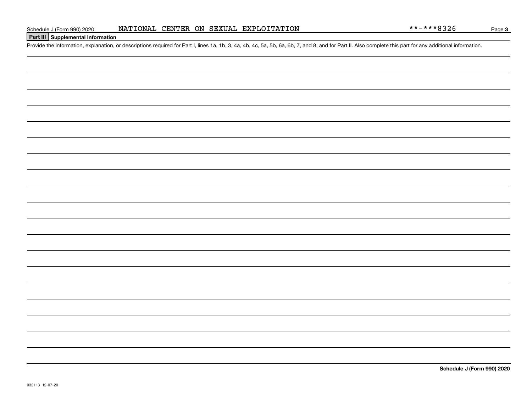### **Part III Supplemental Information**

Schedule J (Form 990) 2020 NATIONAL CENTER ON SEXUAL EXPLOITATION<br>Part III Supplemental Information<br>Provide the information, explanation, or descriptions required for Part I, lines 1a, 1b, 3, 4a, 4b, 4c, 5a, 5b, 6a, 6b, 7,

**Schedule J (Form 990) 2020**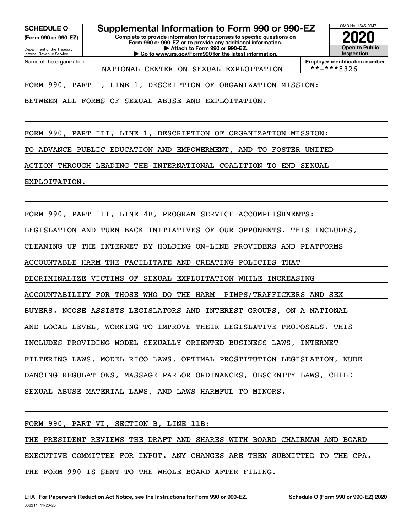**(Form 990 or 990-EZ)**

Department of the Treasury Internal Revenue Service Name of the organization

**SCHEDULE O Supplemental Information to Form 990 or 990-EZ**

**Complete to provide information for responses to specific questions on Form 990 or 990-EZ or to provide any additional information. | Attach to Form 990 or 990-EZ. | Go to www.irs.gov/Form990 for the latest information.**

NATIONAL CENTER ON SEXUAL EXPLOITATION



**Employer identification number**<br>\*\*-\*\*\*8326

FORM 990, PART I, LINE 1, DESCRIPTION OF ORGANIZATION MISSION:

BETWEEN ALL FORMS OF SEXUAL ABUSE AND EXPLOITATION.

FORM 990, PART III, LINE 1, DESCRIPTION OF ORGANIZATION MISSION:

TO ADVANCE PUBLIC EDUCATION AND EMPOWERMENT, AND TO FOSTER UNITED

ACTION THROUGH LEADING THE INTERNATIONAL COALITION TO END SEXUAL

EXPLOITATION.

FORM 990, PART III, LINE 4B, PROGRAM SERVICE ACCOMPLISHMENTS:

LEGISLATION AND TURN BACK INITIATIVES OF OUR OPPONENTS. THIS INCLUDES,

CLEANING UP THE INTERNET BY HOLDING ON-LINE PROVIDERS AND PLATFORMS

ACCOUNTABLE HARM THE FACILITATE AND CREATING POLICIES THAT

DECRIMINALIZE VICTIMS OF SEXUAL EXPLOITATION WHILE INCREASING

ACCOUNTABILITY FOR THOSE WHO DO THE HARM PIMPS/TRAFFICKERS AND SEX

BUYERS. NCOSE ASSISTS LEGISLATORS AND INTEREST GROUPS, ON A NATIONAL

AND LOCAL LEVEL, WORKING TO IMPROVE THEIR LEGISLATIVE PROPOSALS. THIS

INCLUDES PROVIDING MODEL SEXUALLY-ORIENTED BUSINESS LAWS, INTERNET

FILTERING LAWS, MODEL RICO LAWS, OPTIMAL PROSTITUTION LEGISLATION, NUDE

DANCING REGULATIONS, MASSAGE PARLOR ORDINANCES, OBSCENITY LAWS, CHILD

SEXUAL ABUSE MATERIAL LAWS, AND LAWS HARMFUL TO MINORS.

FORM 990, PART VI, SECTION B, LINE 11B:

THE PRESIDENT REVIEWS THE DRAFT AND SHARES WITH BOARD CHAIRMAN AND BOARD

EXECUTIVE COMMITTEE FOR INPUT. ANY CHANGES ARE THEN SUBMITTED TO THE CPA.

THE FORM 990 IS SENT TO THE WHOLE BOARD AFTER FILING.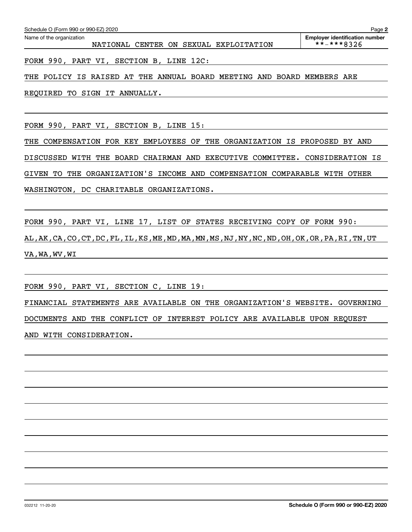NATIONAL CENTER ON SEXUAL EXPLOITATION \*\*-\*\*\*8326

**2**

FORM 990, PART VI, SECTION B, LINE 12C:

THE POLICY IS RAISED AT THE ANNUAL BOARD MEETING AND BOARD MEMBERS ARE

REQUIRED TO SIGN IT ANNUALLY.

FORM 990, PART VI, SECTION B, LINE 15:

THE COMPENSATION FOR KEY EMPLOYEES OF THE ORGANIZATION IS PROPOSED BY AND DISCUSSED WITH THE BOARD CHAIRMAN AND EXECUTIVE COMMITTEE. CONSIDERATION IS GIVEN TO THE ORGANIZATION'S INCOME AND COMPENSATION COMPARABLE WITH OTHER WASHINGTON, DC CHARITABLE ORGANIZATIONS.

FORM 990, PART VI, LINE 17, LIST OF STATES RECEIVING COPY OF FORM 990: AL,AK,CA,CO,CT,DC,FL,IL,KS,ME,MD,MA,MN,MS,NJ,NY,NC,ND,OH,OK,OR,PA,RI,TN,UT VA,WA,WV,WI

FORM 990, PART VI, SECTION C, LINE 19:

FINANCIAL STATEMENTS ARE AVAILABLE ON THE ORGANIZATION'S WEBSITE. GOVERNING DOCUMENTS AND THE CONFLICT OF INTEREST POLICY ARE AVAILABLE UPON REQUEST AND WITH CONSIDERATION.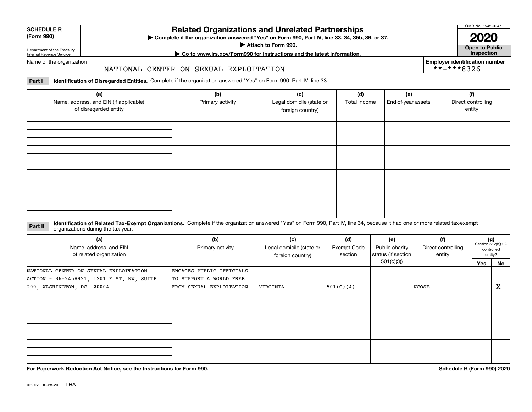| <b>SCHEDULE R</b>         |  |
|---------------------------|--|
| $\sim$ 0.00<br>$\sqrt{2}$ |  |

#### **(Form 990)**

# **Related Organizations and Unrelated Partnerships**

**Complete if the organization answered "Yes" on Form 990, Part IV, line 33, 34, 35b, 36, or 37.** |

**Attach to Form 990.**  |

OMB No. 1545-0047

**Open to Public 2020**

**Employer identification number**

\*\*-\*\*\*8326

Department of the Treasury Internal Revenue Service

# **| Go to www.irs.gov/Form990 for instructions and the latest information. Inspection**

Name of the organization

#### NATIONAL CENTER ON SEXUAL EXPLOITATION

**Part I Identification of Disregarded Entities.**  Complete if the organization answered "Yes" on Form 990, Part IV, line 33.

| (a)<br>Name, address, and EIN (if applicable)<br>of disregarded entity | (b)<br>Primary activity | (c)<br>Legal domicile (state or<br>foreign country) | (d)<br>Total income | (e)<br>End-of-year assets | (f)<br>Direct controlling<br>entity |
|------------------------------------------------------------------------|-------------------------|-----------------------------------------------------|---------------------|---------------------------|-------------------------------------|
|                                                                        |                         |                                                     |                     |                           |                                     |
|                                                                        |                         |                                                     |                     |                           |                                     |
|                                                                        |                         |                                                     |                     |                           |                                     |
|                                                                        |                         |                                                     |                     |                           |                                     |

**Identification of Related Tax-Exempt Organizations.** Complete if the organization answered "Yes" on Form 990, Part IV, line 34, because it had one or more related tax-exempt **Part II** organizations during the tax year.

| (a)<br>Name, address, and EIN<br>of related organization | (b)<br>Primary activity  | (c)<br>Legal domicile (state or<br>foreign country) | (d)<br>Exempt Code<br>section | (e)<br>Public charity<br>status (if section | (f)<br>Direct controlling<br>entity |     | $(g)$<br>Section 512(b)(13)<br>controlled<br>entity? |
|----------------------------------------------------------|--------------------------|-----------------------------------------------------|-------------------------------|---------------------------------------------|-------------------------------------|-----|------------------------------------------------------|
|                                                          |                          |                                                     |                               | 501(c)(3))                                  |                                     | Yes | No                                                   |
| NATIONAL CENTER ON SEXUAL EXPLOITATION                   | ENGAGES PUBLIC OFFICIALS |                                                     |                               |                                             |                                     |     |                                                      |
| ACTION - 86-2458921, 1201 F ST. NW, SUITE                | TO SUPPORT A WORLD FREE  |                                                     |                               |                                             |                                     |     |                                                      |
| 200, WASHINGTON, DC 20004                                | FROM SEXUAL EXPLOITATION | VIRGINIA                                            | 501(C)(4)                     |                                             | NCOSE                               |     | X                                                    |
|                                                          |                          |                                                     |                               |                                             |                                     |     |                                                      |
|                                                          |                          |                                                     |                               |                                             |                                     |     |                                                      |
|                                                          |                          |                                                     |                               |                                             |                                     |     |                                                      |

**For Paperwork Reduction Act Notice, see the Instructions for Form 990. Schedule R (Form 990) 2020**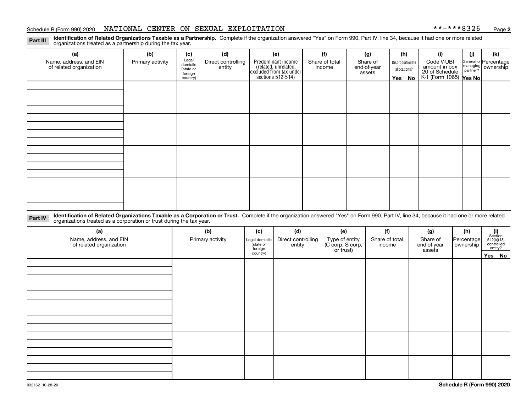#### Schedule R (Form 990) 2020 **NATIONAL CENTER ON SEXUAL EXPLOITATION \* \*-\* \* \* 8 3 2 6 <sub>Page</sub>**

**2**

**Identification of Related Organizations Taxable as a Partnership.** Complete if the organization answered "Yes" on Form 990, Part IV, line 34, because it had one or more related **Part III** organizations treated as a partnership during the tax year.

| (a)<br>Name, address, and EIN<br>of related organization | (b)<br>Primary activity | (c)<br>Legal<br>domicile<br>(state or<br>foreign<br>country) | (d)<br>Direct controlling<br>entity | (e)<br>Predominant income<br>(related, unrelated,<br>excluded from tax under<br>sections 512-514) | (f)<br>Share of total<br>income | (g)<br>Share of<br>end-of-year<br>assets | (h)<br>Disproportionate<br>allocations?<br>$Yes \mid$<br>No |  | (i)<br>Code V-UBI<br>amount in box<br>20 of Schedule<br>K-1 (Form 1065) Yes No |  | (k)<br>General or Percentage<br>managing<br>partner?<br>partner? |
|----------------------------------------------------------|-------------------------|--------------------------------------------------------------|-------------------------------------|---------------------------------------------------------------------------------------------------|---------------------------------|------------------------------------------|-------------------------------------------------------------|--|--------------------------------------------------------------------------------|--|------------------------------------------------------------------|
|                                                          |                         |                                                              |                                     |                                                                                                   |                                 |                                          |                                                             |  |                                                                                |  |                                                                  |
|                                                          |                         |                                                              |                                     |                                                                                                   |                                 |                                          |                                                             |  |                                                                                |  |                                                                  |
|                                                          |                         |                                                              |                                     |                                                                                                   |                                 |                                          |                                                             |  |                                                                                |  |                                                                  |
|                                                          |                         |                                                              |                                     |                                                                                                   |                                 |                                          |                                                             |  |                                                                                |  |                                                                  |

**Identification of Related Organizations Taxable as a Corporation or Trust.** Complete if the organization answered "Yes" on Form 990, Part IV, line 34, because it had one or more related **Part IV** organizations treated as a corporation or trust during the tax year.

| (a)<br>Name, address, and EIN<br>of related organization | (b)<br>Primary activity | (c)<br>Legal domicile<br>(state or<br>foreign | (d)<br>Direct controlling<br>entity | (e)<br>Type of entity<br>(C corp, S corp,<br>or trust) | (f)<br>Share of total<br>income | (g)<br>Share of<br>end-of-year<br>assets | (h)<br>Percentage<br>ownership | (i)<br>Section<br>$512(b)(13)$<br>controlled | entity? |
|----------------------------------------------------------|-------------------------|-----------------------------------------------|-------------------------------------|--------------------------------------------------------|---------------------------------|------------------------------------------|--------------------------------|----------------------------------------------|---------|
|                                                          |                         | country)                                      |                                     |                                                        |                                 |                                          |                                | Yes No                                       |         |
|                                                          |                         |                                               |                                     |                                                        |                                 |                                          |                                |                                              |         |
|                                                          |                         |                                               |                                     |                                                        |                                 |                                          |                                |                                              |         |
|                                                          |                         |                                               |                                     |                                                        |                                 |                                          |                                |                                              |         |
|                                                          |                         |                                               |                                     |                                                        |                                 |                                          |                                |                                              |         |
|                                                          |                         |                                               |                                     |                                                        |                                 |                                          |                                |                                              |         |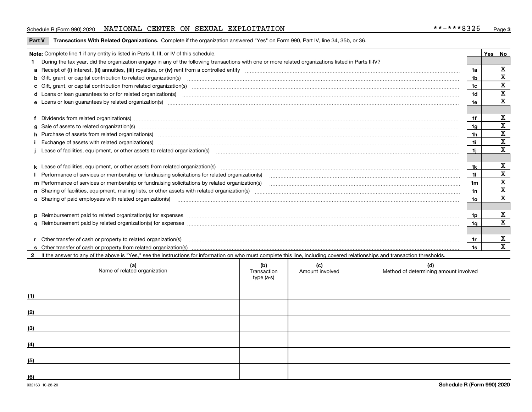#### Schedule R (Form 990) 2020 **NATIONAL CENTER ON SEXUAL EXPLOITATION \* \*-\* \* \* 8 3 2 6 <sub>Page</sub>**

#### **Part V** T**ransactions With Related Organizations.** Complete if the organization answered "Yes" on Form 990, Part IV, line 34, 35b, or 36.

| Note: Complete line 1 if any entity is listed in Parts II, III, or IV of this schedule.                                                                                                                                        |     | Yes | No          |
|--------------------------------------------------------------------------------------------------------------------------------------------------------------------------------------------------------------------------------|-----|-----|-------------|
| During the tax year, did the organization engage in any of the following transactions with one or more related organizations listed in Parts II-IV?                                                                            |     |     |             |
|                                                                                                                                                                                                                                |     |     | х           |
| <b>b</b> Gift, grant, or capital contribution to related organization(s)                                                                                                                                                       | 1b  |     | $\mathbf X$ |
| c Gift, grant, or capital contribution from related organization(s)                                                                                                                                                            |     |     | X           |
| d Loans or loan guarantees to or for related organization(s) committion contracts are constructed as a control or contract or contract or contract or contract or contract or contract or contract or contract or contract or  | 1d  |     | $\mathbf X$ |
| e Loans or loan quarantees by related organization(s)                                                                                                                                                                          | 1e  |     | X           |
|                                                                                                                                                                                                                                |     |     |             |
| f Dividends from related organization(s) material contracts and contracts are contracted as a contract of the contract of the contract of the contract or contract or contract or contract or contract or contract or contract | 1f  |     | х           |
| g Sale of assets to related organization(s) www.assettion.com/www.assettion.com/www.assettion.com/www.assettion.com/www.assettion.com/www.assettion.com/www.assettion.com/www.assettion.com/www.assettion.com/www.assettion.co | 1g  |     | х           |
| h Purchase of assets from related organization(s) manufactured and content to content the content of assets from related organization(s)                                                                                       | 1h  |     | $\mathbf X$ |
| Exchange of assets with related organization(s) www.communically.communically contract the contract of assets with related organization(s)                                                                                     | 1i. |     | $\mathbf X$ |
|                                                                                                                                                                                                                                | 1i. |     | $\mathbf X$ |
|                                                                                                                                                                                                                                |     |     |             |
|                                                                                                                                                                                                                                | 1k  |     | х           |
| Performance of services or membership or fundraising solicitations for related organization(s)                                                                                                                                 | 11. |     | $\mathbf X$ |
| m Performance of services or membership or fundraising solicitations by related organization(s)                                                                                                                                | 1m  |     | $\mathbf X$ |
|                                                                                                                                                                                                                                | 1n  |     | X           |
| o Sharing of paid employees with related organization(s) manufactured content to the state of paid employees with related organization(s)                                                                                      | 1о  |     | X           |
|                                                                                                                                                                                                                                |     |     |             |
| p Reimbursement paid to related organization(s) for expenses [111] All and the content of the content of the content of the content of the content of the content of the content of the content of the content of the content  | 1p. |     | х           |
|                                                                                                                                                                                                                                | 1q  |     | х           |
|                                                                                                                                                                                                                                |     |     |             |
|                                                                                                                                                                                                                                | 1r  |     | х           |
|                                                                                                                                                                                                                                | 1s  |     | X           |

**2**If the answer to any of the above is "Yes," see the instructions for information on who must complete this line, including covered relationships and transaction thresholds.

|     | (a)<br>Name of related organization | (b)<br>Transaction<br>type (a-s) | (c)<br>Amount involved | (d)<br>Method of determining amount involved |
|-----|-------------------------------------|----------------------------------|------------------------|----------------------------------------------|
| (1) |                                     |                                  |                        |                                              |
| (2) |                                     |                                  |                        |                                              |
| (3) |                                     |                                  |                        |                                              |
| (4) |                                     |                                  |                        |                                              |
| (5) |                                     |                                  |                        |                                              |
| (6) |                                     |                                  |                        |                                              |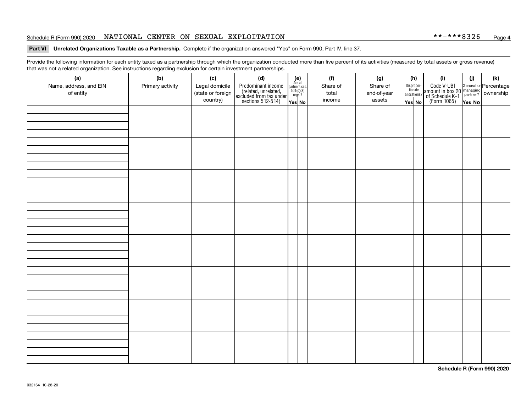#### Schedule R (Form 990) 2020 **NATIONAL CENTER ON SEXUAL EXPLOITATION \* \*-\* \* \* 8 3 2 6 <sub>Page</sub>**

#### **Part VI Unrelated Organizations Taxable as a Partnership. Complete if the organization answered "Yes" on Form 990, Part IV, line 37.**

Provide the following information for each entity taxed as a partnership through which the organization conducted more than five percent of its activities (measured by total assets or gross revenue) that was not a related organization. See instructions regarding exclusion for certain investment partnerships.

| (a)<br>Name, address, and EIN<br>of entity | (b)<br>Primary activity | (c)<br>Legal domicile<br>(state or foreign<br>country) | (d)<br>Predominant income<br>(related, unrelated,<br>excluded from tax under<br>sections 512-514) | $\begin{array}{c} \textbf{(e)}\\ \text{Are all} \\ \text{partners sec.}\\ 501(c)(3)\\ \text{orgs.?} \end{array}$<br>Yes No | (f)<br>Share of<br>total<br>income | (g)<br>Share of<br>end-of-year<br>assets | Dispropor-<br>tionate<br>Yes No | (h)<br>allocations? | (i)<br>Code V-UBI<br>amount in box 20 managing<br>of Schedule K-1<br>(Form 1065)<br>$\overline{Yes}$ No | (i)<br>Yes No | (k) |
|--------------------------------------------|-------------------------|--------------------------------------------------------|---------------------------------------------------------------------------------------------------|----------------------------------------------------------------------------------------------------------------------------|------------------------------------|------------------------------------------|---------------------------------|---------------------|---------------------------------------------------------------------------------------------------------|---------------|-----|
|                                            |                         |                                                        |                                                                                                   |                                                                                                                            |                                    |                                          |                                 |                     |                                                                                                         |               |     |
|                                            |                         |                                                        |                                                                                                   |                                                                                                                            |                                    |                                          |                                 |                     |                                                                                                         |               |     |
|                                            |                         |                                                        |                                                                                                   |                                                                                                                            |                                    |                                          |                                 |                     |                                                                                                         |               |     |
|                                            |                         |                                                        |                                                                                                   |                                                                                                                            |                                    |                                          |                                 |                     |                                                                                                         |               |     |
|                                            |                         |                                                        |                                                                                                   |                                                                                                                            |                                    |                                          |                                 |                     |                                                                                                         |               |     |
|                                            |                         |                                                        |                                                                                                   |                                                                                                                            |                                    |                                          |                                 |                     |                                                                                                         |               |     |
|                                            |                         |                                                        |                                                                                                   |                                                                                                                            |                                    |                                          |                                 |                     |                                                                                                         |               |     |
|                                            |                         |                                                        |                                                                                                   |                                                                                                                            |                                    |                                          |                                 |                     |                                                                                                         |               |     |

**Schedule R (Form 990) 2020**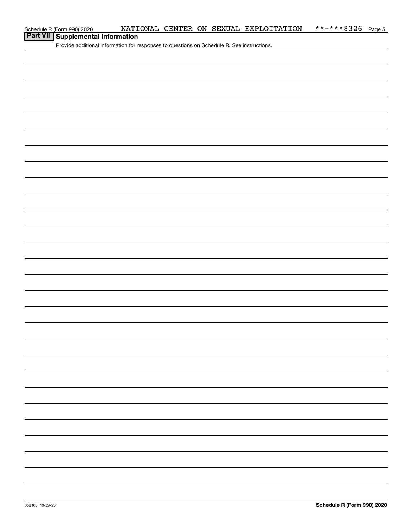# **Part VII Supplemental Information**

Provide additional information for responses to questions on Schedule R. See instructions.